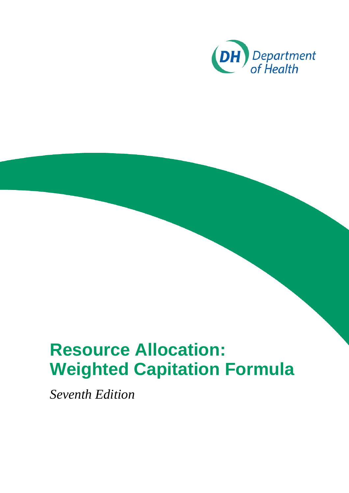

## **Resource Allocation: Weighted Capitation Formula**

*Seventh Edition*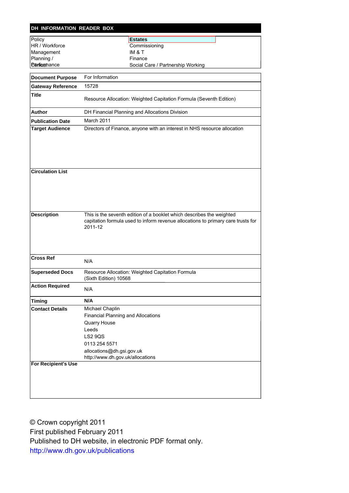| DH INFORMATION READER BOX           |                                                                                                                                                                                           |  |  |  |  |  |  |
|-------------------------------------|-------------------------------------------------------------------------------------------------------------------------------------------------------------------------------------------|--|--|--|--|--|--|
| Policy                              | <b>Estates</b>                                                                                                                                                                            |  |  |  |  |  |  |
| HR / Workforce                      | Commissioning                                                                                                                                                                             |  |  |  |  |  |  |
| Management                          | IM & T                                                                                                                                                                                    |  |  |  |  |  |  |
| Planning /                          | Finance                                                                                                                                                                                   |  |  |  |  |  |  |
| <b><i><u>Etinficathance</u></i></b> | Social Care / Partnership Working                                                                                                                                                         |  |  |  |  |  |  |
| <b>Document Purpose</b>             | For Information                                                                                                                                                                           |  |  |  |  |  |  |
| <b>Gateway Reference</b>            | 15728                                                                                                                                                                                     |  |  |  |  |  |  |
| <b>Title</b>                        | Resource Allocation: Weighted Capitation Formula (Seventh Edition)                                                                                                                        |  |  |  |  |  |  |
| Author                              | DH Financial Planning and Allocations Division                                                                                                                                            |  |  |  |  |  |  |
| <b>Publication Date</b>             | March 2011                                                                                                                                                                                |  |  |  |  |  |  |
| <b>Target Audience</b>              | Directors of Finance, anyone with an interest in NHS resource allocation                                                                                                                  |  |  |  |  |  |  |
|                                     |                                                                                                                                                                                           |  |  |  |  |  |  |
| <b>Circulation List</b>             |                                                                                                                                                                                           |  |  |  |  |  |  |
| <b>Description</b>                  | This is the seventh edition of a booklet which describes the weighted<br>capitation formula used to inform revenue allocations to primary care trusts for<br>2011-12                      |  |  |  |  |  |  |
| <b>Cross Ref</b>                    | N/A                                                                                                                                                                                       |  |  |  |  |  |  |
| <b>Superseded Docs</b>              | Resource Allocation: Weighted Capitation Formula<br>(Sixth Edition) 10568                                                                                                                 |  |  |  |  |  |  |
| <b>Action Required</b>              | N/A                                                                                                                                                                                       |  |  |  |  |  |  |
| <b>Timing</b>                       | N/A                                                                                                                                                                                       |  |  |  |  |  |  |
| <b>Contact Details</b>              | Michael Chaplin<br><b>Financial Planning and Allocations</b><br>Quarry House<br>Leeds<br><b>LS2 9QS</b><br>0113 254 5571<br>allocations@dh.gsi.gov.uk<br>http://www.dh.gov.uk/allocations |  |  |  |  |  |  |
| <b>For Recipient's Use</b>          |                                                                                                                                                                                           |  |  |  |  |  |  |

© Crown copyright 2011 First published February 2011 Published to DH website, in electronic PDF format only. <http://www.dh.gov.uk/publications>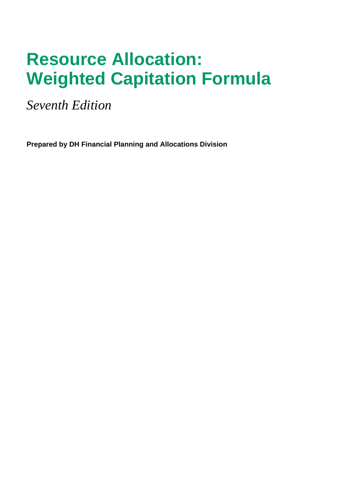## **Resource Allocation: Weighted Capitation Formula**

*Seventh Edition* 

**Prepared by DH Financial Planning and Allocations Division**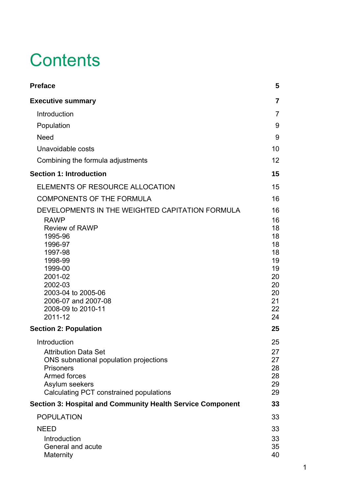# **Contents**

| <b>Preface</b>                                                                                                                                                                                                                                     |                                                                                  |  |
|----------------------------------------------------------------------------------------------------------------------------------------------------------------------------------------------------------------------------------------------------|----------------------------------------------------------------------------------|--|
| <b>Executive summary</b>                                                                                                                                                                                                                           | $\overline{7}$                                                                   |  |
| Introduction                                                                                                                                                                                                                                       | $\overline{7}$                                                                   |  |
| Population                                                                                                                                                                                                                                         | 9                                                                                |  |
| <b>Need</b>                                                                                                                                                                                                                                        | 9                                                                                |  |
| Unavoidable costs                                                                                                                                                                                                                                  | 10                                                                               |  |
| Combining the formula adjustments                                                                                                                                                                                                                  | 12                                                                               |  |
| <b>Section 1: Introduction</b>                                                                                                                                                                                                                     | 15                                                                               |  |
| ELEMENTS OF RESOURCE ALLOCATION                                                                                                                                                                                                                    | 15                                                                               |  |
| <b>COMPONENTS OF THE FORMULA</b>                                                                                                                                                                                                                   | 16                                                                               |  |
| DEVELOPMENTS IN THE WEIGHTED CAPITATION FORMULA<br><b>RAWP</b><br><b>Review of RAWP</b><br>1995-96<br>1996-97<br>1997-98<br>1998-99<br>1999-00<br>2001-02<br>2002-03<br>2003-04 to 2005-06<br>2006-07 and 2007-08<br>2008-09 to 2010-11<br>2011-12 | 16<br>16<br>18<br>18<br>18<br>18<br>19<br>19<br>20<br>20<br>20<br>21<br>22<br>24 |  |
| <b>Section 2: Population</b>                                                                                                                                                                                                                       | 25                                                                               |  |
| Introduction<br><b>Attribution Data Set</b><br>ONS subnational population projections<br><b>Prisoners</b><br>Armed forces<br>Asylum seekers<br>Calculating PCT constrained populations                                                             | 25<br>27<br>27<br>28<br>28<br>29<br>29                                           |  |
| <b>Section 3: Hospital and Community Health Service Component</b>                                                                                                                                                                                  | 33                                                                               |  |
| <b>POPULATION</b>                                                                                                                                                                                                                                  | 33                                                                               |  |
| <b>NEED</b>                                                                                                                                                                                                                                        | 33                                                                               |  |
| Introduction<br>General and acute<br>Maternity                                                                                                                                                                                                     | 33<br>35<br>40                                                                   |  |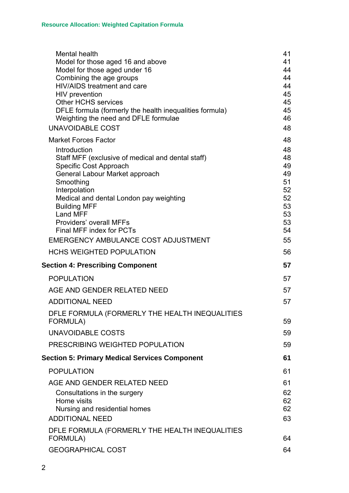| Mental health<br>Model for those aged 16 and above<br>Model for those aged under 16<br>Combining the age groups<br>HIV/AIDS treatment and care<br>HIV prevention<br><b>Other HCHS services</b><br>DFLE formula (formerly the health inequalities formula)<br>Weighting the need and DFLE formulae<br><b>UNAVOIDABLE COST</b>            | 41<br>41<br>44<br>44<br>44<br>45<br>45<br>45<br>46<br>48             |
|-----------------------------------------------------------------------------------------------------------------------------------------------------------------------------------------------------------------------------------------------------------------------------------------------------------------------------------------|----------------------------------------------------------------------|
| <b>Market Forces Factor</b>                                                                                                                                                                                                                                                                                                             | 48                                                                   |
| Introduction<br>Staff MFF (exclusive of medical and dental staff)<br>Specific Cost Approach<br>General Labour Market approach<br>Smoothing<br>Interpolation<br>Medical and dental London pay weighting<br><b>Building MFF</b><br>Land MFF<br>Providers' overall MFFs<br>Final MFF index for PCTs<br>EMERGENCY AMBULANCE COST ADJUSTMENT | 48<br>48<br>49<br>49<br>51<br>52<br>52<br>53<br>53<br>53<br>54<br>55 |
| <b>HCHS WEIGHTED POPULATION</b>                                                                                                                                                                                                                                                                                                         | 56                                                                   |
| <b>Section 4: Prescribing Component</b>                                                                                                                                                                                                                                                                                                 | 57                                                                   |
| <b>POPULATION</b>                                                                                                                                                                                                                                                                                                                       | 57                                                                   |
| AGE AND GENDER RELATED NEED                                                                                                                                                                                                                                                                                                             | 57                                                                   |
| <b>ADDITIONAL NEED</b>                                                                                                                                                                                                                                                                                                                  | 57                                                                   |
| DFLE FORMULA (FORMERLY THE HEALTH INEQUALITIES<br><b>FORMULA)</b>                                                                                                                                                                                                                                                                       | 59                                                                   |
| UNAVOIDABLE COSTS                                                                                                                                                                                                                                                                                                                       | 59                                                                   |
| PRESCRIBING WEIGHTED POPULATION                                                                                                                                                                                                                                                                                                         | 59                                                                   |
| <b>Section 5: Primary Medical Services Component</b>                                                                                                                                                                                                                                                                                    | 61                                                                   |
| <b>POPULATION</b>                                                                                                                                                                                                                                                                                                                       | 61                                                                   |
| AGE AND GENDER RELATED NEED<br>Consultations in the surgery<br>Home visits<br>Nursing and residential homes<br><b>ADDITIONAL NEED</b>                                                                                                                                                                                                   | 61<br>62<br>62<br>62<br>63                                           |
| DFLE FORMULA (FORMERLY THE HEALTH INEQUALITIES<br>FORMULA)                                                                                                                                                                                                                                                                              | 64                                                                   |
| <b>GEOGRAPHICAL COST</b>                                                                                                                                                                                                                                                                                                                | 64                                                                   |
|                                                                                                                                                                                                                                                                                                                                         |                                                                      |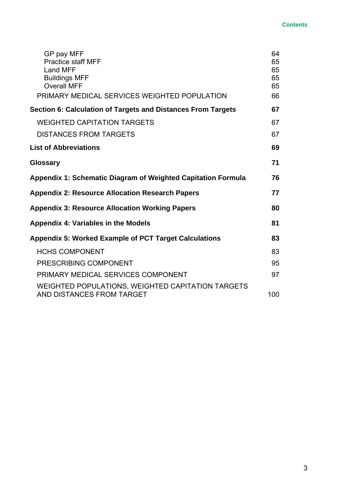#### **Contents**

| GP pay MFF<br><b>Practice staff MFF</b><br><b>Land MFF</b>                     | 64<br>65<br>65 |
|--------------------------------------------------------------------------------|----------------|
| <b>Buildings MFF</b>                                                           | 65             |
| <b>Overall MFF</b>                                                             | 65             |
| PRIMARY MEDICAL SERVICES WEIGHTED POPULATION                                   | 66             |
| Section 6: Calculation of Targets and Distances From Targets                   | 67             |
| <b>WEIGHTED CAPITATION TARGETS</b>                                             | 67             |
| <b>DISTANCES FROM TARGETS</b>                                                  | 67             |
| <b>List of Abbreviations</b>                                                   | 69             |
| <b>Glossary</b>                                                                | 71             |
| <b>Appendix 1: Schematic Diagram of Weighted Capitation Formula</b>            | 76             |
| <b>Appendix 2: Resource Allocation Research Papers</b>                         | 77             |
| <b>Appendix 3: Resource Allocation Working Papers</b>                          | 80             |
| <b>Appendix 4: Variables in the Models</b>                                     | 81             |
| <b>Appendix 5: Worked Example of PCT Target Calculations</b>                   | 83             |
| <b>HCHS COMPONENT</b>                                                          | 83             |
| PRESCRIBING COMPONENT                                                          | 95             |
| PRIMARY MEDICAL SERVICES COMPONENT                                             | 97             |
| WEIGHTED POPULATIONS, WEIGHTED CAPITATION TARGETS<br>AND DISTANCES FROM TARGET | 100            |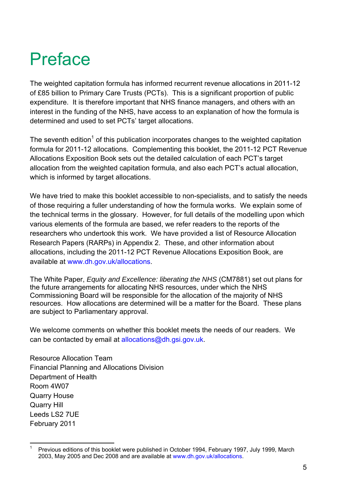## <span id="page-10-0"></span>Preface

The weighted capitation formula has informed recurrent revenue allocations in 2011-12 of £85 billion to Primary Care Trusts (PCTs). This is a significant proportion of public expenditure. It is therefore important that NHS finance managers, and others with an interest in the funding of the NHS, have access to an explanation of how the formula is determined and used to set PCTs' target allocations.

The seventh edition<sup>[1](#page-10-1)</sup> of this publication incorporates changes to the weighted capitation formula for 2011-12 allocations. Complementing this booklet, the 2011-12 PCT Revenue Allocations Exposition Book sets out the detailed calculation of each PCT's target allocation from the weighted capitation formula, and also each PCT's actual allocation, which is informed by target allocations.

We have tried to make this booklet accessible to non-specialists, and to satisfy the needs of those requiring a fuller understanding of how the formula works. We explain some of the technical terms in the glossary. However, for full details of the modelling upon which various elements of the formula are based, we refer readers to the reports of the researchers who undertook this work. We have provided a list of Resource Allocation Research Papers (RARPs) in Appendix 2. These, and other information about allocations, including the 2011-12 PCT Revenue Allocations Exposition Book, are available at www.dh.gov.uk/allocations.

The White Paper, *Equity and Excellence: liberating the NHS* (CM7881) set out plans for the future arrangements for allocating NHS resources, under which the NHS Commissioning Board will be responsible for the allocation of the majority of NHS resources. How allocations are determined will be a matter for the Board. These plans are subject to Parliamentary approval.

We welcome comments on whether this booklet meets the needs of our readers. We can be contacted by email at [allocations@dh.gsi.gov.uk.](mailto:allocations@dh.gsi.gov.uk)

Resource Allocation Team Financial Planning and Allocations Division Department of Health Room 4W07 Quarry House Quarry Hill Leeds LS2 7UE February 2011

<span id="page-10-1"></span> $\frac{1}{1}$  Previous editions of this booklet were published in October 1994, February 1997, July 1999, March 2003, May 2005 and Dec 2008 and are available at www.dh.gov.uk/allocations.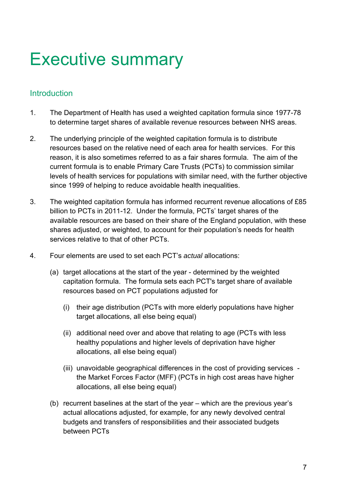## <span id="page-12-0"></span>Executive summary

## **Introduction**

- 1. The Department of Health has used a weighted capitation formula since 1977-78 to determine target shares of available revenue resources between NHS areas.
- 2. The underlying principle of the weighted capitation formula is to distribute resources based on the relative need of each area for health services. For this reason, it is also sometimes referred to as a fair shares formula. The aim of the current formula is to enable Primary Care Trusts (PCTs) to commission similar levels of health services for populations with similar need, with the further objective since 1999 of helping to reduce avoidable health inequalities.
- 3. The weighted capitation formula has informed recurrent revenue allocations of £85 billion to PCTs in 2011-12. Under the formula, PCTs' target shares of the available resources are based on their share of the England population, with these shares adjusted, or weighted, to account for their population's needs for health services relative to that of other PCTs.
- 4. Four elements are used to set each PCT's *actual* allocations:
	- (a) target allocations at the start of the year determined by the weighted capitation formula. The formula sets each PCT's target share of available resources based on PCT populations adjusted for
		- (i) their age distribution (PCTs with more elderly populations have higher target allocations, all else being equal)
		- (ii) additional need over and above that relating to age (PCTs with less healthy populations and higher levels of deprivation have higher allocations, all else being equal)
		- (iii) unavoidable geographical differences in the cost of providing services the Market Forces Factor (MFF) (PCTs in high cost areas have higher allocations, all else being equal)
	- (b) recurrent baselines at the start of the year which are the previous year's actual allocations adjusted, for example, for any newly devolved central budgets and transfers of responsibilities and their associated budgets between PCTs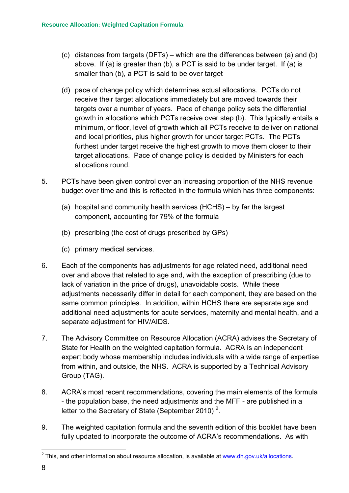- (c) distances from targets (DFTs) which are the differences between (a) and (b) above. If (a) is greater than (b), a PCT is said to be under target. If (a) is smaller than (b), a PCT is said to be over target
- (d) pace of change policy which determines actual allocations. PCTs do not receive their target allocations immediately but are moved towards their targets over a number of years. Pace of change policy sets the differential growth in allocations which PCTs receive over step (b). This typically entails a minimum, or floor, level of growth which all PCTs receive to deliver on national and local priorities, plus higher growth for under target PCTs. The PCTs furthest under target receive the highest growth to move them closer to their target allocations. Pace of change policy is decided by Ministers for each allocations round.
- 5. PCTs have been given control over an increasing proportion of the NHS revenue budget over time and this is reflected in the formula which has three components:
	- (a) hospital and community health services (HCHS) by far the largest component, accounting for 79% of the formula
	- (b) prescribing (the cost of drugs prescribed by GPs)
	- (c) primary medical services.
- 6. Each of the components has adjustments for age related need, additional need over and above that related to age and, with the exception of prescribing (due to lack of variation in the price of drugs), unavoidable costs. While these adjustments necessarily differ in detail for each component, they are based on the same common principles. In addition, within HCHS there are separate age and additional need adjustments for acute services, maternity and mental health, and a separate adjustment for HIV/AIDS.
- 7. The Advisory Committee on Resource Allocation (ACRA) advises the Secretary of State for Health on the weighted capitation formula. ACRA is an independent expert body whose membership includes individuals with a wide range of expertise from within, and outside, the NHS. ACRA is supported by a Technical Advisory Group (TAG).
- 8. ACRA's most recent recommendations, covering the main elements of the formula - the population base, the need adjustments and the MFF - are published in a letter to the Secretary of State (September [2](#page-13-0)010)<sup>2</sup>.
- 9. The weighted capitation formula and the seventh edition of this booklet have been fully updated to incorporate the outcome of ACRA's recommendations. As with

<span id="page-13-0"></span> <sup>2</sup> This, and other information about resource allocation, is available at www.dh.gov.uk/allocations.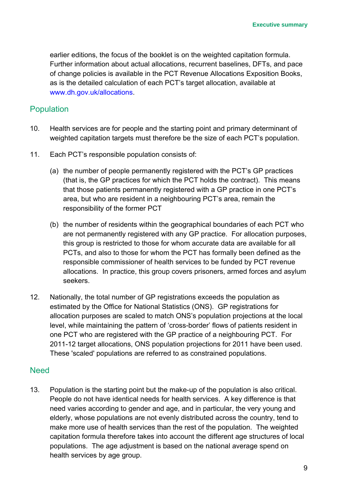<span id="page-14-0"></span>earlier editions, the focus of the booklet is on the weighted capitation formula. Further information about actual allocations, recurrent baselines, DFTs, and pace of change policies is available in the PCT Revenue Allocations Exposition Books, as is the detailed calculation of each PCT's target allocation, available at [www.dh.gov.uk/allocations](http://www.dh.gov.uk/allocations).

### **Population**

- 10. Health services are for people and the starting point and primary determinant of weighted capitation targets must therefore be the size of each PCT's population.
- 11. Each PCT's responsible population consists of:
	- (a) the number of people permanently registered with the PCT's GP practices (that is, the GP practices for which the PCT holds the contract). This means that those patients permanently registered with a GP practice in one PCT's area, but who are resident in a neighbouring PCT's area, remain the responsibility of the former PCT
	- (b) the number of residents within the geographical boundaries of each PCT who are not permanently registered with any GP practice. For allocation purposes, this group is restricted to those for whom accurate data are available for all PCTs, and also to those for whom the PCT has formally been defined as the responsible commissioner of health services to be funded by PCT revenue allocations. In practice, this group covers prisoners, armed forces and asylum seekers.
- 12. Nationally, the total number of GP registrations exceeds the population as estimated by the Office for National Statistics (ONS). GP registrations for allocation purposes are scaled to match ONS's population projections at the local level, while maintaining the pattern of 'cross-border' flows of patients resident in one PCT who are registered with the GP practice of a neighbouring PCT. For 2011-12 target allocations, ONS population projections for 2011 have been used. These 'scaled' populations are referred to as constrained populations.

### **Need**

13. Population is the starting point but the make-up of the population is also critical. People do not have identical needs for health services. A key difference is that need varies according to gender and age, and in particular, the very young and elderly, whose populations are not evenly distributed across the country, tend to make more use of health services than the rest of the population. The weighted capitation formula therefore takes into account the different age structures of local populations. The age adjustment is based on the national average spend on health services by age group.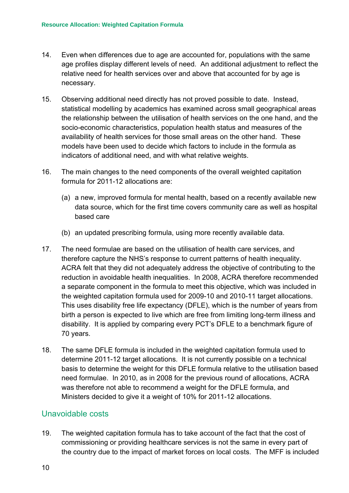- <span id="page-15-0"></span>14. Even when differences due to age are accounted for, populations with the same age profiles display different levels of need. An additional adjustment to reflect the relative need for health services over and above that accounted for by age is necessary.
- 15. Observing additional need directly has not proved possible to date. Instead, statistical modelling by academics has examined across small geographical areas the relationship between the utilisation of health services on the one hand, and the socio-economic characteristics, population health status and measures of the availability of health services for those small areas on the other hand. These models have been used to decide which factors to include in the formula as indicators of additional need, and with what relative weights.
- 16. The main changes to the need components of the overall weighted capitation formula for 2011-12 allocations are:
	- (a) a new, improved formula for mental health, based on a recently available new data source, which for the first time covers community care as well as hospital based care
	- (b) an updated prescribing formula, using more recently available data.
- 17. The need formulae are based on the utilisation of health care services, and therefore capture the NHS's response to current patterns of health inequality. ACRA felt that they did not adequately address the objective of contributing to the reduction in avoidable health inequalities. In 2008, ACRA therefore recommended a separate component in the formula to meet this objective, which was included in the weighted capitation formula used for 2009-10 and 2010-11 target allocations. This uses disability free life expectancy (DFLE), which is the number of years from birth a person is expected to live which are free from limiting long-term illness and disability. It is applied by comparing every PCT's DFLE to a benchmark figure of 70 years.
- 18. The same DFLE formula is included in the weighted capitation formula used to determine 2011-12 target allocations. It is not currently possible on a technical basis to determine the weight for this DFLE formula relative to the utilisation based need formulae. In 2010, as in 2008 for the previous round of allocations, ACRA was therefore not able to recommend a weight for the DFLE formula, and Ministers decided to give it a weight of 10% for 2011-12 allocations.

## Unavoidable costs

19. The weighted capitation formula has to take account of the fact that the cost of commissioning or providing healthcare services is not the same in every part of the country due to the impact of market forces on local costs. The MFF is included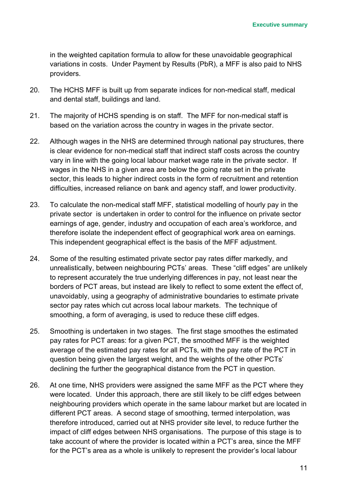in the weighted capitation formula to allow for these unavoidable geographical variations in costs. Under Payment by Results (PbR), a MFF is also paid to NHS providers.

- 20. The HCHS MFF is built up from separate indices for non-medical staff, medical and dental staff, buildings and land.
- 21. The majority of HCHS spending is on staff. The MFF for non-medical staff is based on the variation across the country in wages in the private sector.
- 22. Although wages in the NHS are determined through national pay structures, there is clear evidence for non-medical staff that indirect staff costs across the country vary in line with the going local labour market wage rate in the private sector. If wages in the NHS in a given area are below the going rate set in the private sector, this leads to higher indirect costs in the form of recruitment and retention difficulties, increased reliance on bank and agency staff, and lower productivity.
- 23. To calculate the non-medical staff MFF, statistical modelling of hourly pay in the private sector is undertaken in order to control for the influence on private sector earnings of age, gender, industry and occupation of each area's workforce, and therefore isolate the independent effect of geographical work area on earnings. This independent geographical effect is the basis of the MFF adjustment.
- 24. Some of the resulting estimated private sector pay rates differ markedly, and unrealistically, between neighbouring PCTs' areas. These "cliff edges" are unlikely to represent accurately the true underlying differences in pay, not least near the borders of PCT areas, but instead are likely to reflect to some extent the effect of, unavoidably, using a geography of administrative boundaries to estimate private sector pay rates which cut across local labour markets. The technique of smoothing, a form of averaging, is used to reduce these cliff edges.
- 25. Smoothing is undertaken in two stages. The first stage smoothes the estimated pay rates for PCT areas: for a given PCT, the smoothed MFF is the weighted average of the estimated pay rates for all PCTs, with the pay rate of the PCT in question being given the largest weight, and the weights of the other PCTs' declining the further the geographical distance from the PCT in question.
- 26. At one time, NHS providers were assigned the same MFF as the PCT where they were located. Under this approach, there are still likely to be cliff edges between neighbouring providers which operate in the same labour market but are located in different PCT areas. A second stage of smoothing, termed interpolation, was therefore introduced, carried out at NHS provider site level, to reduce further the impact of cliff edges between NHS organisations. The purpose of this stage is to take account of where the provider is located within a PCT's area, since the MFF for the PCT's area as a whole is unlikely to represent the provider's local labour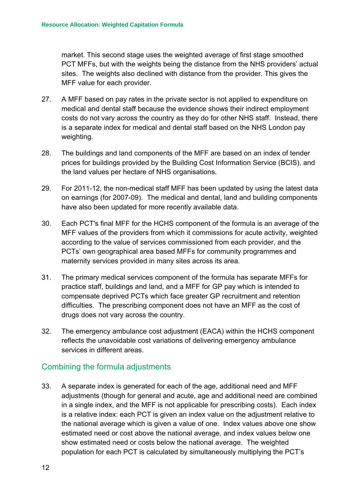<span id="page-17-0"></span>market. This second stage uses the weighted average of first stage smoothed PCT MFFs, but with the weights being the distance from the NHS providers' actual sites. The weights also declined with distance from the provider. This gives the MFF value for each provider.

- 27. A MFF based on pay rates in the private sector is not applied to expenditure on medical and dental staff because the evidence shows their indirect employment costs do not vary across the country as they do for other NHS staff. Instead, there is a separate index for medical and dental staff based on the NHS London pay weighting.
- 28. The buildings and land components of the MFF are based on an index of tender prices for buildings provided by the Building Cost Information Service (BCIS), and the land values per hectare of NHS organisations.
- 29. For 2011-12, the non-medical staff MFF has been updated by using the latest data on earnings (for 2007-09). The medical and dental, land and building components have also been updated for more recently available data.
- 30. Each PCT's final MFF for the HCHS component of the formula is an average of the MFF values of the providers from which it commissions for acute activity, weighted according to the value of services commissioned from each provider, and the PCTs' own geographical area based MFFs for community programmes and maternity services provided in many sites across its area.
- 31. The primary medical services component of the formula has separate MFFs for practice staff, buildings and land, and a MFF for GP pay which is intended to compensate deprived PCTs which face greater GP recruitment and retention difficulties. The prescribing component does not have an MFF as the cost of drugs does not vary across the country.
- 32. The emergency ambulance cost adjustment (EACA) within the HCHS component reflects the unavoidable cost variations of delivering emergency ambulance services in different areas.

## Combining the formula adjustments

33. A separate index is generated for each of the age, additional need and MFF adjustments (though for general and acute, age and additional need are combined in a single index, and the MFF is not applicable for prescribing costs). Each index is a relative index: each PCT is given an index value on the adjustment relative to the national average which is given a value of one. Index values above one show estimated need or cost above the national average, and index values below one show estimated need or costs below the national average. The weighted population for each PCT is calculated by simultaneously multiplying the PCT's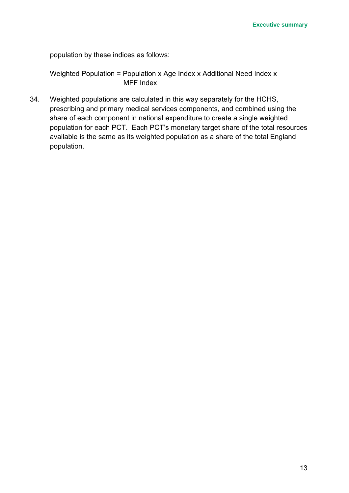population by these indices as follows:

Weighted Population = Population x Age Index x Additional Need Index x MFF Index

34. Weighted populations are calculated in this way separately for the HCHS, prescribing and primary medical services components, and combined using the share of each component in national expenditure to create a single weighted population for each PCT. Each PCT's monetary target share of the total resources available is the same as its weighted population as a share of the total England population.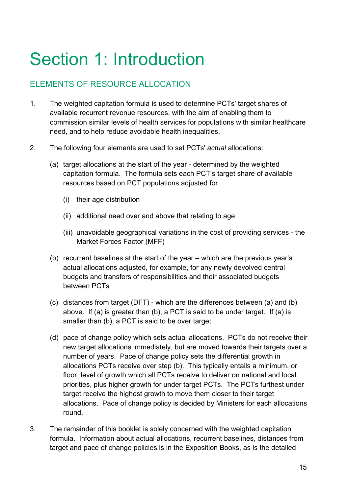# <span id="page-20-0"></span>Section 1: Introduction

## ELEMENTS OF RESOURCE ALLOCATION

- 1. The weighted capitation formula is used to determine PCTs' target shares of available recurrent revenue resources, with the aim of enabling them to commission similar levels of health services for populations with similar healthcare need, and to help reduce avoidable health inequalities.
- 2. The following four elements are used to set PCTs' *actual* allocations:
	- (a) target allocations at the start of the year determined by the weighted capitation formula. The formula sets each PCT's target share of available resources based on PCT populations adjusted for
		- (i) their age distribution
		- (ii) additional need over and above that relating to age
		- (iii) unavoidable geographical variations in the cost of providing services the Market Forces Factor (MFF)
	- (b) recurrent baselines at the start of the year which are the previous year's actual allocations adjusted, for example, for any newly devolved central budgets and transfers of responsibilities and their associated budgets between PCTs
	- (c) distances from target (DFT) which are the differences between (a) and (b) above. If (a) is greater than (b), a PCT is said to be under target. If (a) is smaller than (b), a PCT is said to be over target
	- (d) pace of change policy which sets actual allocations. PCTs do not receive their new target allocations immediately, but are moved towards their targets over a number of years. Pace of change policy sets the differential growth in allocations PCTs receive over step (b). This typically entails a minimum, or floor, level of growth which all PCTs receive to deliver on national and local priorities, plus higher growth for under target PCTs. The PCTs furthest under target receive the highest growth to move them closer to their target allocations. Pace of change policy is decided by Ministers for each allocations round.
- 3. The remainder of this booklet is solely concerned with the weighted capitation formula. Information about actual allocations, recurrent baselines, distances from target and pace of change policies is in the Exposition Books, as is the detailed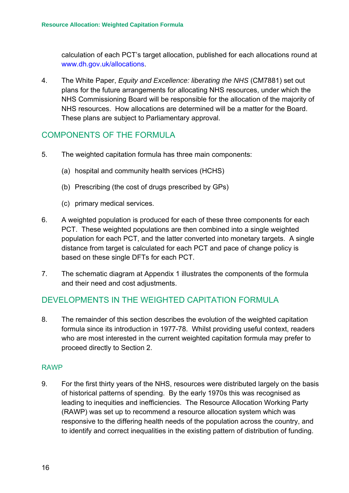<span id="page-21-0"></span>calculation of each PCT's target allocation, published for each allocations round at [www.dh.gov.uk/allocations](http://www.dh.gov.uk/allocations).

4. The White Paper, *Equity and Excellence: liberating the NHS* (CM7881) set out plans for the future arrangements for allocating NHS resources, under which the NHS Commissioning Board will be responsible for the allocation of the majority of NHS resources. How allocations are determined will be a matter for the Board. These plans are subject to Parliamentary approval.

## COMPONENTS OF THE FORMULA

- 5. The weighted capitation formula has three main components:
	- (a) hospital and community health services (HCHS)
	- (b) Prescribing (the cost of drugs prescribed by GPs)
	- (c) primary medical services.
- 6. A weighted population is produced for each of these three components for each PCT. These weighted populations are then combined into a single weighted population for each PCT, and the latter converted into monetary targets. A single distance from target is calculated for each PCT and pace of change policy is based on these single DFTs for each PCT.
- 7. The schematic diagram at Appendix 1 illustrates the components of the formula and their need and cost adjustments.

## DEVELOPMENTS IN THE WEIGHTED CAPITATION FORMULA

8. The remainder of this section describes the evolution of the weighted capitation formula since its introduction in 1977-78. Whilst providing useful context, readers who are most interested in the current weighted capitation formula may prefer to proceed directly to Section 2.

#### RAWP

9. For the first thirty years of the NHS, resources were distributed largely on the basis of historical patterns of spending. By the early 1970s this was recognised as leading to inequities and inefficiencies. The Resource Allocation Working Party (RAWP) was set up to recommend a resource allocation system which was responsive to the differing health needs of the population across the country, and to identify and correct inequalities in the existing pattern of distribution of funding.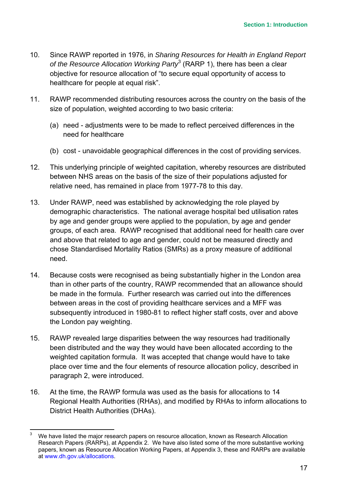- 10. Since RAWP reported in 1976, in *Sharing Resources for Health in England Report*  of the Resource Allocation Working Party<sup>[3](#page-22-0)</sup> (RARP 1), there has been a clear objective for resource allocation of "to secure equal opportunity of access to healthcare for people at equal risk".
- 11. RAWP recommended distributing resources across the country on the basis of the size of population, weighted according to two basic criteria:
	- (a) need adjustments were to be made to reflect perceived differences in the need for healthcare
	- (b) cost unavoidable geographical differences in the cost of providing services.
- 12. This underlying principle of weighted capitation, whereby resources are distributed between NHS areas on the basis of the size of their populations adjusted for relative need, has remained in place from 1977-78 to this day.
- 13. Under RAWP, need was established by acknowledging the role played by demographic characteristics. The national average hospital bed utilisation rates by age and gender groups were applied to the population, by age and gender groups, of each area. RAWP recognised that additional need for health care over and above that related to age and gender, could not be measured directly and chose Standardised Mortality Ratios (SMRs) as a proxy measure of additional need.
- 14. Because costs were recognised as being substantially higher in the London area than in other parts of the country, RAWP recommended that an allowance should be made in the formula. Further research was carried out into the differences between areas in the cost of providing healthcare services and a MFF was subsequently introduced in 1980-81 to reflect higher staff costs, over and above the London pay weighting.
- 15. RAWP revealed large disparities between the way resources had traditionally been distributed and the way they would have been allocated according to the weighted capitation formula. It was accepted that change would have to take place over time and the four elements of resource allocation policy, described in paragraph 2, were introduced.
- 16. At the time, the RAWP formula was used as the basis for allocations to 14 Regional Health Authorities (RHAs), and modified by RHAs to inform allocations to District Health Authorities (DHAs).

<span id="page-22-0"></span> <sup>3</sup> We have listed the major research papers on resource allocation, known as Research Allocation Research Papers (RARPs), at Appendix 2. We have also listed some of the more substantive working papers, known as Resource Allocation Working Papers, at Appendix 3, these and RARPs are available at www.dh.gov.uk/allocations.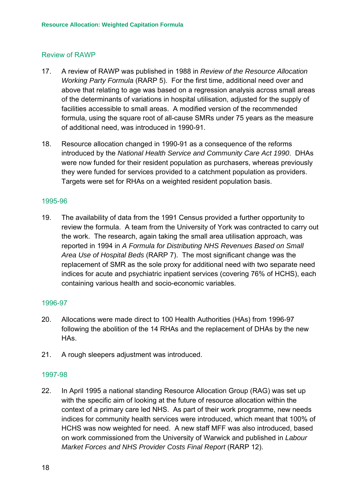#### <span id="page-23-0"></span>Review of RAWP

- 17. A review of RAWP was published in 1988 in *Review of the Resource Allocation Working Party Formula* (RARP 5). For the first time, additional need over and above that relating to age was based on a regression analysis across small areas of the determinants of variations in hospital utilisation, adjusted for the supply of facilities accessible to small areas. A modified version of the recommended formula, using the square root of all-cause SMRs under 75 years as the measure of additional need, was introduced in 1990-91.
- 18. Resource allocation changed in 1990-91 as a consequence of the reforms introduced by the *National Health Service and Community Care Act 1990*. DHAs were now funded for their resident population as purchasers, whereas previously they were funded for services provided to a catchment population as providers. Targets were set for RHAs on a weighted resident population basis.

#### 1995-96

19. The availability of data from the 1991 Census provided a further opportunity to review the formula. A team from the University of York was contracted to carry out the work. The research, again taking the small area utilisation approach, was reported in 1994 in *A Formula for Distributing NHS Revenues Based on Small Area Use of Hospital Beds* (RARP 7). The most significant change was the replacement of SMR as the sole proxy for additional need with two separate need indices for acute and psychiatric inpatient services (covering 76% of HCHS), each containing various health and socio-economic variables.

#### 1996-97

- 20. Allocations were made direct to 100 Health Authorities (HAs) from 1996-97 following the abolition of the 14 RHAs and the replacement of DHAs by the new HAs.
- 21. A rough sleepers adjustment was introduced.

#### 1997-98

22. In April 1995 a national standing Resource Allocation Group (RAG) was set up with the specific aim of looking at the future of resource allocation within the context of a primary care led NHS. As part of their work programme, new needs indices for community health services were introduced, which meant that 100% of HCHS was now weighted for need. A new staff MFF was also introduced, based on work commissioned from the University of Warwick and published in *Labour Market Forces and NHS Provider Costs Final Report* (RARP 12).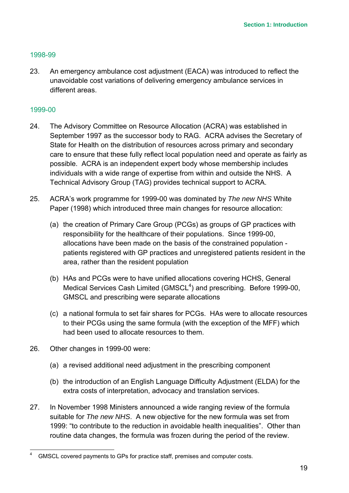#### <span id="page-24-0"></span>1998-99

23. An emergency ambulance cost adjustment (EACA) was introduced to reflect the unavoidable cost variations of delivering emergency ambulance services in different areas.

#### 1999-00

- 24. The Advisory Committee on Resource Allocation (ACRA) was established in September 1997 as the successor body to RAG. ACRA advises the Secretary of State for Health on the distribution of resources across primary and secondary care to ensure that these fully reflect local population need and operate as fairly as possible. ACRA is an independent expert body whose membership includes individuals with a wide range of expertise from within and outside the NHS. A Technical Advisory Group (TAG) provides technical support to ACRA.
- 25. ACRA's work programme for 1999-00 was dominated by *The new NHS* White Paper (1998) which introduced three main changes for resource allocation:
	- (a) the creation of Primary Care Group (PCGs) as groups of GP practices with responsibility for the healthcare of their populations. Since 1999-00, allocations have been made on the basis of the constrained population patients registered with GP practices and unregistered patients resident in the area, rather than the resident population
	- (b) HAs and PCGs were to have unified allocations covering HCHS, General Medical Services Cash Limited (GMSCL<sup>[4](#page-24-1)</sup>) and prescribing. Before 1999-00, GMSCL and prescribing were separate allocations
	- (c) a national formula to set fair shares for PCGs. HAs were to allocate resources to their PCGs using the same formula (with the exception of the MFF) which had been used to allocate resources to them.
- 26. Other changes in 1999-00 were:
	- (a) a revised additional need adjustment in the prescribing component
	- (b) the introduction of an English Language Difficulty Adjustment (ELDA) for the extra costs of interpretation, advocacy and translation services.
- 27. In November 1998 Ministers announced a wide ranging review of the formula suitable for *The new NHS*. A new objective for the new formula was set from 1999: "to contribute to the reduction in avoidable health inequalities". Other than routine data changes, the formula was frozen during the period of the review.

<span id="page-24-1"></span> <sup>4</sup> GMSCL covered payments to GPs for practice staff, premises and computer costs.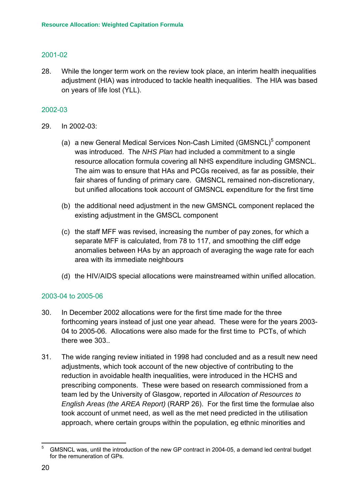#### <span id="page-25-0"></span>2001-02

28. While the longer term work on the review took place, an interim health inequalities adjustment (HIA) was introduced to tackle health inequalities. The HIA was based on years of life lost (YLL).

#### 2002-03

- 29. In 2002-03:
	- (a) a new General Medical Services Non-Cash Limited (GMSNCL)<sup>[5](#page-25-1)</sup> component was introduced. The *NHS Plan* had included a commitment to a single resource allocation formula covering all NHS expenditure including GMSNCL. The aim was to ensure that HAs and PCGs received, as far as possible, their fair shares of funding of primary care. GMSNCL remained non-discretionary, but unified allocations took account of GMSNCL expenditure for the first time
	- (b) the additional need adjustment in the new GMSNCL component replaced the existing adjustment in the GMSCL component
	- (c) the staff MFF was revised, increasing the number of pay zones, for which a separate MFF is calculated, from 78 to 117, and smoothing the cliff edge anomalies between HAs by an approach of averaging the wage rate for each area with its immediate neighbours
	- (d) the HIV/AIDS special allocations were mainstreamed within unified allocation.

#### 2003-04 to 2005-06

- 30. In December 2002 allocations were for the first time made for the three forthcoming years instead of just one year ahead. These were for the years 2003- 04 to 2005-06. Allocations were also made for the first time to PCTs, of which there wee 303
- 31. The wide ranging review initiated in 1998 had concluded and as a result new need adjustments, which took account of the new objective of contributing to the reduction in avoidable health inequalities, were introduced in the HCHS and prescribing components. These were based on research commissioned from a team led by the University of Glasgow, reported in *Allocation of Resources to English Areas (the AREA Report)* (RARP 26). For the first time the formulae also took account of unmet need, as well as the met need predicted in the utilisation approach, where certain groups within the population, eg ethnic minorities and

<span id="page-25-1"></span> <sup>5</sup> GMSNCL was, until the introduction of the new GP contract in 2004-05, a demand led central budget for the remuneration of GPs.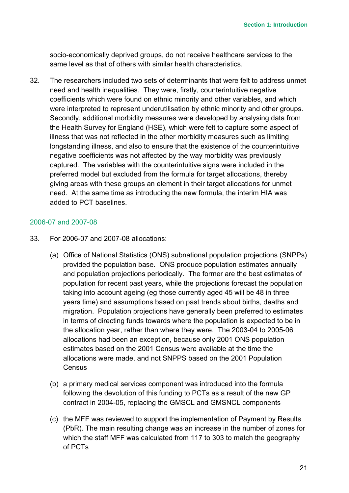<span id="page-26-0"></span>socio-economically deprived groups, do not receive healthcare services to the same level as that of others with similar health characteristics.

32. The researchers included two sets of determinants that were felt to address unmet need and health inequalities. They were, firstly, counterintuitive negative coefficients which were found on ethnic minority and other variables, and which were interpreted to represent underutilisation by ethnic minority and other groups. Secondly, additional morbidity measures were developed by analysing data from the Health Survey for England (HSE), which were felt to capture some aspect of illness that was not reflected in the other morbidity measures such as limiting longstanding illness, and also to ensure that the existence of the counterintuitive negative coefficients was not affected by the way morbidity was previously captured. The variables with the counterintuitive signs were included in the preferred model but excluded from the formula for target allocations, thereby giving areas with these groups an element in their target allocations for unmet need. At the same time as introducing the new formula, the interim HIA was added to PCT baselines.

#### 2006-07 and 2007-08

- 33. For 2006-07 and 2007-08 allocations:
	- (a) Office of National Statistics (ONS) subnational population projections (SNPPs) provided the population base. ONS produce population estimates annually and population projections periodically. The former are the best estimates of population for recent past years, while the projections forecast the population taking into account ageing (eg those currently aged 45 will be 48 in three years time) and assumptions based on past trends about births, deaths and migration. Population projections have generally been preferred to estimates in terms of directing funds towards where the population is expected to be in the allocation year, rather than where they were. The 2003-04 to 2005-06 allocations had been an exception, because only 2001 ONS population estimates based on the 2001 Census were available at the time the allocations were made, and not SNPPS based on the 2001 Population **Census**
	- (b) a primary medical services component was introduced into the formula following the devolution of this funding to PCTs as a result of the new GP contract in 2004-05, replacing the GMSCL and GMSNCL components
	- (c) the MFF was reviewed to support the implementation of Payment by Results (PbR). The main resulting change was an increase in the number of zones for which the staff MFF was calculated from 117 to 303 to match the geography of PCTs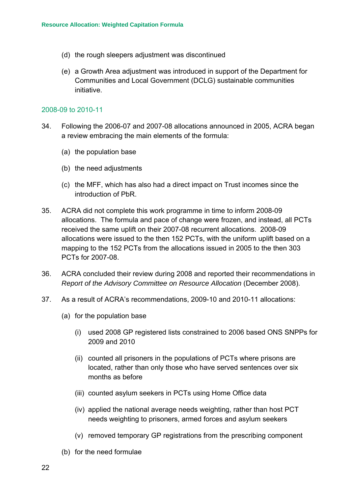- <span id="page-27-0"></span>(d) the rough sleepers adjustment was discontinued
- (e) a Growth Area adjustment was introduced in support of the Department for Communities and Local Government (DCLG) sustainable communities initiative.

#### 2008-09 to 2010-11

- 34. Following the 2006-07 and 2007-08 allocations announced in 2005, ACRA began a review embracing the main elements of the formula:
	- (a) the population base
	- (b) the need adjustments
	- (c) the MFF, which has also had a direct impact on Trust incomes since the introduction of PbR.
- 35. ACRA did not complete this work programme in time to inform 2008-09 allocations. The formula and pace of change were frozen, and instead, all PCTs received the same uplift on their 2007-08 recurrent allocations. 2008-09 allocations were issued to the then 152 PCTs, with the uniform uplift based on a mapping to the 152 PCTs from the allocations issued in 2005 to the then 303 PCTs for 2007-08.
- 36. ACRA concluded their review during 2008 and reported their recommendations in *Report of the Advisory Committee on Resource Allocation* (December 2008).
- 37. As a result of ACRA's recommendations, 2009-10 and 2010-11 allocations:
	- (a) for the population base
		- (i) used 2008 GP registered lists constrained to 2006 based ONS SNPPs for 2009 and 2010
		- (ii) counted all prisoners in the populations of PCTs where prisons are located, rather than only those who have served sentences over six months as before
		- (iii) counted asylum seekers in PCTs using Home Office data
		- (iv) applied the national average needs weighting, rather than host PCT needs weighting to prisoners, armed forces and asylum seekers
		- (v) removed temporary GP registrations from the prescribing component
	- (b) for the need formulae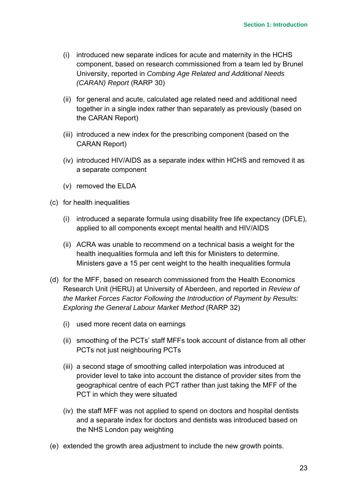- (i) introduced new separate indices for acute and maternity in the HCHS component, based on research commissioned from a team led by Brunel University, reported in *Combing Age Related and Additional Needs (CARAN) Report* (RARP 30)
- (ii) for general and acute, calculated age related need and additional need together in a single index rather than separately as previously (based on the CARAN Report)
- (iii) introduced a new index for the prescribing component (based on the CARAN Report)
- (iv) introduced HIV/AIDS as a separate index within HCHS and removed it as a separate component
- (v) removed the ELDA
- (c) for health inequalities
	- (i) introduced a separate formula using disability free life expectancy (DFLE), applied to all components except mental health and HIV/AIDS
	- (ii) ACRA was unable to recommend on a technical basis a weight for the health inequalities formula and left this for Ministers to determine. Ministers gave a 15 per cent weight to the health inequalities formula
- (d) for the MFF, based on research commissioned from the Health Economics Research Unit (HERU) at University of Aberdeen, and reported in *Review of the Market Forces Factor Following the Introduction of Payment by Results: Exploring the General Labour Market Method* (RARP 32)
	- (i) used more recent data on earnings
	- (ii) smoothing of the PCTs' staff MFFs took account of distance from all other PCTs not just neighbouring PCTs
	- (iii) a second stage of smoothing called interpolation was introduced at provider level to take into account the distance of provider sites from the geographical centre of each PCT rather than just taking the MFF of the PCT in which they were situated
	- (iv) the staff MFF was not applied to spend on doctors and hospital dentists and a separate index for doctors and dentists was introduced based on the NHS London pay weighting
- (e) extended the growth area adjustment to include the new growth points.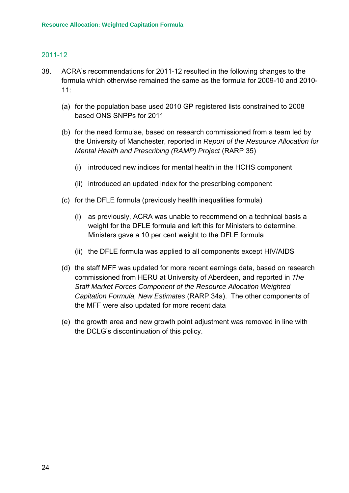#### <span id="page-29-0"></span>2011-12

- 38. ACRA's recommendations for 2011-12 resulted in the following changes to the formula which otherwise remained the same as the formula for 2009-10 and 2010- 11:
	- (a) for the population base used 2010 GP registered lists constrained to 2008 based ONS SNPPs for 2011
	- (b) for the need formulae, based on research commissioned from a team led by the University of Manchester, reported in *Report of the Resource Allocation for Mental Health and Prescribing (RAMP) Project* (RARP 35)
		- (i) introduced new indices for mental health in the HCHS component
		- (ii) introduced an updated index for the prescribing component
	- (c) for the DFLE formula (previously health inequalities formula)
		- (i) as previously, ACRA was unable to recommend on a technical basis a weight for the DFLE formula and left this for Ministers to determine. Ministers gave a 10 per cent weight to the DFLE formula
		- (ii) the DFLE formula was applied to all components except HIV/AIDS
	- (d) the staff MFF was updated for more recent earnings data, based on research commissioned from HERU at University of Aberdeen, and reported in *The Staff Market Forces Component of the Resource Allocation Weighted Capitation Formula, New Estimates* (RARP 34a). The other components of the MFF were also updated for more recent data
	- (e) the growth area and new growth point adjustment was removed in line with the DCLG's discontinuation of this policy.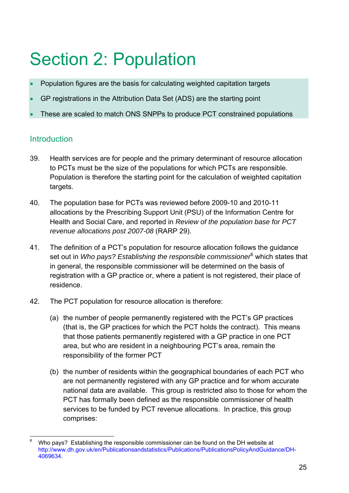# <span id="page-30-0"></span>Section 2: Population

- Population figures are the basis for calculating weighted capitation targets
- GP registrations in the Attribution Data Set (ADS) are the starting point
- These are scaled to match ONS SNPPs to produce PCT constrained populations

## **Introduction**

- 39. Health services are for people and the primary determinant of resource allocation to PCTs must be the size of the populations for which PCTs are responsible. Population is therefore the starting point for the calculation of weighted capitation targets.
- 40. The population base for PCTs was reviewed before 2009-10 and 2010-11 allocations by the Prescribing Support Unit (PSU) of the Information Centre for Health and Social Care, and reported in *Review of the population base for PCT revenue allocations post 2007-08* (RARP 29).
- 41. The definition of a PCT's population for resource allocation follows the guidance set out in *Who pays? Establishing the responsible commissioner*<sup>[6](#page-30-1)</sup> which states that in general, the responsible commissioner will be determined on the basis of registration with a GP practice or, where a patient is not registered, their place of residence.
- 42. The PCT population for resource allocation is therefore:
	- (a) the number of people permanently registered with the PCT's GP practices (that is, the GP practices for which the PCT holds the contract). This means that those patients permanently registered with a GP practice in one PCT area, but who are resident in a neighbouring PCT's area, remain the responsibility of the former PCT
	- (b) the number of residents within the geographical boundaries of each PCT who are not permanently registered with any GP practice and for whom accurate national data are available. This group is restricted also to those for whom the PCT has formally been defined as the responsible commissioner of health services to be funded by PCT revenue allocations. In practice, this group comprises:

<span id="page-30-1"></span> <sup>6</sup> Who pays? Establishing the responsible commissioner can be found on the DH website at http://www.dh.gov.uk/en/Publicationsandstatistics/Publications/PublicationsPolicyAndGuidance/DH-4069634.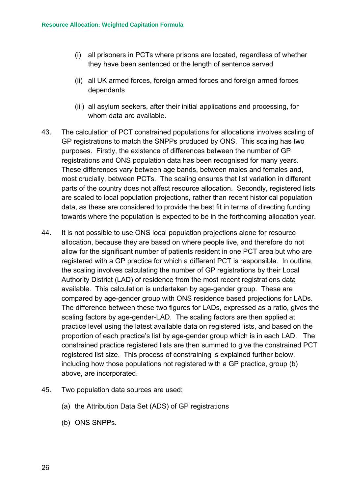- (i) all prisoners in PCTs where prisons are located, regardless of whether they have been sentenced or the length of sentence served
- (ii) all UK armed forces, foreign armed forces and foreign armed forces dependants
- (iii) all asylum seekers, after their initial applications and processing, for whom data are available.
- 43. The calculation of PCT constrained populations for allocations involves scaling of GP registrations to match the SNPPs produced by ONS. This scaling has two purposes. Firstly, the existence of differences between the number of GP registrations and ONS population data has been recognised for many years. These differences vary between age bands, between males and females and, most crucially, between PCTs. The scaling ensures that list variation in different parts of the country does not affect resource allocation. Secondly, registered lists are scaled to local population projections, rather than recent historical population data, as these are considered to provide the best fit in terms of directing funding towards where the population is expected to be in the forthcoming allocation year.
- 44. It is not possible to use ONS local population projections alone for resource allocation, because they are based on where people live, and therefore do not allow for the significant number of patients resident in one PCT area but who are registered with a GP practice for which a different PCT is responsible. In outline, the scaling involves calculating the number of GP registrations by their Local Authority District (LAD) of residence from the most recent registrations data available. This calculation is undertaken by age-gender group. These are compared by age-gender group with ONS residence based projections for LADs. The difference between these two figures for LADs, expressed as a ratio, gives the scaling factors by age-gender-LAD. The scaling factors are then applied at practice level using the latest available data on registered lists, and based on the proportion of each practice's list by age-gender group which is in each LAD. The constrained practice registered lists are then summed to give the constrained PCT registered list size. This process of constraining is explained further below, including how those populations not registered with a GP practice, group (b) above, are incorporated.
- 45. Two population data sources are used:
	- (a) the Attribution Data Set (ADS) of GP registrations
	- (b) ONS SNPPs.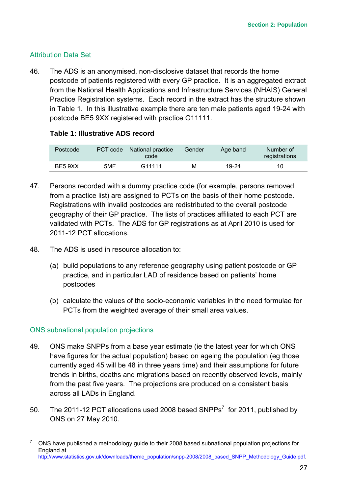#### <span id="page-32-0"></span>Attribution Data Set

46. The ADS is an anonymised, non-disclosive dataset that records the home postcode of patients registered with every GP practice. It is an aggregated extract from the National Health Applications and Infrastructure Services (NHAIS) General Practice Registration systems. Each record in the extract has the structure shown in Table 1. In this illustrative example there are ten male patients aged 19-24 with postcode BE5 9XX registered with practice G11111.

#### **Table 1: Illustrative ADS record**

| Postcode |     | PCT code National practice<br>code | Gender | Age band | Number of<br>registrations |
|----------|-----|------------------------------------|--------|----------|----------------------------|
| BE5 9XX  | 5MF | G <sub>11111</sub>                 | М      | 19-24    | 10                         |

- 47. Persons recorded with a dummy practice code (for example, persons removed from a practice list) are assigned to PCTs on the basis of their home postcode. Registrations with invalid postcodes are redistributed to the overall postcode geography of their GP practice. The lists of practices affiliated to each PCT are validated with PCTs. The ADS for GP registrations as at April 2010 is used for 2011-12 PCT allocations.
- 48. The ADS is used in resource allocation to:
	- (a) build populations to any reference geography using patient postcode or GP practice, and in particular LAD of residence based on patients' home postcodes
	- (b) calculate the values of the socio-economic variables in the need formulae for PCTs from the weighted average of their small area values.

#### ONS subnational population projections

- 49. ONS make SNPPs from a base year estimate (ie the latest year for which ONS have figures for the actual population) based on ageing the population (eg those currently aged 45 will be 48 in three years time) and their assumptions for future trends in births, deaths and migrations based on recently observed levels, mainly from the past five years. The projections are produced on a consistent basis across all LADs in England.
- 50. The 2011-12 PCT allocations used 2008 based SNPPs<sup>[7](#page-32-1)</sup> for 2011, published by ONS on 27 May 2010.

<span id="page-32-1"></span> <sup>7</sup> ONS have published a methodology guide to their 2008 based subnational population projections for England at http://www.statistics.gov.uk/downloads/theme\_population/snpp-2008/2008\_based\_SNPP\_Methodology\_Guide.pdf.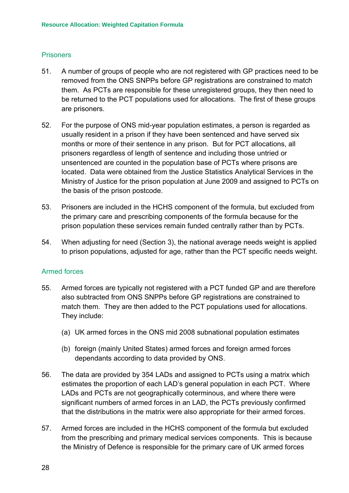#### <span id="page-33-0"></span>**Prisoners**

- 51. A number of groups of people who are not registered with GP practices need to be removed from the ONS SNPPs before GP registrations are constrained to match them. As PCTs are responsible for these unregistered groups, they then need to be returned to the PCT populations used for allocations. The first of these groups are prisoners.
- 52. For the purpose of ONS mid-year population estimates, a person is regarded as usually resident in a prison if they have been sentenced and have served six months or more of their sentence in any prison. But for PCT allocations, all prisoners regardless of length of sentence and including those untried or unsentenced are counted in the population base of PCTs where prisons are located. Data were obtained from the Justice Statistics Analytical Services in the Ministry of Justice for the prison population at June 2009 and assigned to PCTs on the basis of the prison postcode.
- 53. Prisoners are included in the HCHS component of the formula, but excluded from the primary care and prescribing components of the formula because for the prison population these services remain funded centrally rather than by PCTs.
- 54. When adjusting for need (Section 3), the national average needs weight is applied to prison populations, adjusted for age, rather than the PCT specific needs weight.

#### Armed forces

- 55. Armed forces are typically not registered with a PCT funded GP and are therefore also subtracted from ONS SNPPs before GP registrations are constrained to match them. They are then added to the PCT populations used for allocations. They include:
	- (a) UK armed forces in the ONS mid 2008 subnational population estimates
	- (b) foreign (mainly United States) armed forces and foreign armed forces dependants according to data provided by ONS.
- 56. The data are provided by 354 LADs and assigned to PCTs using a matrix which estimates the proportion of each LAD's general population in each PCT. Where LADs and PCTs are not geographically coterminous, and where there were significant numbers of armed forces in an LAD, the PCTs previously confirmed that the distributions in the matrix were also appropriate for their armed forces.
- 57. Armed forces are included in the HCHS component of the formula but excluded from the prescribing and primary medical services components. This is because the Ministry of Defence is responsible for the primary care of UK armed forces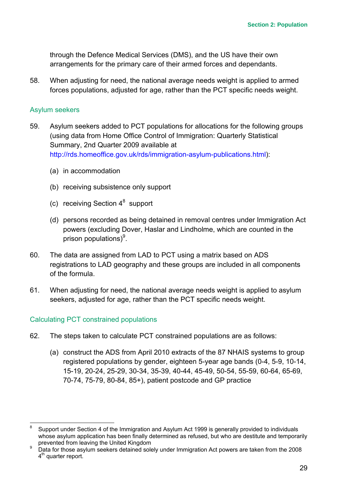<span id="page-34-0"></span>through the Defence Medical Services (DMS), and the US have their own arrangements for the primary care of their armed forces and dependants.

58. When adjusting for need, the national average needs weight is applied to armed forces populations, adjusted for age, rather than the PCT specific needs weight.

#### Asylum seekers

- 59. Asylum seekers added to PCT populations for allocations for the following groups (using data from Home Office Control of Immigration: Quarterly Statistical Summary, 2nd Quarter 2009 available at <http://rds.homeoffice.gov.uk/rds/immigration-asylum-publications.html>):
	- (a) in accommodation
	- (b) receiving subsistence only support
	- (c) receiving Section  $4^8$  $4^8$  support
	- (d) persons recorded as being detained in removal centres under Immigration Act powers (excluding Dover, Haslar and Lindholme, which are counted in the prison populations)<sup>[9](#page-34-2)</sup>.
- 60. The data are assigned from LAD to PCT using a matrix based on ADS registrations to LAD geography and these groups are included in all components of the formula.
- 61. When adjusting for need, the national average needs weight is applied to asylum seekers, adjusted for age, rather than the PCT specific needs weight.

#### Calculating PCT constrained populations

- 62. The steps taken to calculate PCT constrained populations are as follows:
	- (a) construct the ADS from April 2010 extracts of the 87 NHAIS systems to group registered populations by gender, eighteen 5-year age bands (0-4, 5-9, 10-14, 15-19, 20-24, 25-29, 30-34, 35-39, 40-44, 45-49, 50-54, 55-59, 60-64, 65-69, 70-74, 75-79, 80-84, 85+), patient postcode and GP practice

<span id="page-34-1"></span> <sup>8</sup> Support under Section 4 of the Immigration and Asylum Act 1999 is generally provided to individuals whose asylum application has been finally determined as refused, but who are destitute and temporarily prevented from leaving the United Kingdom

<span id="page-34-2"></span><sup>9</sup> Data for those asylum seekers detained solely under Immigration Act powers are taken from the 2008 4<sup>th</sup> quarter report.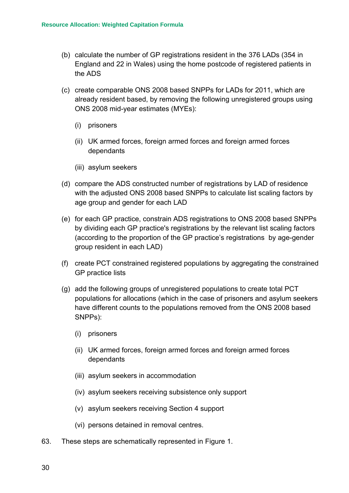- (b) calculate the number of GP registrations resident in the 376 LADs (354 in England and 22 in Wales) using the home postcode of registered patients in the ADS
- (c) create comparable ONS 2008 based SNPPs for LADs for 2011, which are already resident based, by removing the following unregistered groups using ONS 2008 mid-year estimates (MYEs):
	- (i) prisoners
	- (ii) UK armed forces, foreign armed forces and foreign armed forces dependants
	- (iii) asylum seekers
- (d) compare the ADS constructed number of registrations by LAD of residence with the adjusted ONS 2008 based SNPPs to calculate list scaling factors by age group and gender for each LAD
- (e) for each GP practice, constrain ADS registrations to ONS 2008 based SNPPs by dividing each GP practice's registrations by the relevant list scaling factors (according to the proportion of the GP practice's registrations by age-gender group resident in each LAD)
- (f) create PCT constrained registered populations by aggregating the constrained GP practice lists
- (g) add the following groups of unregistered populations to create total PCT populations for allocations (which in the case of prisoners and asylum seekers have different counts to the populations removed from the ONS 2008 based SNPPs):
	- (i) prisoners
	- (ii) UK armed forces, foreign armed forces and foreign armed forces dependants
	- (iii) asylum seekers in accommodation
	- (iv) asylum seekers receiving subsistence only support
	- (v) asylum seekers receiving Section 4 support
	- (vi) persons detained in removal centres.
- 63. These steps are schematically represented in Figure 1.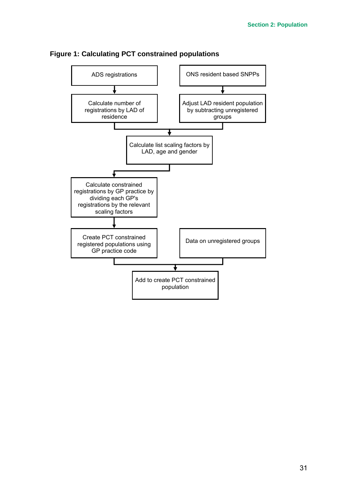

**Figure 1: Calculating PCT constrained populations**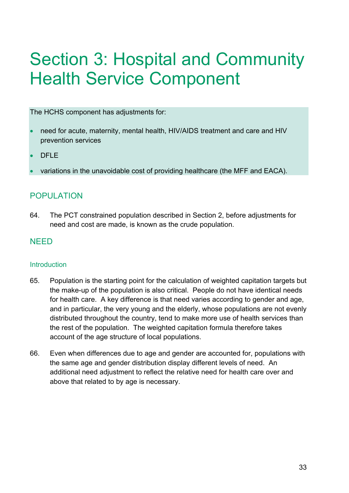# Section 3: Hospital and Community Health Service Component

The HCHS component has adjustments for:

- need for acute, maternity, mental health, HIV/AIDS treatment and care and HIV prevention services
- DFLF
- variations in the unavoidable cost of providing healthcare (the MFF and EACA).

# POPULATION

64. The PCT constrained population described in Section 2, before adjustments for need and cost are made, is known as the crude population.

# NEED

## **Introduction**

- 65. Population is the starting point for the calculation of weighted capitation targets but the make-up of the population is also critical. People do not have identical needs for health care. A key difference is that need varies according to gender and age, and in particular, the very young and the elderly, whose populations are not evenly distributed throughout the country, tend to make more use of health services than the rest of the population. The weighted capitation formula therefore takes account of the age structure of local populations.
- 66. Even when differences due to age and gender are accounted for, populations with the same age and gender distribution display different levels of need. An additional need adjustment to reflect the relative need for health care over and above that related to by age is necessary.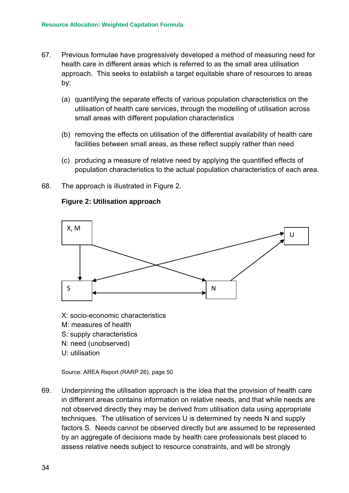- 67. Previous formulae have progressively developed a method of measuring need for health care in different areas which is referred to as the small area utilisation approach. This seeks to establish a target equitable share of resources to areas by:
	- (a) quantifying the separate effects of various population characteristics on the utilisation of health care services, through the modelling of utilisation across small areas with different population characteristics
	- (b) removing the effects on utilisation of the differential availability of health care facilities between small areas, as these reflect supply rather than need
	- (c) producing a measure of relative need by applying the quantified effects of population characteristics to the actual population characteristics of each area.
- 68. The approach is illustrated in Figure 2.



#### **Figure 2: Utilisation approach**

- X: socio-economic characteristics
- M: measures of health
- S: supply characteristics
- N: need (unobserved)
- U: utilisation

Source: AREA Report (RARP 26), page 50

69. Underpinning the utilisation approach is the idea that the provision of health care in different areas contains information on relative needs, and that while needs are not observed directly they may be derived from utilisation data using appropriate techniques. The utilisation of services U is determined by needs N and supply factors S. Needs cannot be observed directly but are assumed to be represented by an aggregate of decisions made by health care professionals best placed to assess relative needs subject to resource constraints, and will be strongly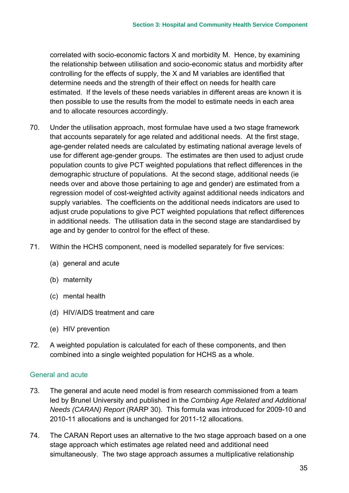correlated with socio-economic factors X and morbidity M. Hence, by examining the relationship between utilisation and socio-economic status and morbidity after controlling for the effects of supply, the X and M variables are identified that determine needs and the strength of their effect on needs for health care estimated. If the levels of these needs variables in different areas are known it is then possible to use the results from the model to estimate needs in each area and to allocate resources accordingly.

- 70. Under the utilisation approach, most formulae have used a two stage framework that accounts separately for age related and additional needs. At the first stage, age-gender related needs are calculated by estimating national average levels of use for different age-gender groups. The estimates are then used to adjust crude population counts to give PCT weighted populations that reflect differences in the demographic structure of populations. At the second stage, additional needs (ie needs over and above those pertaining to age and gender) are estimated from a regression model of cost-weighted activity against additional needs indicators and supply variables. The coefficients on the additional needs indicators are used to adjust crude populations to give PCT weighted populations that reflect differences in additional needs. The utilisation data in the second stage are standardised by age and by gender to control for the effect of these.
- 71. Within the HCHS component, need is modelled separately for five services:
	- (a) general and acute
	- (b) maternity
	- (c) mental health
	- (d) HIV/AIDS treatment and care
	- (e) HIV prevention
- 72. A weighted population is calculated for each of these components, and then combined into a single weighted population for HCHS as a whole.

## General and acute

- 73. The general and acute need model is from research commissioned from a team led by Brunel University and published in the *Combing Age Related and Additional Needs (CARAN) Report* (RARP 30). This formula was introduced for 2009-10 and 2010-11 allocations and is unchanged for 2011-12 allocations.
- 74. The CARAN Report uses an alternative to the two stage approach based on a one stage approach which estimates age related need and additional need simultaneously. The two stage approach assumes a multiplicative relationship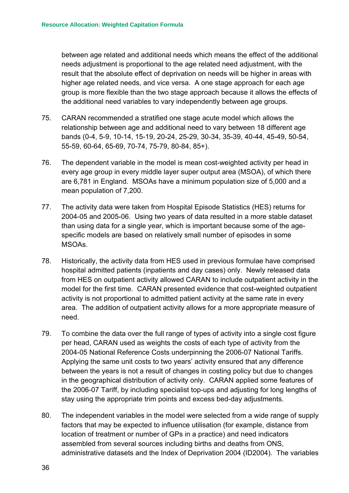between age related and additional needs which means the effect of the additional needs adjustment is proportional to the age related need adjustment, with the result that the absolute effect of deprivation on needs will be higher in areas with higher age related needs, and vice versa. A one stage approach for each age group is more flexible than the two stage approach because it allows the effects of the additional need variables to vary independently between age groups.

- 75. CARAN recommended a stratified one stage acute model which allows the relationship between age and additional need to vary between 18 different age bands (0-4, 5-9, 10-14, 15-19, 20-24, 25-29, 30-34, 35-39, 40-44, 45-49, 50-54, 55-59, 60-64, 65-69, 70-74, 75-79, 80-84, 85+).
- 76. The dependent variable in the model is mean cost-weighted activity per head in every age group in every middle layer super output area (MSOA), of which there are 6,781 in England. MSOAs have a minimum population size of 5,000 and a mean population of 7,200.
- 77. The activity data were taken from Hospital Episode Statistics (HES) returns for 2004-05 and 2005-06. Using two years of data resulted in a more stable dataset than using data for a single year, which is important because some of the agespecific models are based on relatively small number of episodes in some MSOAs.
- 78. Historically, the activity data from HES used in previous formulae have comprised hospital admitted patients (inpatients and day cases) only. Newly released data from HES on outpatient activity allowed CARAN to include outpatient activity in the model for the first time. CARAN presented evidence that cost-weighted outpatient activity is not proportional to admitted patient activity at the same rate in every area. The addition of outpatient activity allows for a more appropriate measure of need.
- 79. To combine the data over the full range of types of activity into a single cost figure per head, CARAN used as weights the costs of each type of activity from the 2004-05 National Reference Costs underpinning the 2006-07 National Tariffs. Applying the same unit costs to two years' activity ensured that any difference between the years is not a result of changes in costing policy but due to changes in the geographical distribution of activity only. CARAN applied some features of the 2006-07 Tariff, by including specialist top-ups and adjusting for long lengths of stay using the appropriate trim points and excess bed-day adjustments.
- 80. The independent variables in the model were selected from a wide range of supply factors that may be expected to influence utilisation (for example, distance from location of treatment or number of GPs in a practice) and need indicators assembled from several sources including births and deaths from ONS, administrative datasets and the Index of Deprivation 2004 (ID2004). The variables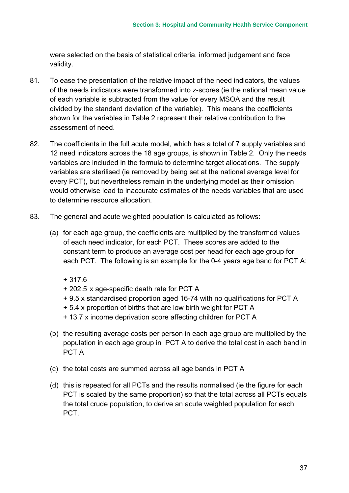were selected on the basis of statistical criteria, informed judgement and face validity.

- 81. To ease the presentation of the relative impact of the need indicators, the values of the needs indicators were transformed into z-scores (ie the national mean value of each variable is subtracted from the value for every MSOA and the result divided by the standard deviation of the variable). This means the coefficients shown for the variables in [Table 2](#page-43-0) represent their relative contribution to the assessment of need.
- 82. The coefficients in the full acute model, which has a total of 7 supply variables and 12 need indicators across the 18 age groups, is shown in [Table 2.](#page-43-0) Only the needs variables are included in the formula to determine target allocations. The supply variables are sterilised (ie removed by being set at the national average level for every PCT), but nevertheless remain in the underlying model as their omission would otherwise lead to inaccurate estimates of the needs variables that are used to determine resource allocation.
- 83. The general and acute weighted population is calculated as follows:
	- (a) for each age group, the coefficients are multiplied by the transformed values of each need indicator, for each PCT. These scores are added to the constant term to produce an average cost per head for each age group for each PCT. The following is an example for the 0-4 years age band for PCT A:
		- + 317.6
		- + 202.5 x age-specific death rate for PCT A
		- + 9.5 x standardised proportion aged 16-74 with no qualifications for PCT A
		- + 5.4 x proportion of births that are low birth weight for PCT A
		- + 13.7 x income deprivation score affecting children for PCT A
	- (b) the resulting average costs per person in each age group are multiplied by the population in each age group in PCT A to derive the total cost in each band in PCT A
	- (c) the total costs are summed across all age bands in PCT A
	- (d) this is repeated for all PCTs and the results normalised (ie the figure for each PCT is scaled by the same proportion) so that the total across all PCTs equals the total crude population, to derive an acute weighted population for each PCT.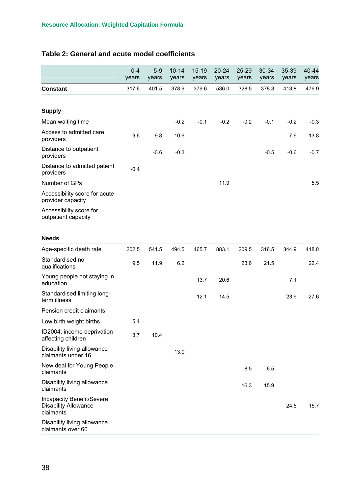## <span id="page-43-0"></span>**Table 2: General and acute model coefficients**

|                                                                       | $0 - 4$<br>years | $5-9$<br>years | $10 - 14$<br>years | $15 - 19$<br>years | $20 - 24$<br>years | $25 - 29$<br>years | 30-34<br>years | 35-39<br>years | 40-44<br>years |
|-----------------------------------------------------------------------|------------------|----------------|--------------------|--------------------|--------------------|--------------------|----------------|----------------|----------------|
| <b>Constant</b>                                                       | 317.6            | 401.5          | 378.9              | 379.6              | 536.0              | 328.5              | 378.3          | 413.8          | 476.9          |
|                                                                       |                  |                |                    |                    |                    |                    |                |                |                |
| <b>Supply</b>                                                         |                  |                |                    |                    |                    |                    |                |                |                |
| Mean waiting time                                                     |                  |                | $-0.2$             | $-0.1$             | $-0.2$             | $-0.2$             | $-0.1$         | $-0.2$         | $-0.3$         |
| Access to admitted care<br>providers                                  | 9.6              | 9.8            | 10.6               |                    |                    |                    |                | 7.6            | 13.8           |
| Distance to outpatient<br>providers                                   |                  | $-0.6$         | $-0.3$             |                    |                    |                    | $-0.5$         | $-0.6$         | $-0.7$         |
| Distance to admitted patient<br>providers                             | $-0.4$           |                |                    |                    |                    |                    |                |                |                |
| Number of GPs                                                         |                  |                |                    |                    | 11.9               |                    |                |                | 5.5            |
| Accessibility score for acute<br>provider capacity                    |                  |                |                    |                    |                    |                    |                |                |                |
| Accessibility score for<br>outpatient capacity                        |                  |                |                    |                    |                    |                    |                |                |                |
| <b>Needs</b>                                                          |                  |                |                    |                    |                    |                    |                |                |                |
| Age-specific death rate                                               | 202.5            | 541.5          | 494.5              | 465.7              | 883.1              | 209.5              | 316.5          | 344.9          | 418.0          |
| Standardised no<br>qualifications                                     | 9.5              | 11.9           | 6.2                |                    |                    | 23.6               | 21.5           |                | 22.4           |
| Young people not staying in<br>education                              |                  |                |                    | 13.7               | 20.6               |                    |                | 7.1            |                |
| Standardised limiting long-<br>term illness                           |                  |                |                    | 12.1               | 14.5               |                    |                | 23.9           | 27.6           |
| Pension credit claimants                                              |                  |                |                    |                    |                    |                    |                |                |                |
| Low birth weight births                                               | 5.4              |                |                    |                    |                    |                    |                |                |                |
| ID2004: income deprivation<br>affecting children                      | 13.7             | 10.4           |                    |                    |                    |                    |                |                |                |
| Disability living allowance<br>claimants under 16                     |                  |                | 13.0               |                    |                    |                    |                |                |                |
| New deal for Young People<br>claimants                                |                  |                |                    |                    |                    | 8.5                | 6.5            |                |                |
| Disability living allowance<br>claimants                              |                  |                |                    |                    |                    | 16.3               | 15.9           |                |                |
| Incapacity Benefit/Severe<br><b>Disability Allowance</b><br>claimants |                  |                |                    |                    |                    |                    |                | 24.5           | 15.7           |
| Disability living allowance<br>claimants over 60                      |                  |                |                    |                    |                    |                    |                |                |                |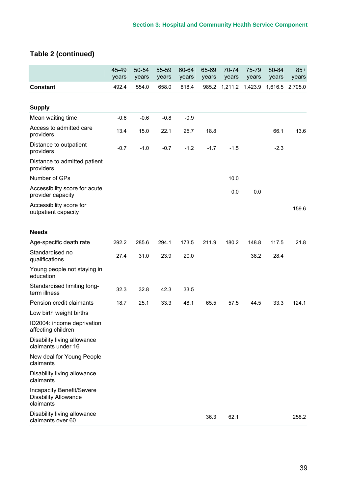# **Table 2 (continued)**

|                                                                              | 45-49<br>years | 50-54<br>years | 55-59<br>years | 60-64<br>years | 65-69<br>years | 70-74<br>years | 75-79<br>years | 80-84<br>years | $85+$<br>years |
|------------------------------------------------------------------------------|----------------|----------------|----------------|----------------|----------------|----------------|----------------|----------------|----------------|
| <b>Constant</b>                                                              | 492.4          | 554.0          | 658.0          | 818.4          | 985.2          | 1,211.2        | 1,423.9        | 1,616.5        | 2,705.0        |
|                                                                              |                |                |                |                |                |                |                |                |                |
| <b>Supply</b>                                                                |                |                |                |                |                |                |                |                |                |
| Mean waiting time                                                            | $-0.6$         | $-0.6$         | $-0.8$         | $-0.9$         |                |                |                |                |                |
| Access to admitted care<br>providers                                         | 13.4           | 15.0           | 22.1           | 25.7           | 18.8           |                |                | 66.1           | 13.6           |
| Distance to outpatient<br>providers                                          | $-0.7$         | $-1.0$         | $-0.7$         | $-1.2$         | $-1.7$         | $-1.5$         |                | $-2.3$         |                |
| Distance to admitted patient<br>providers                                    |                |                |                |                |                |                |                |                |                |
| Number of GPs                                                                |                |                |                |                |                | 10.0           |                |                |                |
| Accessibility score for acute<br>provider capacity                           |                |                |                |                |                | 0.0            | 0.0            |                |                |
| Accessibility score for<br>outpatient capacity                               |                |                |                |                |                |                |                |                | 159.6          |
| <b>Needs</b>                                                                 |                |                |                |                |                |                |                |                |                |
| Age-specific death rate                                                      | 292.2          | 285.6          | 294.1          | 173.5          | 211.9          | 180.2          | 148.8          | 117.5          | 21.8           |
| Standardised no<br>qualifications                                            | 27.4           | 31.0           | 23.9           | 20.0           |                |                | 38.2           | 28.4           |                |
| Young people not staying in<br>education                                     |                |                |                |                |                |                |                |                |                |
| Standardised limiting long-<br>term illness                                  | 32.3           | 32.8           | 42.3           | 33.5           |                |                |                |                |                |
| Pension credit claimants                                                     | 18.7           | 25.1           | 33.3           | 48.1           | 65.5           | 57.5           | 44.5           | 33.3           | 124.1          |
| Low birth weight births                                                      |                |                |                |                |                |                |                |                |                |
| ID2004: income deprivation<br>affecting children                             |                |                |                |                |                |                |                |                |                |
| Disability living allowance<br>claimants under 16                            |                |                |                |                |                |                |                |                |                |
| New deal for Young People<br>claimants                                       |                |                |                |                |                |                |                |                |                |
| Disability living allowance<br>claimants                                     |                |                |                |                |                |                |                |                |                |
| <b>Incapacity Benefit/Severe</b><br><b>Disability Allowance</b><br>claimants |                |                |                |                |                |                |                |                |                |
| Disability living allowance<br>claimants over 60                             |                |                |                |                | 36.3           | 62.1           |                |                | 258.2          |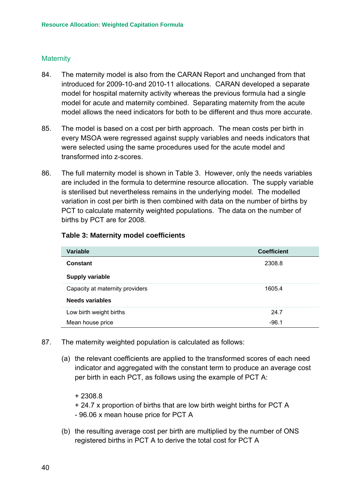#### **Maternity**

- 84. The maternity model is also from the CARAN Report and unchanged from that introduced for 2009-10-and 2010-11 allocations. CARAN developed a separate model for hospital maternity activity whereas the previous formula had a single model for acute and maternity combined. Separating maternity from the acute model allows the need indicators for both to be different and thus more accurate.
- 85. The model is based on a cost per birth approach. The mean costs per birth in every MSOA were regressed against supply variables and needs indicators that were selected using the same procedures used for the acute model and transformed into z-scores.
- 86. The full maternity model is shown in [Table 3.](#page-45-0) However, only the needs variables are included in the formula to determine resource allocation. The supply variable is sterilised but nevertheless remains in the underlying model. The modelled variation in cost per birth is then combined with data on the number of births by PCT to calculate maternity weighted populations. The data on the number of births by PCT are for 2008.

| Variable                        | <b>Coefficient</b> |
|---------------------------------|--------------------|
| <b>Constant</b>                 | 2308.8             |
| <b>Supply variable</b>          |                    |
| Capacity at maternity providers | 1605.4             |
| <b>Needs variables</b>          |                    |
| Low birth weight births         | 24.7               |
| Mean house price                | $-96.1$            |

#### <span id="page-45-0"></span>**Table 3: Maternity model coefficients**

- 87. The maternity weighted population is calculated as follows:
	- (a) the relevant coefficients are applied to the transformed scores of each need indicator and aggregated with the constant term to produce an average cost per birth in each PCT, as follows using the example of PCT A:
		- + 2308.8
		- + 24.7 x proportion of births that are low birth weight births for PCT A
		- 96.06 x mean house price for PCT A
	- (b) the resulting average cost per birth are multiplied by the number of ONS registered births in PCT A to derive the total cost for PCT A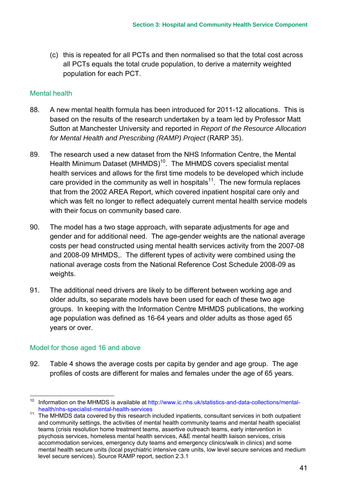(c) this is repeated for all PCTs and then normalised so that the total cost across all PCTs equals the total crude population, to derive a maternity weighted population for each PCT.

#### Mental health

- 88. A new mental health formula has been introduced for 2011-12 allocations. This is based on the results of the research undertaken by a team led by Professor Matt Sutton at Manchester University and reported in *Report of the Resource Allocation for Mental Health and Prescribing (RAMP) Project* (RARP 35).
- 89. The research used a new dataset from the NHS Information Centre, the Mental Health Minimum Dataset (MHMDS)<sup>10</sup>. The MHMDS covers specialist mental health services and allows for the first time models to be developed which include care provided in the community as well in hospitals<sup>11</sup>. The new formula replaces that from the 2002 AREA Report, which covered inpatient hospital care only and which was felt no longer to reflect adequately current mental health service models with their focus on community based care.
- 90. The model has a two stage approach, with separate adjustments for age and gender and for additional need. The age-gender weights are the national average costs per head constructed using mental health services activity from the 2007-08 and 2008-09 MHMDS,. The different types of activity were combined using the national average costs from the National Reference Cost Schedule 2008-09 as weights.
- 91. The additional need drivers are likely to be different between working age and older adults, so separate models have been used for each of these two age groups. In keeping with the Information Centre MHMDS publications, the working age population was defined as 16-64 years and older adults as those aged 65 years or over.

## Model for those aged 16 and above

92. [Table 4](#page-47-0) shows the average costs per capita by gender and age group. The age profiles of costs are different for males and females under the age of 65 years.

<span id="page-46-0"></span><sup>&</sup>lt;sup>10</sup> Information on the MHMDS is available at http://www.ic.nhs.uk/statistics-and-data-collections/mentalhealth/nhs-specialist-mental-health-services

<span id="page-46-1"></span><sup>11</sup> The MHMDS data covered by this research included inpatients, consultant services in both outpatient and community settings, the activities of mental health community teams and mental health specialist teams (crisis resolution home treatment teams, assertive outreach teams, early intervention in psychosis services, homeless mental health services, A&E mental health liaison services, crisis accommodation services, emergency duty teams and emergency clinics/walk in clinics) and some mental health secure units (local psychiatric intensive care units, low level secure services and medium level secure services). Source RAMP report, section 2.3.1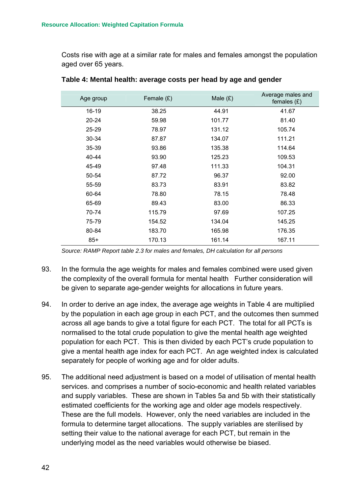Costs rise with age at a similar rate for males and females amongst the population aged over 65 years.

| Age group | Female $(E)$ | Male $(E)$ | Average males and<br>females $(E)$ |
|-----------|--------------|------------|------------------------------------|
| 16-19     | 38.25        | 44.91      | 41.67                              |
| $20 - 24$ | 59.98        | 101.77     | 81.40                              |
| $25 - 29$ | 78.97        | 131.12     | 105.74                             |
| $30 - 34$ | 87.87        | 134.07     | 111.21                             |
| 35-39     | 93.86        | 135.38     | 114.64                             |
| 40-44     | 93.90        | 125.23     | 109.53                             |
| 45-49     | 97.48        | 111.33     | 104.31                             |
| 50-54     | 87.72        | 96.37      | 92.00                              |
| 55-59     | 83.73        | 83.91      | 83.82                              |
| 60-64     | 78.80        | 78.15      | 78.48                              |
| 65-69     | 89.43        | 83.00      | 86.33                              |
| 70-74     | 115.79       | 97.69      | 107.25                             |
| 75-79     | 154.52       | 134.04     | 145.25                             |
| 80-84     | 183.70       | 165.98     | 176.35                             |
| $85+$     | 170.13       | 161.14     | 167.11                             |

<span id="page-47-0"></span>

| Table 4: Mental health: average costs per head by age and gender |  |  |  |
|------------------------------------------------------------------|--|--|--|
|------------------------------------------------------------------|--|--|--|

*Source: RAMP Report table 2.3 for males and females, DH calculation for all persons*

- 93. In the formula the age weights for males and females combined were used given the complexity of the overall formula for mental health Further consideration will be given to separate age-gender weights for allocations in future years.
- 94. In order to derive an age index, the average age weights in [Table 4](#page-47-0) are multiplied by the population in each age group in each PCT, and the outcomes then summed across all age bands to give a total figure for each PCT. The total for all PCTs is normalised to the total crude population to give the mental health age weighted population for each PCT. This is then divided by each PCT's crude population to give a mental health age index for each PCT. An age weighted index is calculated separately for people of working age and for older adults.
- 95. The additional need adjustment is based on a model of utilisation of mental health services. and comprises a number of socio-economic and health related variables and supply variables. These are shown in Tables [5a](#page-48-0) and [5b](#page-48-0) with their statistically estimated coefficients for the working age and older age models respectively. These are the full models. However, only the need variables are included in the formula to determine target allocations. The supply variables are sterilised by setting their value to the national average for each PCT, but remain in the underlying model as the need variables would otherwise be biased.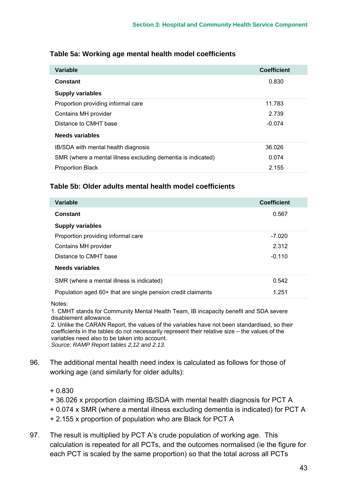| Variable                                                     | <b>Coefficient</b> |
|--------------------------------------------------------------|--------------------|
| <b>Constant</b>                                              | 0.830              |
| <b>Supply variables</b>                                      |                    |
| Proportion providing informal care                           | 11.783             |
| Contains MH provider                                         | 2.739              |
| Distance to CMHT base                                        | $-0.074$           |
| Needs variables                                              |                    |
| IB/SDA with mental health diagnosis                          | 36.026             |
| SMR (where a mental illness excluding dementia is indicated) | 0.074              |
| <b>Proportion Black</b>                                      | 2.155              |

## <span id="page-48-0"></span>**Table 5a: Working age mental health model coefficients**

#### **Table [5b](#page-48-0): Older adults mental health model coefficients**

| Variable                                                     | <b>Coefficient</b> |
|--------------------------------------------------------------|--------------------|
| <b>Constant</b>                                              | 0.567              |
| <b>Supply variables</b>                                      |                    |
| Proportion providing informal care                           | -7.020             |
| Contains MH provider                                         | 2.312              |
| Distance to CMHT base                                        | $-0.110$           |
| Needs variables                                              |                    |
| SMR (where a mental illness is indicated)                    | 0.542              |
| Population aged 60+ that are single pension credit claimants | 1.251              |

Notes:

1. CMHT stands for Community Mental Health Team, IB incapacity benefit and SDA severe disablement allowance.

2. Unlike the CARAN Report, the values of the variables have not been standardised, so their coefficients in the tables do not necessarily represent their relative size – the values of the variables need also to be taken into account. *Source: RAMP Report tables 2,12 and 2.13.* 

- 96. The additional mental health need index is calculated as follows for those of working age (and similarly for older adults):
	- + 0.830
	- + 36.026 x proportion claiming IB/SDA with mental health diagnosis for PCT A
	- + 0.074 x SMR (where a mental illness excluding dementia is indicated) for PCT A
	- + 2.155 x proportion of population who are Black for PCT A
- 97. The result is multiplied by PCT A's crude population of working age. This calculation is repeated for all PCTs, and the outcomes normalised (ie the figure for each PCT is scaled by the same proportion) so that the total across all PCTs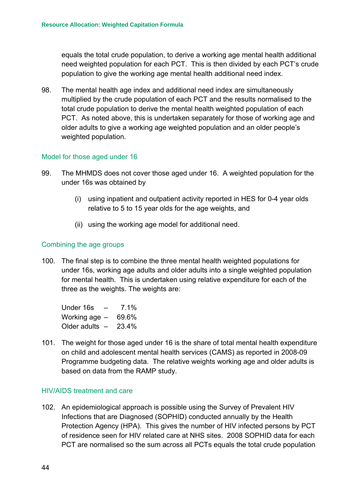equals the total crude population, to derive a working age mental health additional need weighted population for each PCT. This is then divided by each PCT's crude population to give the working age mental health additional need index.

98. The mental health age index and additional need index are simultaneously multiplied by the crude population of each PCT and the results normalised to the total crude population to derive the mental health weighted population of each PCT. As noted above, this is undertaken separately for those of working age and older adults to give a working age weighted population and an older people's weighted population.

#### Model for those aged under 16

- 99. The MHMDS does not cover those aged under 16. A weighted population for the under 16s was obtained by
	- (i) using inpatient and outpatient activity reported in HES for 0-4 year olds relative to 5 to 15 year olds for the age weights, and
	- (ii) using the working age model for additional need.

#### Combining the age groups

100. The final step is to combine the three mental health weighted populations for under 16s, working age adults and older adults into a single weighted population for mental health. This is undertaken using relative expenditure for each of the three as the weights. The weights are:

Under 16s – 7.1% Working age – 69.6% Older adults – 23.4%

101. The weight for those aged under 16 is the share of total mental health expenditure on child and adolescent mental health services (CAMS) as reported in 2008-09 Programme budgeting data. The relative weights working age and older adults is based on data from the RAMP study.

#### HIV/AIDS treatment and care

102. An epidemiological approach is possible using the Survey of Prevalent HIV Infections that are Diagnosed (SOPHID) conducted annually by the Health Protection Agency (HPA). This gives the number of HIV infected persons by PCT of residence seen for HIV related care at NHS sites. 2008 SOPHID data for each PCT are normalised so the sum across all PCTs equals the total crude population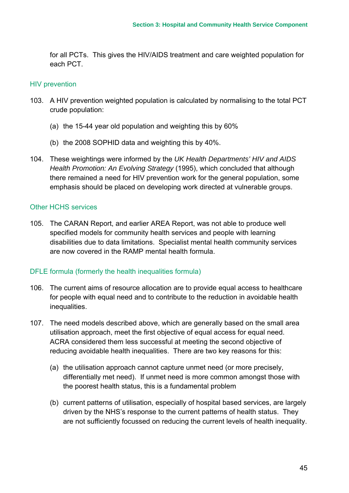for all PCTs. This gives the HIV/AIDS treatment and care weighted population for each PCT.

#### HIV prevention

- 103. A HIV prevention weighted population is calculated by normalising to the total PCT crude population:
	- (a) the 15-44 year old population and weighting this by 60%
	- (b) the 2008 SOPHID data and weighting this by 40%.
- 104. These weightings were informed by the *UK Health Departments' HIV and AIDS Health Promotion: An Evolving Strategy* (1995), which concluded that although there remained a need for HIV prevention work for the general population, some emphasis should be placed on developing work directed at vulnerable groups.

#### Other HCHS services

105. The CARAN Report, and earlier AREA Report, was not able to produce well specified models for community health services and people with learning disabilities due to data limitations. Specialist mental health community services are now covered in the RAMP mental health formula.

## DFLE formula (formerly the health inequalities formula)

- 106. The current aims of resource allocation are to provide equal access to healthcare for people with equal need and to contribute to the reduction in avoidable health inequalities.
- 107. The need models described above, which are generally based on the small area utilisation approach, meet the first objective of equal access for equal need. ACRA considered them less successful at meeting the second objective of reducing avoidable health inequalities. There are two key reasons for this:
	- (a) the utilisation approach cannot capture unmet need (or more precisely, differentially met need). If unmet need is more common amongst those with the poorest health status, this is a fundamental problem
	- (b) current patterns of utilisation, especially of hospital based services, are largely driven by the NHS's response to the current patterns of health status. They are not sufficiently focussed on reducing the current levels of health inequality.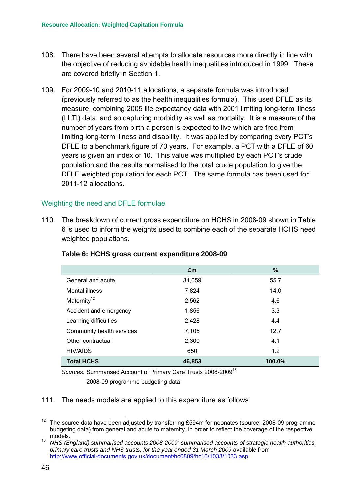- 108. There have been several attempts to allocate resources more directly in line with the objective of reducing avoidable health inequalities introduced in 1999. These are covered briefly in Section 1.
- 109. For 2009-10 and 2010-11 allocations, a separate formula was introduced (previously referred to as the health inequalities formula). This used DFLE as its measure, combining 2005 life expectancy data with 2001 limiting long-term illness (LLTI) data, and so capturing morbidity as well as mortality. It is a measure of the number of years from birth a person is expected to live which are free from limiting long-term illness and disability. It was applied by comparing every PCT's DFLE to a benchmark figure of 70 years. For example, a PCT with a DFLE of 60 years is given an index of 10. This value was multiplied by each PCT's crude population and the results normalised to the total crude population to give the DFLE weighted population for each PCT. The same formula has been used for 2011-12 allocations.

## Weighting the need and DFLE formulae

110. The breakdown of current gross expenditure on HCHS in 2008-09 shown in [Table](#page-51-0)  [6](#page-51-0) is used to inform the weights used to combine each of the separate HCHS need weighted populations.

|                           | £m     | %      |
|---------------------------|--------|--------|
| General and acute         | 31,059 | 55.7   |
| Mental illness            | 7,824  | 14.0   |
| Maternity <sup>12</sup>   | 2,562  | 4.6    |
| Accident and emergency    | 1,856  | 3.3    |
| Learning difficulties     | 2,428  | 4.4    |
| Community health services | 7,105  | 12.7   |
| Other contractual         | 2,300  | 4.1    |
| <b>HIV/AIDS</b>           | 650    | 1.2    |
| <b>Total HCHS</b>         | 46,853 | 100.0% |

#### <span id="page-51-0"></span>**Table 6: HCHS gross current expenditure 2008-09**

*Sources:* Summarised Account of Primary Care Trusts 2008-2009[13](#page-51-2)

2008-09 programme budgeting data

#### 111. The needs models are applied to this expenditure as follows:

<span id="page-51-1"></span><sup>&</sup>lt;sup>12</sup> The source data have been adjusted by transferring £594m for neonates (source: 2008-09 programme budgeting data) from general and acute to maternity, in order to reflect the coverage of the respective models.

<span id="page-51-2"></span><sup>13</sup> *NHS (England) summarised accounts 2008-2009: summarised accounts of strategic health authorities, primary care trusts and NHS trusts, for the year ended 31 March 2009* available from http://www.official-documents.gov.uk/document/hc0809/hc10/1033/1033.asp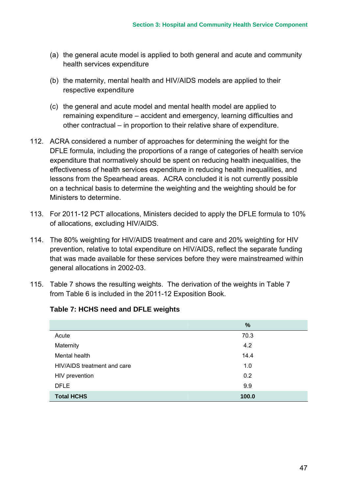- (a) the general acute model is applied to both general and acute and community health services expenditure
- (b) the maternity, mental health and HIV/AIDS models are applied to their respective expenditure
- (c) the general and acute model and mental health model are applied to remaining expenditure – accident and emergency, learning difficulties and other contractual – in proportion to their relative share of expenditure.
- 112. ACRA considered a number of approaches for determining the weight for the DFLE formula, including the proportions of a range of categories of health service expenditure that normatively should be spent on reducing health inequalities, the effectiveness of health services expenditure in reducing health inequalities, and lessons from the Spearhead areas. ACRA concluded it is not currently possible on a technical basis to determine the weighting and the weighting should be for Ministers to determine.
- 113. For 2011-12 PCT allocations, Ministers decided to apply the DFLE formula to 10% of allocations, excluding HIV/AIDS.
- 114. The 80% weighting for HIV/AIDS treatment and care and 20% weighting for HIV prevention, relative to total expenditure on HIV/AIDS, reflect the separate funding that was made available for these services before they were mainstreamed within general allocations in 2002-03.
- 115. [Table 7](#page-52-0) shows the resulting weights. The derivation of the weights in [Table 7](#page-52-0)  from [Table 6](#page-51-0) is included in the 2011-12 Exposition Book.

|                             | $\%$  |
|-----------------------------|-------|
| Acute                       | 70.3  |
| Maternity                   | 4.2   |
| Mental health               | 14.4  |
| HIV/AIDS treatment and care | 1.0   |
| HIV prevention              | 0.2   |
| <b>DFLE</b>                 | 9.9   |
| <b>Total HCHS</b>           | 100.0 |

#### <span id="page-52-0"></span>**Table 7: HCHS need and DFLE weights**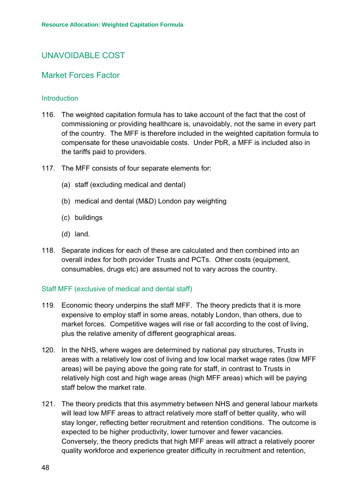# UNAVOIDABLE COST

## Market Forces Factor

#### **Introduction**

- 116. The weighted capitation formula has to take account of the fact that the cost of commissioning or providing healthcare is, unavoidably, not the same in every part of the country. The MFF is therefore included in the weighted capitation formula to compensate for these unavoidable costs. Under PbR, a MFF is included also in the tariffs paid to providers.
- 117. The MFF consists of four separate elements for:
	- (a) staff (excluding medical and dental)
	- (b) medical and dental (M&D) London pay weighting
	- (c) buildings
	- (d) land.
- 118. Separate indices for each of these are calculated and then combined into an overall index for both provider Trusts and PCTs. Other costs (equipment, consumables, drugs etc) are assumed not to vary across the country.

#### Staff MFF (exclusive of medical and dental staff)

- 119. Economic theory underpins the staff MFF. The theory predicts that it is more expensive to employ staff in some areas, notably London, than others, due to market forces. Competitive wages will rise or fall according to the cost of living, plus the relative amenity of different geographical areas.
- 120. In the NHS, where wages are determined by national pay structures, Trusts in areas with a relatively low cost of living and low local market wage rates (low MFF areas) will be paying above the going rate for staff, in contrast to Trusts in relatively high cost and high wage areas (high MFF areas) which will be paying staff below the market rate.
- 121. The theory predicts that this asymmetry between NHS and general labour markets will lead low MFF areas to attract relatively more staff of better quality, who will stay longer, reflecting better recruitment and retention conditions. The outcome is expected to be higher productivity, lower turnover and fewer vacancies. Conversely, the theory predicts that high MFF areas will attract a relatively poorer quality workforce and experience greater difficulty in recruitment and retention,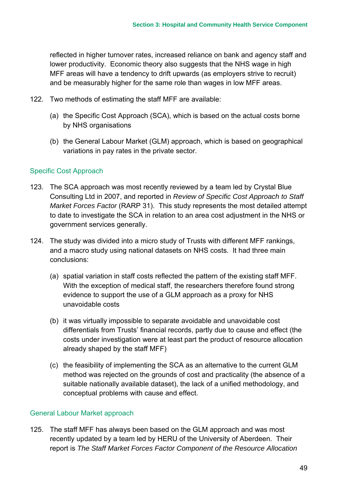reflected in higher turnover rates, increased reliance on bank and agency staff and lower productivity. Economic theory also suggests that the NHS wage in high MFF areas will have a tendency to drift upwards (as employers strive to recruit) and be measurably higher for the same role than wages in low MFF areas.

- 122. Two methods of estimating the staff MFF are available:
	- (a) the Specific Cost Approach (SCA), which is based on the actual costs borne by NHS organisations
	- (b) the General Labour Market (GLM) approach, which is based on geographical variations in pay rates in the private sector.

## Specific Cost Approach

- 123. The SCA approach was most recently reviewed by a team led by Crystal Blue Consulting Ltd in 2007, and reported in *Review of Specific Cost Approach to Staff Market Forces Factor* (RARP 31). This study represents the most detailed attempt to date to investigate the SCA in relation to an area cost adjustment in the NHS or government services generally.
- 124. The study was divided into a micro study of Trusts with different MFF rankings, and a macro study using national datasets on NHS costs. It had three main conclusions:
	- (a) spatial variation in staff costs reflected the pattern of the existing staff MFF. With the exception of medical staff, the researchers therefore found strong evidence to support the use of a GLM approach as a proxy for NHS unavoidable costs
	- (b) it was virtually impossible to separate avoidable and unavoidable cost differentials from Trusts' financial records, partly due to cause and effect (the costs under investigation were at least part the product of resource allocation already shaped by the staff MFF)
	- (c) the feasibility of implementing the SCA as an alternative to the current GLM method was rejected on the grounds of cost and practicality (the absence of a suitable nationally available dataset), the lack of a unified methodology, and conceptual problems with cause and effect.

## General Labour Market approach

125. The staff MFF has always been based on the GLM approach and was most recently updated by a team led by HERU of the University of Aberdeen. Their report is *The Staff Market Forces Factor Component of the Resource Allocation*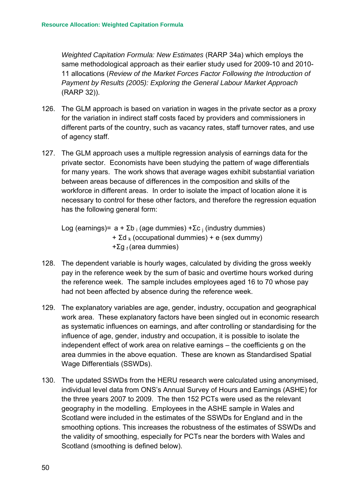*Weighted Capitation Formula: New Estimates* (RARP 34a) which employs the same methodological approach as their earlier study used for 2009-10 and 2010- 11 allocations (*Review of the Market Forces Factor Following the Introduction of Payment by Results (2005): Exploring the General Labour Market Approach* (RARP 32)).

- 126. The GLM approach is based on variation in wages in the private sector as a proxy for the variation in indirect staff costs faced by providers and commissioners in different parts of the country, such as vacancy rates, staff turnover rates, and use of agency staff.
- 127. The GLM approach uses a multiple regression analysis of earnings data for the private sector. Economists have been studying the pattern of wage differentials for many years. The work shows that average wages exhibit substantial variation between areas because of differences in the composition and skills of the workforce in different areas. In order to isolate the impact of location alone it is necessary to control for these other factors, and therefore the regression equation has the following general form:

Log (earnings)=  $a + \Sigma b_i$  (age dummies) + $\Sigma c_i$  (industry dummies)  $+ \Sigma d_k$  (occupational dummies) + e (sex dummy) +Σg  $_f$  (area dummies)

- 128. The dependent variable is hourly wages, calculated by dividing the gross weekly pay in the reference week by the sum of basic and overtime hours worked during the reference week. The sample includes employees aged 16 to 70 whose pay had not been affected by absence during the reference week.
- 129. The explanatory variables are age, gender, industry, occupation and geographical work area. These explanatory factors have been singled out in economic research as systematic influences on earnings, and after controlling or standardising for the influence of age, gender, industry and occupation, it is possible to isolate the independent effect of work area on relative earnings – the coefficients g on the area dummies in the above equation. These are known as Standardised Spatial Wage Differentials (SSWDs).
- 130. The updated SSWDs from the HERU research were calculated using anonymised, individual level data from ONS's Annual Survey of Hours and Earnings (ASHE) for the three years 2007 to 2009. The then 152 PCTs were used as the relevant geography in the modelling. Employees in the ASHE sample in Wales and Scotland were included in the estimates of the SSWDs for England and in the smoothing options. This increases the robustness of the estimates of SSWDs and the validity of smoothing, especially for PCTs near the borders with Wales and Scotland (smoothing is defined below).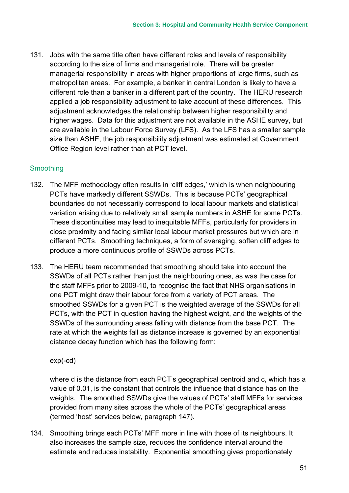131. Jobs with the same title often have different roles and levels of responsibility according to the size of firms and managerial role. There will be greater managerial responsibility in areas with higher proportions of large firms, such as metropolitan areas. For example, a banker in central London is likely to have a different role than a banker in a different part of the country. The HERU research applied a job responsibility adjustment to take account of these differences. This adjustment acknowledges the relationship between higher responsibility and higher wages. Data for this adjustment are not available in the ASHE survey, but are available in the Labour Force Survey (LFS). As the LFS has a smaller sample size than ASHE, the job responsibility adjustment was estimated at Government Office Region level rather than at PCT level.

## Smoothing

- 132. The MFF methodology often results in 'cliff edges,' which is when neighbouring PCTs have markedly different SSWDs. This is because PCTs' geographical boundaries do not necessarily correspond to local labour markets and statistical variation arising due to relatively small sample numbers in ASHE for some PCTs. These discontinuities may lead to inequitable MFFs, particularly for providers in close proximity and facing similar local labour market pressures but which are in different PCTs. Smoothing techniques, a form of averaging, soften cliff edges to produce a more continuous profile of SSWDs across PCTs.
- 133. The HERU team recommended that smoothing should take into account the SSWDs of all PCTs rather than just the neighbouring ones, as was the case for the staff MFFs prior to 2009-10, to recognise the fact that NHS organisations in one PCT might draw their labour force from a variety of PCT areas. The smoothed SSWDs for a given PCT is the weighted average of the SSWDs for all PCTs, with the PCT in question having the highest weight, and the weights of the SSWDs of the surrounding areas falling with distance from the base PCT. The rate at which the weights fall as distance increase is governed by an exponential distance decay function which has the following form:

#### exp(-cd)

where d is the distance from each PCT's geographical centroid and c, which has a value of 0.01, is the constant that controls the influence that distance has on the weights. The smoothed SSWDs give the values of PCTs' staff MFFs for services provided from many sites across the whole of the PCTs' geographical areas (termed 'host' services below, paragraph [147\)](#page-59-0).

134. Smoothing brings each PCTs' MFF more in line with those of its neighbours. It also increases the sample size, reduces the confidence interval around the estimate and reduces instability. Exponential smoothing gives proportionately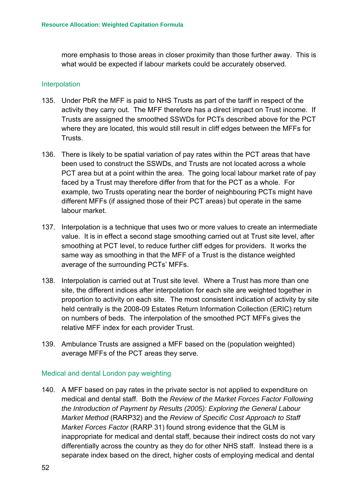more emphasis to those areas in closer proximity than those further away. This is what would be expected if labour markets could be accurately observed.

#### **Interpolation**

- 135. Under PbR the MFF is paid to NHS Trusts as part of the tariff in respect of the activity they carry out. The MFF therefore has a direct impact on Trust income. If Trusts are assigned the smoothed SSWDs for PCTs described above for the PCT where they are located, this would still result in cliff edges between the MFFs for Trusts.
- 136. There is likely to be spatial variation of pay rates within the PCT areas that have been used to construct the SSWDs, and Trusts are not located across a whole PCT area but at a point within the area. The going local labour market rate of pay faced by a Trust may therefore differ from that for the PCT as a whole. For example, two Trusts operating near the border of neighbouring PCTs might have different MFFs (if assigned those of their PCT areas) but operate in the same labour market.
- 137. Interpolation is a technique that uses two or more values to create an intermediate value. It is in effect a second stage smoothing carried out at Trust site level, after smoothing at PCT level, to reduce further cliff edges for providers. It works the same way as smoothing in that the MFF of a Trust is the distance weighted average of the surrounding PCTs' MFFs.
- 138. Interpolation is carried out at Trust site level. Where a Trust has more than one site, the different indices after interpolation for each site are weighted together in proportion to activity on each site. The most consistent indication of activity by site held centrally is the 2008-09 Estates Return Information Collection (ERIC) return on numbers of beds. The interpolation of the smoothed PCT MFFs gives the relative MFF index for each provider Trust.
- 139. Ambulance Trusts are assigned a MFF based on the (population weighted) average MFFs of the PCT areas they serve.

#### Medical and dental London pay weighting

140. A MFF based on pay rates in the private sector is not applied to expenditure on medical and dental staff. Both the *Review of the Market Forces Factor Following the Introduction of Payment by Results (2005): Exploring the General Labour Market Method* (RARP32) and the *Review of Specific Cost Approach to Staff Market Forces Factor* (RARP 31) found strong evidence that the GLM is inappropriate for medical and dental staff, because their indirect costs do not vary differentially across the country as they do for other NHS staff. Instead there is a separate index based on the direct, higher costs of employing medical and dental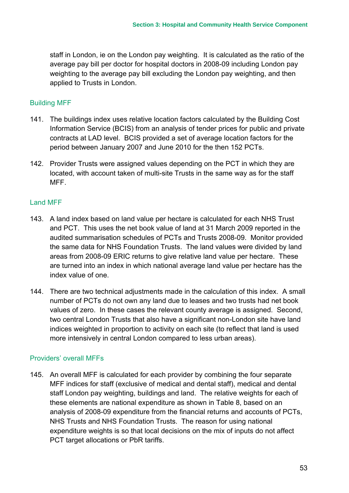staff in London, ie on the London pay weighting. It is calculated as the ratio of the average pay bill per doctor for hospital doctors in 2008-09 including London pay weighting to the average pay bill excluding the London pay weighting, and then applied to Trusts in London.

### Building MFF

- 141. The buildings index uses relative location factors calculated by the Building Cost Information Service (BCIS) from an analysis of tender prices for public and private contracts at LAD level. BCIS provided a set of average location factors for the period between January 2007 and June 2010 for the then 152 PCTs.
- 142. Provider Trusts were assigned values depending on the PCT in which they are located, with account taken of multi-site Trusts in the same way as for the staff MFF.

## Land MFF

- 143. A land index based on land value per hectare is calculated for each NHS Trust and PCT. This uses the net book value of land at 31 March 2009 reported in the audited summarisation schedules of PCTs and Trusts 2008-09. Monitor provided the same data for NHS Foundation Trusts. The land values were divided by land areas from 2008-09 ERIC returns to give relative land value per hectare. These are turned into an index in which national average land value per hectare has the index value of one.
- 144. There are two technical adjustments made in the calculation of this index. A small number of PCTs do not own any land due to leases and two trusts had net book values of zero. In these cases the relevant county average is assigned. Second, two central London Trusts that also have a significant non-London site have land indices weighted in proportion to activity on each site (to reflect that land is used more intensively in central London compared to less urban areas).

## Providers' overall MFFs

145. An overall MFF is calculated for each provider by combining the four separate MFF indices for staff (exclusive of medical and dental staff), medical and dental staff London pay weighting, buildings and land. The relative weights for each of these elements are national expenditure as shown in [Table 8,](#page-59-1) based on an analysis of 2008-09 expenditure from the financial returns and accounts of PCTs, NHS Trusts and NHS Foundation Trusts. The reason for using national expenditure weights is so that local decisions on the mix of inputs do not affect PCT target allocations or PbR tariffs.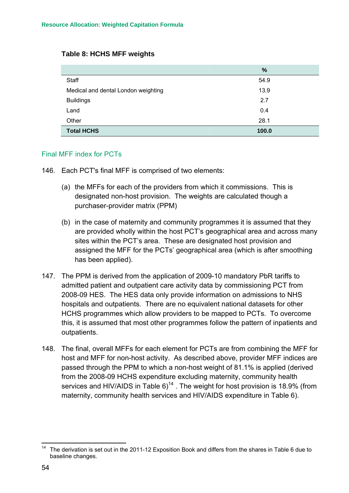#### <span id="page-59-1"></span>**Table 8: HCHS MFF weights**

|                                     | %     |
|-------------------------------------|-------|
| Staff                               | 54.9  |
| Medical and dental London weighting | 13.9  |
| <b>Buildings</b>                    | 2.7   |
| Land                                | 0.4   |
| Other                               | 28.1  |
| <b>Total HCHS</b>                   | 100.0 |

#### Final MFF index for PCTs

- 146. Each PCT's final MFF is comprised of two elements:
	- (a) the MFFs for each of the providers from which it commissions. This is designated non-host provision. The weights are calculated though a purchaser-provider matrix (PPM)
	- (b) in the case of maternity and community programmes it is assumed that they are provided wholly within the host PCT's geographical area and across many sites within the PCT's area. These are designated host provision and assigned the MFF for the PCTs' geographical area (which is after smoothing has been applied).
- <span id="page-59-0"></span>147. The PPM is derived from the application of 2009-10 mandatory PbR tariffs to admitted patient and outpatient care activity data by commissioning PCT from 2008-09 HES. The HES data only provide information on admissions to NHS hospitals and outpatients. There are no equivalent national datasets for other HCHS programmes which allow providers to be mapped to PCTs. To overcome this, it is assumed that most other programmes follow the pattern of inpatients and outpatients.
- 148. The final, overall MFFs for each element for PCTs are from combining the MFF for host and MFF for non-host activity. As described above, provider MFF indices are passed through the PPM to which a non-host weight of 81.1% is applied (derived from the 2008-09 HCHS expenditure excluding maternity, community health services and HIV/AIDS in Table  $6)^{14}$ . The weight for host provision is 18.9% (from maternity, community health services and HIV/AIDS expenditure in [Table 6\)](#page-51-0).

<span id="page-59-2"></span>The derivation is set out in the 2011-12 Exposition Book and differs from the shares in Table 6 due to baseline changes.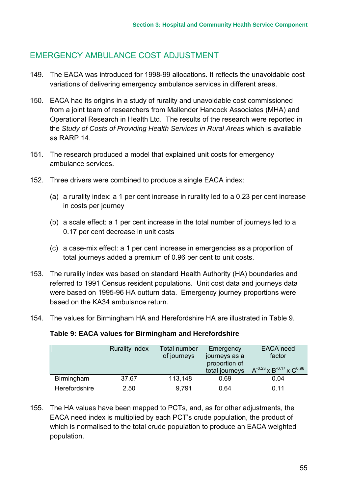# EMERGENCY AMBULANCE COST ADJUSTMENT

- 149. The EACA was introduced for 1998-99 allocations. It reflects the unavoidable cost variations of delivering emergency ambulance services in different areas.
- 150. EACA had its origins in a study of rurality and unavoidable cost commissioned from a joint team of researchers from Mallender Hancock Associates (MHA) and Operational Research in Health Ltd. The results of the research were reported in the *Study of Costs of Providing Health Services in Rural Areas* which is available as RARP 14.
- 151. The research produced a model that explained unit costs for emergency ambulance services.
- 152. Three drivers were combined to produce a single EACA index:
	- (a) a rurality index: a 1 per cent increase in rurality led to a 0.23 per cent increase in costs per journey
	- (b) a scale effect: a 1 per cent increase in the total number of journeys led to a 0.17 per cent decrease in unit costs
	- (c) a case-mix effect: a 1 per cent increase in emergencies as a proportion of total journeys added a premium of 0.96 per cent to unit costs.
- 153. The rurality index was based on standard Health Authority (HA) boundaries and referred to 1991 Census resident populations. Unit cost data and journeys data were based on 1995-96 HA outturn data. Emergency journey proportions were based on the KA34 ambulance return.
- 154. The values for Birmingham HA and Herefordshire HA are illustrated in [Table 9.](#page-60-0)

#### <span id="page-60-0"></span>**Table 9: EACA values for Birmingham and Herefordshire**

|               | <b>Rurality index</b> | Total number<br>of journeys | Emergency<br>journeys as a<br>proportion of | EACA need<br>factor                    |
|---------------|-----------------------|-----------------------------|---------------------------------------------|----------------------------------------|
|               |                       |                             | total journeys                              | $A^{-0.23}$ x $B^{-0.17}$ x $C^{0.96}$ |
| Birmingham    | 37.67                 | 113,148                     | 0.69                                        | 0.04                                   |
| Herefordshire | 2.50                  | 9.791                       | 0.64                                        | 0.11                                   |

155. The HA values have been mapped to PCTs, and, as for other adjustments, the EACA need index is multiplied by each PCT's crude population, the product of which is normalised to the total crude population to produce an EACA weighted population.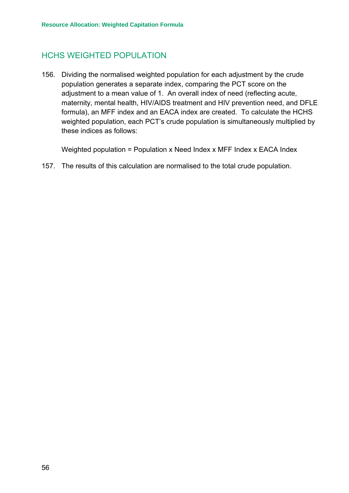# HCHS WEIGHTED POPULATION

156. Dividing the normalised weighted population for each adjustment by the crude population generates a separate index, comparing the PCT score on the adjustment to a mean value of 1. An overall index of need (reflecting acute, maternity, mental health, HIV/AIDS treatment and HIV prevention need, and DFLE formula), an MFF index and an EACA index are created. To calculate the HCHS weighted population, each PCT's crude population is simultaneously multiplied by these indices as follows:

Weighted population = Population x Need Index x MFF Index x EACA Index

157. The results of this calculation are normalised to the total crude population.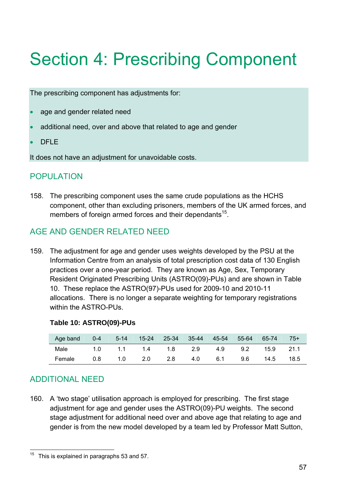# Section 4: Prescribing Component

The prescribing component has adjustments for:

- age and gender related need
- additional need, over and above that related to age and gender
- DFLF

It does not have an adjustment for unavoidable costs.

# POPULATION

158. The prescribing component uses the same crude populations as the HCHS component, other than excluding prisoners, members of the UK armed forces, and members of foreign armed forces and their dependants<sup>15</sup>.

# AGE AND GENDER RELATED NEED

159. The adjustment for age and gender uses weights developed by the PSU at the Information Centre from an analysis of total prescription cost data of 130 English practices over a one-year period. They are known as Age, Sex, Temporary Resident Originated Prescribing Units (ASTRO(09)-PUs) and are shown in [Table](#page-62-0)  [10.](#page-62-0) These replace the ASTRO(97)-PUs used for 2009-10 and 2010-11 allocations. There is no longer a separate weighting for temporary registrations within the ASTRO-PUs.

#### <span id="page-62-0"></span>**Table 10: ASTRO(09)-PUs**

| Age band | $0 - 4$ | $5-14$              | 15-24 25-34 35-44 |     | 45-54 55-64 |         | 65-74 | $75+$   |
|----------|---------|---------------------|-------------------|-----|-------------|---------|-------|---------|
| Male     |         | 1.0 1.1 1.4 1.8 2.9 |                   |     |             | 4.9 9.2 | 15.9  | $-21.1$ |
| Female   | 0.8     |                     | 1.0 2.0 2.8       | 4.0 | 6.1         | 9.6     | 14.5  | 18.5    |

# ADDITIONAL NEED

160. A 'two stage' utilisation approach is employed for prescribing. The first stage adjustment for age and gender uses the ASTRO(09)-PU weights. The second stage adjustment for additional need over and above age that relating to age and gender is from the new model developed by a team led by Professor Matt Sutton,

<span id="page-62-1"></span> <sup>15</sup> This is explained in paragraphs 53 and 57.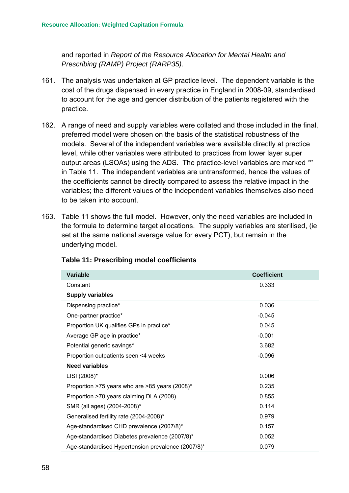and reported in *Report of the Resource Allocation for Mental Health and Prescribing (RAMP) Project (RARP35)*.

- 161. The analysis was undertaken at GP practice level. The dependent variable is the cost of the drugs dispensed in every practice in England in 2008-09, standardised to account for the age and gender distribution of the patients registered with the practice.
- 162. A range of need and supply variables were collated and those included in the final, preferred model were chosen on the basis of the statistical robustness of the models. Several of the independent variables were available directly at practice level, while other variables were attributed to practices from lower layer super output areas (LSOAs) using the ADS. The practice-level variables are marked '\*' in [Table 11.](#page-63-0) The independent variables are untransformed, hence the values of the coefficients cannot be directly compared to assess the relative impact in the variables; the different values of the independent variables themselves also need to be taken into account.
- 163. [Table 11](#page-63-0) shows the full model. However, only the need variables are included in the formula to determine target allocations. The supply variables are sterilised, (ie set at the same national average value for every PCT), but remain in the underlying model.

| <b>Variable</b>                                    | <b>Coefficient</b> |
|----------------------------------------------------|--------------------|
| Constant                                           | 0.333              |
| <b>Supply variables</b>                            |                    |
| Dispensing practice*                               | 0.036              |
| One-partner practice*                              | $-0.045$           |
| Proportion UK qualifies GPs in practice*           | 0.045              |
| Average GP age in practice*                        | $-0.001$           |
| Potential generic savings*                         | 3.682              |
| Proportion outpatients seen <4 weeks               | $-0.096$           |
| <b>Need variables</b>                              |                    |
| LISI (2008)*                                       | 0.006              |
| Proportion >75 years who are >85 years (2008)*     | 0.235              |
| Proportion >70 years claiming DLA (2008)           | 0.855              |
| SMR (all ages) (2004-2008)*                        | 0.114              |
| Generalised fertility rate (2004-2008)*            | 0.979              |
| Age-standardised CHD prevalence (2007/8)*          | 0.157              |
| Age-standardised Diabetes prevalence (2007/8)*     | 0.052              |
| Age-standardised Hypertension prevalence (2007/8)* | 0.079              |

#### <span id="page-63-0"></span>**Table 11: Prescribing model coefficients**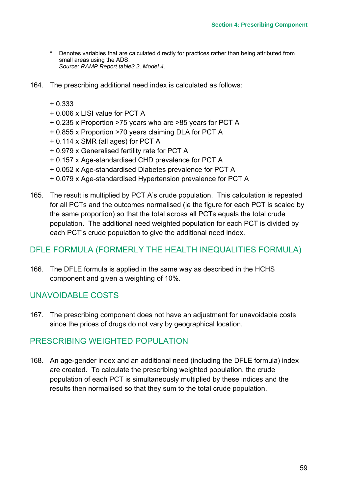- Denotes variables that are calculated directly for practices rather than being attributed from small areas using the ADS. *Source: RAMP Report table3.2, Model 4*.
- 164. The prescribing additional need index is calculated as follows:
	- + 0.333
	- + 0.006 x LISI value for PCT A
	- + 0.235 x Proportion >75 years who are >85 years for PCT A
	- + 0.855 x Proportion >70 years claiming DLA for PCT A
	- + 0.114 x SMR (all ages) for PCT A
	- + 0.979 x Generalised fertility rate for PCT A
	- + 0.157 x Age-standardised CHD prevalence for PCT A
	- + 0.052 x Age-standardised Diabetes prevalence for PCT A
	- + 0.079 x Age-standardised Hypertension prevalence for PCT A
- 165. The result is multiplied by PCT A's crude population. This calculation is repeated for all PCTs and the outcomes normalised (ie the figure for each PCT is scaled by the same proportion) so that the total across all PCTs equals the total crude population. The additional need weighted population for each PCT is divided by each PCT's crude population to give the additional need index.

# DFLE FORMULA (FORMERLY THE HEALTH INEQUALITIES FORMULA)

166. The DFLE formula is applied in the same way as described in the HCHS component and given a weighting of 10%.

# UNAVOIDABLE COSTS

167. The prescribing component does not have an adjustment for unavoidable costs since the prices of drugs do not vary by geographical location.

## PRESCRIBING WEIGHTED POPULATION

168. An age-gender index and an additional need (including the DFLE formula) index are created. To calculate the prescribing weighted population, the crude population of each PCT is simultaneously multiplied by these indices and the results then normalised so that they sum to the total crude population.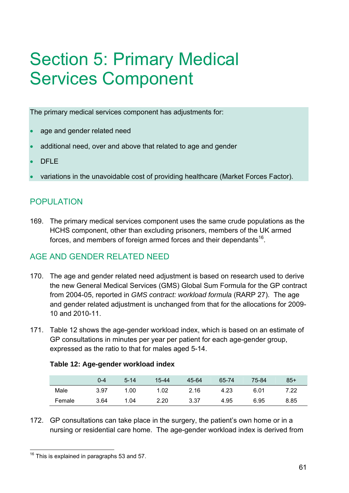# Section 5: Primary Medical Services Component

The primary medical services component has adjustments for:

- age and gender related need
- additional need, over and above that related to age and gender
- DFLF
- variations in the unavoidable cost of providing healthcare (Market Forces Factor).

# POPULATION

169. The primary medical services component uses the same crude populations as the HCHS component, other than excluding prisoners, members of the UK armed forces, and members of foreign armed forces and their dependants<sup>16</sup>.

# AGE AND GENDER RELATED NEED

- 170. The age and gender related need adjustment is based on research used to derive the new General Medical Services (GMS) Global Sum Formula for the GP contract from 2004-05, reported in *GMS contract: workload formula* (RARP 27). The age and gender related adjustment is unchanged from that for the allocations for 2009- 10 and 2010-11.
- 171. [Table 12](#page-66-0) shows the age-gender workload index, which is based on an estimate of GP consultations in minutes per year per patient for each age-gender group, expressed as the ratio to that for males aged 5-14.

|        | 0-4  | $5 - 14$ | 15-44 | 45-64 | 65-74 | 75-84 | 85+  |
|--------|------|----------|-------|-------|-------|-------|------|
| Male   | 3.97 | 1.00     | 1.02  | 2.16  | 4.23  | 6.01  | 7.22 |
| Female | 3.64 | 1.04     | 2.20  | 3.37  | 4.95  | 6.95  | 8.85 |

## <span id="page-66-0"></span>**Table 12: Age-gender workload index**

172. GP consultations can take place in the surgery, the patient's own home or in a nursing or residential care home. The age-gender workload index is derived from

<span id="page-66-1"></span> $16$  This is explained in paragraphs 53 and 57.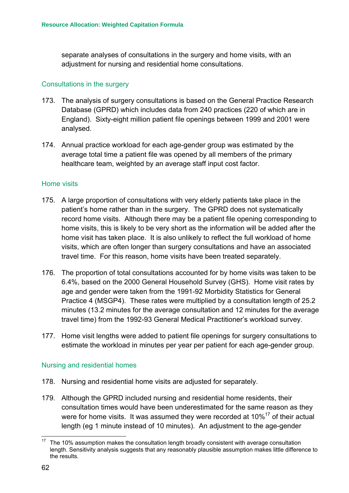separate analyses of consultations in the surgery and home visits, with an adjustment for nursing and residential home consultations.

#### Consultations in the surgery

- 173. The analysis of surgery consultations is based on the General Practice Research Database (GPRD) which includes data from 240 practices (220 of which are in England). Sixty-eight million patient file openings between 1999 and 2001 were analysed.
- 174. Annual practice workload for each age-gender group was estimated by the average total time a patient file was opened by all members of the primary healthcare team, weighted by an average staff input cost factor.

#### Home visits

- 175. A large proportion of consultations with very elderly patients take place in the patient's home rather than in the surgery. The GPRD does not systematically record home visits. Although there may be a patient file opening corresponding to home visits, this is likely to be very short as the information will be added after the home visit has taken place. It is also unlikely to reflect the full workload of home visits, which are often longer than surgery consultations and have an associated travel time. For this reason, home visits have been treated separately.
- 176. The proportion of total consultations accounted for by home visits was taken to be 6.4%, based on the 2000 General Household Survey (GHS). Home visit rates by age and gender were taken from the 1991-92 Morbidity Statistics for General Practice 4 (MSGP4). These rates were multiplied by a consultation length of 25.2 minutes (13.2 minutes for the average consultation and 12 minutes for the average travel time) from the 1992-93 General Medical Practitioner's workload survey.
- 177. Home visit lengths were added to patient file openings for surgery consultations to estimate the workload in minutes per year per patient for each age-gender group.

#### Nursing and residential homes

- 178. Nursing and residential home visits are adjusted for separately.
- 179. Although the GPRD included nursing and residential home residents, their consultation times would have been underestimated for the same reason as they were for home visits. It was assumed they were recorded at  $10\%^{17}$  of their actual length (eg 1 minute instead of 10 minutes). An adjustment to the age-gender

<span id="page-67-0"></span> <sup>17</sup> The 10% assumption makes the consultation length broadly consistent with average consultation length. Sensitivity analysis suggests that any reasonably plausible assumption makes little difference to the results.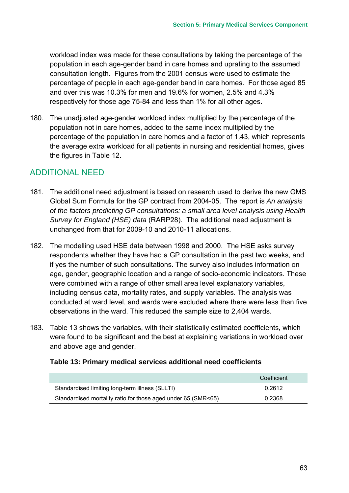workload index was made for these consultations by taking the percentage of the population in each age-gender band in care homes and uprating to the assumed consultation length. Figures from the 2001 census were used to estimate the percentage of people in each age-gender band in care homes. For those aged 85 and over this was 10.3% for men and 19.6% for women, 2.5% and 4.3% respectively for those age 75-84 and less than 1% for all other ages.

180. The unadjusted age-gender workload index multiplied by the percentage of the population not in care homes, added to the same index multiplied by the percentage of the population in care homes and a factor of 1.43, which represents the average extra workload for all patients in nursing and residential homes, gives the figures in [Table 12.](#page-66-0)

# ADDITIONAL NEED

- 181. The additional need adjustment is based on research used to derive the new GMS Global Sum Formula for the GP contract from 2004-05. The report is *An analysis of the factors predicting GP consultations: a small area level analysis using Health Survey for England (HSE) data* (RARP28). The additional need adjustment is unchanged from that for 2009-10 and 2010-11 allocations.
- 182. The modelling used HSE data between 1998 and 2000. The HSE asks survey respondents whether they have had a GP consultation in the past two weeks, and if yes the number of such consultations. The survey also includes information on age, gender, geographic location and a range of socio-economic indicators. These were combined with a range of other small area level explanatory variables, including census data, mortality rates, and supply variables. The analysis was conducted at ward level, and wards were excluded where there were less than five observations in the ward. This reduced the sample size to 2,404 wards.
- 183. [Table 13](#page-68-0) shows the variables, with their statistically estimated coefficients, which were found to be significant and the best at explaining variations in workload over and above age and gender.

## <span id="page-68-0"></span>**Table 13: Primary medical services additional need coefficients**

|                                                               | Coefficient |
|---------------------------------------------------------------|-------------|
| Standardised limiting long-term illness (SLLTI)               | 0.2612      |
| Standardised mortality ratio for those aged under 65 (SMR<65) | 0.2368      |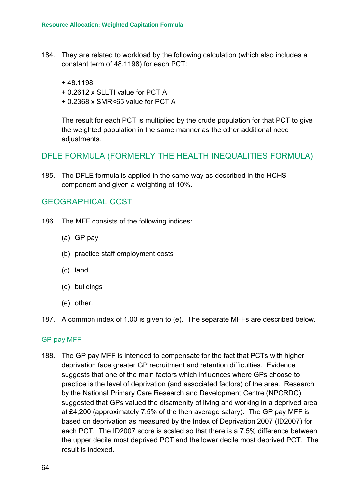- 184. They are related to workload by the following calculation (which also includes a constant term of 48.1198) for each PCT:
	- + 48.1198
	- + 0.2612 x SLLTI value for PCT A
	- + 0.2368 x SMR<65 value for PCT A

The result for each PCT is multiplied by the crude population for that PCT to give the weighted population in the same manner as the other additional need adjustments.

## DFLE FORMULA (FORMERLY THE HEALTH INEQUALITIES FORMULA)

185. The DFLE formula is applied in the same way as described in the HCHS component and given a weighting of 10%.

## GEOGRAPHICAL COST

- 186. The MFF consists of the following indices:
	- (a) GP pay
	- (b) practice staff employment costs
	- (c) land
	- (d) buildings
	- (e) other.
- 187. A common index of 1.00 is given to (e). The separate MFFs are described below.

#### GP pay MFF

188. The GP pay MFF is intended to compensate for the fact that PCTs with higher deprivation face greater GP recruitment and retention difficulties. Evidence suggests that one of the main factors which influences where GPs choose to practice is the level of deprivation (and associated factors) of the area. Research by the National Primary Care Research and Development Centre (NPCRDC) suggested that GPs valued the disamenity of living and working in a deprived area at £4,200 (approximately 7.5% of the then average salary). The GP pay MFF is based on deprivation as measured by the Index of Deprivation 2007 (ID2007) for each PCT. The ID2007 score is scaled so that there is a 7.5% difference between the upper decile most deprived PCT and the lower decile most deprived PCT. The result is indexed.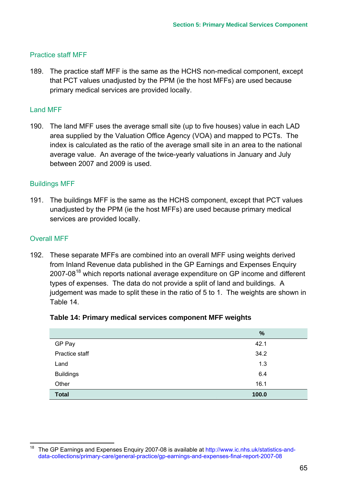### Practice staff MFF

189. The practice staff MFF is the same as the HCHS non-medical component, except that PCT values unadjusted by the PPM (ie the host MFFs) are used because primary medical services are provided locally.

#### Land MFF

190. The land MFF uses the average small site (up to five houses) value in each LAD area supplied by the Valuation Office Agency (VOA) and mapped to PCTs. The index is calculated as the ratio of the average small site in an area to the national average value. An average of the twice-yearly valuations in January and July between 2007 and 2009 is used.

#### Buildings MFF

191. The buildings MFF is the same as the HCHS component, except that PCT values unadjusted by the PPM (ie the host MFFs) are used because primary medical services are provided locally.

#### Overall MFF

192. These separate MFFs are combined into an overall MFF using weights derived from Inland Revenue data published in the GP Earnings and Expenses Enquiry 2007-08<sup>18</sup> which reports national average expenditure on GP income and different types of expenses. The data do not provide a split of land and buildings. A judgement was made to split these in the ratio of 5 to 1. The weights are shown in [Table 14.](#page-70-0)

<span id="page-70-0"></span>

|  | Table 14: Primary medical services component MFF weights |  |  |
|--|----------------------------------------------------------|--|--|
|--|----------------------------------------------------------|--|--|

|                  | %     |
|------------------|-------|
| GP Pay           | 42.1  |
| Practice staff   | 34.2  |
| Land             | 1.3   |
| <b>Buildings</b> | 6.4   |
| Other            | 16.1  |
| <b>Total</b>     | 100.0 |

<span id="page-70-1"></span><sup>&</sup>lt;sup>18</sup> The GP Earnings and Expenses Enquiry 2007-08 is available at http://www.ic.nhs.uk/statistics-anddata-collections/primary-care/general-practice/gp-earnings-and-expenses-final-report-2007-08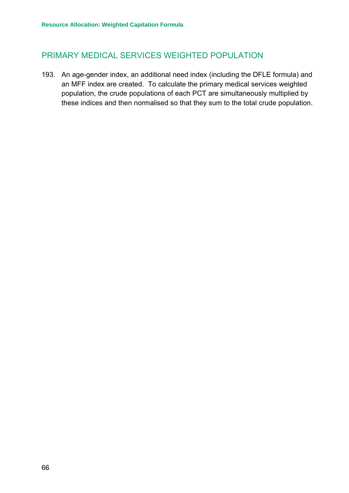# PRIMARY MEDICAL SERVICES WEIGHTED POPULATION

193. An age-gender index, an additional need index (including the DFLE formula) and an MFF index are created. To calculate the primary medical services weighted population, the crude populations of each PCT are simultaneously multiplied by these indices and then normalised so that they sum to the total crude population.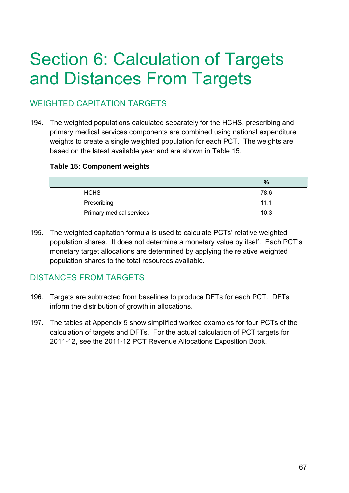# Section 6: Calculation of Targets and Distances From Targets

# WEIGHTED CAPITATION TARGETS

194. The weighted populations calculated separately for the HCHS, prescribing and primary medical services components are combined using national expenditure weights to create a single weighted population for each PCT. The weights are based on the latest available year and are shown in [Table 15.](#page-72-0)

# <span id="page-72-0"></span>**Table 15: Component weights**

|                          | $\%$ |
|--------------------------|------|
| <b>HCHS</b>              | 78.6 |
| Prescribing              | 11.1 |
| Primary medical services | 10.3 |
|                          |      |

195. The weighted capitation formula is used to calculate PCTs' relative weighted population shares. It does not determine a monetary value by itself. Each PCT's monetary target allocations are determined by applying the relative weighted population shares to the total resources available.

# DISTANCES FROM TARGETS

- 196. Targets are subtracted from baselines to produce DFTs for each PCT. DFTs inform the distribution of growth in allocations.
- 197. The tables at [Appendix 5](#page-88-0) show simplified worked examples for four PCTs of the calculation of targets and DFTs. For the actual calculation of PCT targets for 2011-12, see the 2011-12 PCT Revenue Allocations Exposition Book.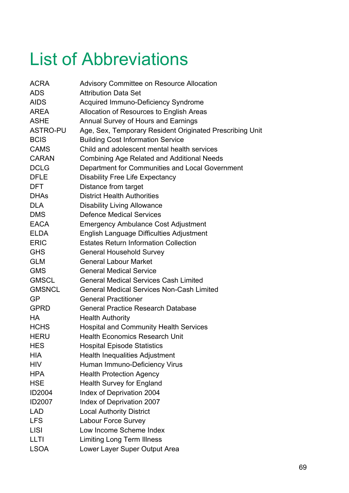# List of Abbreviations

| <b>ACRA</b>     | <b>Advisory Committee on Resource Allocation</b>         |
|-----------------|----------------------------------------------------------|
| <b>ADS</b>      | <b>Attribution Data Set</b>                              |
| <b>AIDS</b>     | <b>Acquired Immuno-Deficiency Syndrome</b>               |
| <b>AREA</b>     | Allocation of Resources to English Areas                 |
| <b>ASHE</b>     | Annual Survey of Hours and Earnings                      |
| <b>ASTRO-PU</b> | Age, Sex, Temporary Resident Originated Prescribing Unit |
| <b>BCIS</b>     | <b>Building Cost Information Service</b>                 |
| <b>CAMS</b>     | Child and adolescent mental health services              |
| <b>CARAN</b>    | <b>Combining Age Related and Additional Needs</b>        |
| <b>DCLG</b>     | Department for Communities and Local Government          |
| <b>DFLE</b>     | <b>Disability Free Life Expectancy</b>                   |
| DFT.            | Distance from target                                     |
| <b>DHAS</b>     | <b>District Health Authorities</b>                       |
| <b>DLA</b>      | <b>Disability Living Allowance</b>                       |
| <b>DMS</b>      | <b>Defence Medical Services</b>                          |
| <b>EACA</b>     | <b>Emergency Ambulance Cost Adjustment</b>               |
| <b>ELDA</b>     | English Language Difficulties Adjustment                 |
| <b>ERIC</b>     | <b>Estates Return Information Collection</b>             |
| <b>GHS</b>      | <b>General Household Survey</b>                          |
| <b>GLM</b>      | <b>General Labour Market</b>                             |
| <b>GMS</b>      | <b>General Medical Service</b>                           |
| <b>GMSCL</b>    | <b>General Medical Services Cash Limited</b>             |
| <b>GMSNCL</b>   | <b>General Medical Services Non-Cash Limited</b>         |
| <b>GP</b>       | <b>General Practitioner</b>                              |
| <b>GPRD</b>     | <b>General Practice Research Database</b>                |
| HA              | <b>Health Authority</b>                                  |
| <b>HCHS</b>     | <b>Hospital and Community Health Services</b>            |
| <b>HERU</b>     | <b>Health Economics Research Unit</b>                    |
| <b>HES</b>      | <b>Hospital Episode Statistics</b>                       |
| <b>HIA</b>      | <b>Health Inequalities Adjustment</b>                    |
| <b>HIV</b>      | Human Immuno-Deficiency Virus                            |
| <b>HPA</b>      | <b>Health Protection Agency</b>                          |
| <b>HSE</b>      | <b>Health Survey for England</b>                         |
| <b>ID2004</b>   | Index of Deprivation 2004                                |
| ID2007          | Index of Deprivation 2007                                |
| <b>LAD</b>      | <b>Local Authority District</b>                          |
| <b>LFS</b>      | Labour Force Survey                                      |
| <b>LISI</b>     | Low Income Scheme Index                                  |
| <b>LLTI</b>     | <b>Limiting Long Term Illness</b>                        |
| <b>LSOA</b>     | Lower Layer Super Output Area                            |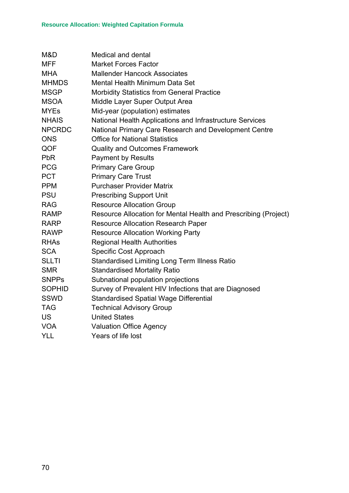| M&D           | Medical and dental                                              |
|---------------|-----------------------------------------------------------------|
| <b>MFF</b>    | <b>Market Forces Factor</b>                                     |
| <b>MHA</b>    | <b>Mallender Hancock Associates</b>                             |
| <b>MHMDS</b>  | <b>Mental Health Minimum Data Set</b>                           |
| <b>MSGP</b>   | <b>Morbidity Statistics from General Practice</b>               |
| <b>MSOA</b>   | Middle Layer Super Output Area                                  |
| <b>MYEs</b>   | Mid-year (population) estimates                                 |
| <b>NHAIS</b>  | National Health Applications and Infrastructure Services        |
| <b>NPCRDC</b> | National Primary Care Research and Development Centre           |
| <b>ONS</b>    | <b>Office for National Statistics</b>                           |
| QOF           | <b>Quality and Outcomes Framework</b>                           |
| <b>PbR</b>    | <b>Payment by Results</b>                                       |
| <b>PCG</b>    | <b>Primary Care Group</b>                                       |
| <b>PCT</b>    | <b>Primary Care Trust</b>                                       |
| <b>PPM</b>    | <b>Purchaser Provider Matrix</b>                                |
| <b>PSU</b>    | <b>Prescribing Support Unit</b>                                 |
| <b>RAG</b>    | <b>Resource Allocation Group</b>                                |
| <b>RAMP</b>   | Resource Allocation for Mental Health and Prescribing (Project) |
| <b>RARP</b>   | <b>Resource Allocation Research Paper</b>                       |
| <b>RAWP</b>   | <b>Resource Allocation Working Party</b>                        |
| <b>RHAs</b>   | <b>Regional Health Authorities</b>                              |
| <b>SCA</b>    | Specific Cost Approach                                          |
| <b>SLLTI</b>  | <b>Standardised Limiting Long Term Illness Ratio</b>            |
| <b>SMR</b>    | <b>Standardised Mortality Ratio</b>                             |
| <b>SNPPs</b>  | Subnational population projections                              |
| <b>SOPHID</b> | Survey of Prevalent HIV Infections that are Diagnosed           |
| <b>SSWD</b>   | <b>Standardised Spatial Wage Differential</b>                   |
| <b>TAG</b>    | <b>Technical Advisory Group</b>                                 |
| <b>US</b>     | <b>United States</b>                                            |
| <b>VOA</b>    | <b>Valuation Office Agency</b>                                  |
| <b>YLL</b>    | Years of life lost                                              |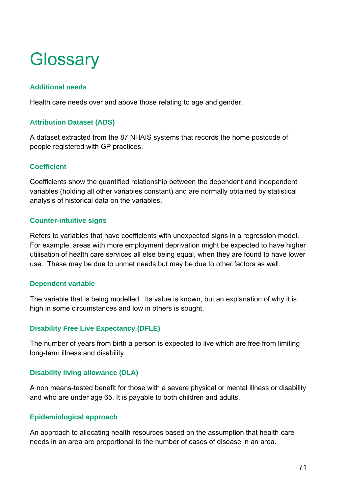# **Glossary**

# **Additional needs**

Health care needs over and above those relating to age and gender.

# **Attribution Dataset (ADS)**

A dataset extracted from the 87 NHAIS systems that records the home postcode of people registered with GP practices.

# **Coefficient**

Coefficients show the quantified relationship between the dependent and independent variables (holding all other variables constant) and are normally obtained by statistical analysis of historical data on the variables.

## **Counter-intuitive signs**

Refers to variables that have coefficients with unexpected signs in a regression model. For example, areas with more employment deprivation might be expected to have higher utilisation of health care services all else being equal, when they are found to have lower use. These may be due to unmet needs but may be due to other factors as well.

## **Dependent variable**

The variable that is being modelled. Its value is known, but an explanation of why it is high in some circumstances and low in others is sought.

# **Disability Free Live Expectancy (DFLE)**

The number of years from birth a person is expected to live which are free from limiting long-term illness and disability.

## **Disability living allowance (DLA)**

A non means-tested benefit for those with a severe physical or mental illness or disability and who are under age 65. It is payable to both children and adults.

## **Epidemiological approach**

An approach to allocating health resources based on the assumption that health care needs in an area are proportional to the number of cases of disease in an area.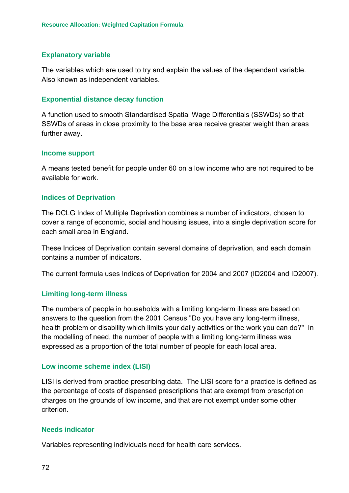## **Explanatory variable**

The variables which are used to try and explain the values of the dependent variable. Also known as independent variables.

## **Exponential distance decay function**

A function used to smooth Standardised Spatial Wage Differentials (SSWDs) so that SSWDs of areas in close proximity to the base area receive greater weight than areas further away.

### **Income support**

A means tested benefit for people under 60 on a low income who are not required to be available for work.

### **Indices of Deprivation**

The DCLG Index of Multiple Deprivation combines a number of indicators, chosen to cover a range of economic, social and housing issues, into a single deprivation score for each small area in England.

These Indices of Deprivation contain several domains of deprivation, and each domain contains a number of indicators.

The current formula uses Indices of Deprivation for 2004 and 2007 (ID2004 and ID2007).

## **Limiting long-term illness**

The numbers of people in households with a limiting long-term illness are based on answers to the question from the 2001 Census "Do you have any long-term illness, health problem or disability which limits your daily activities or the work you can do?" In the modelling of need, the number of people with a limiting long-term illness was expressed as a proportion of the total number of people for each local area.

## **Low income scheme index (LISI)**

LISI is derived from practice prescribing data. The LISI score for a practice is defined as the percentage of costs of dispensed prescriptions that are exempt from prescription charges on the grounds of low income, and that are not exempt under some other criterion.

### **Needs indicator**

Variables representing individuals need for health care services.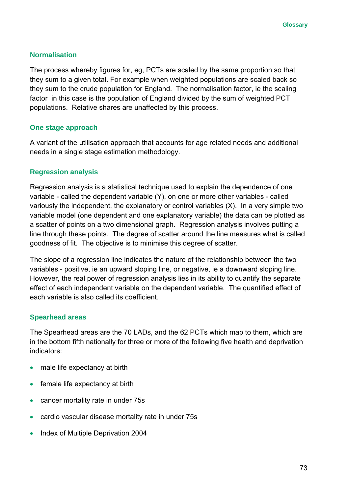# **Normalisation**

The process whereby figures for, eg, PCTs are scaled by the same proportion so that they sum to a given total. For example when weighted populations are scaled back so they sum to the crude population for England. The normalisation factor, ie the scaling factor in this case is the population of England divided by the sum of weighted PCT populations. Relative shares are unaffected by this process.

## **One stage approach**

A variant of the utilisation approach that accounts for age related needs and additional needs in a single stage estimation methodology.

# **Regression analysis**

Regression analysis is a statistical technique used to explain the dependence of one variable - called the dependent variable (Y), on one or more other variables - called variously the independent, the explanatory or control variables (X). In a very simple two variable model (one dependent and one explanatory variable) the data can be plotted as a scatter of points on a two dimensional graph. Regression analysis involves putting a line through these points. The degree of scatter around the line measures what is called goodness of fit. The objective is to minimise this degree of scatter.

The slope of a regression line indicates the nature of the relationship between the two variables - positive, ie an upward sloping line, or negative, ie a downward sloping line. However, the real power of regression analysis lies in its ability to quantify the separate effect of each independent variable on the dependent variable. The quantified effect of each variable is also called its coefficient.

# **Spearhead areas**

The Spearhead areas are the 70 LADs, and the 62 PCTs which map to them, which are in the bottom fifth nationally for three or more of the following five health and deprivation indicators:

- male life expectancy at birth
- female life expectancy at birth
- cancer mortality rate in under 75s
- cardio vascular disease mortality rate in under 75s
- Index of Multiple Deprivation 2004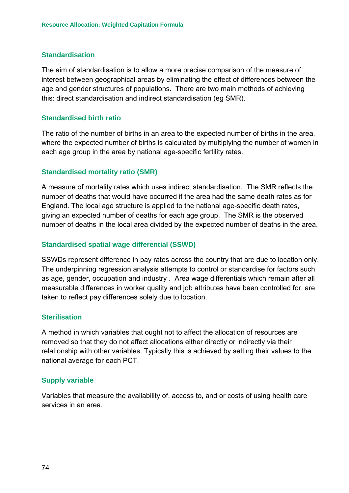## **Standardisation**

The aim of standardisation is to allow a more precise comparison of the measure of interest between geographical areas by eliminating the effect of differences between the age and gender structures of populations. There are two main methods of achieving this: direct standardisation and indirect standardisation (eg SMR).

## **Standardised birth ratio**

The ratio of the number of births in an area to the expected number of births in the area, where the expected number of births is calculated by multiplying the number of women in each age group in the area by national age-specific fertility rates.

## **Standardised mortality ratio (SMR)**

A measure of mortality rates which uses indirect standardisation. The SMR reflects the number of deaths that would have occurred if the area had the same death rates as for England. The local age structure is applied to the national age-specific death rates, giving an expected number of deaths for each age group. The SMR is the observed number of deaths in the local area divided by the expected number of deaths in the area.

## **Standardised spatial wage differential (SSWD)**

SSWDs represent difference in pay rates across the country that are due to location only. The underpinning regression analysis attempts to control or standardise for factors such as age, gender, occupation and industry . Area wage differentials which remain after all measurable differences in worker quality and job attributes have been controlled for, are taken to reflect pay differences solely due to location.

## **Sterilisation**

A method in which variables that ought not to affect the allocation of resources are removed so that they do not affect allocations either directly or indirectly via their relationship with other variables. Typically this is achieved by setting their values to the national average for each PCT.

## **Supply variable**

Variables that measure the availability of, access to, and or costs of using health care services in an area.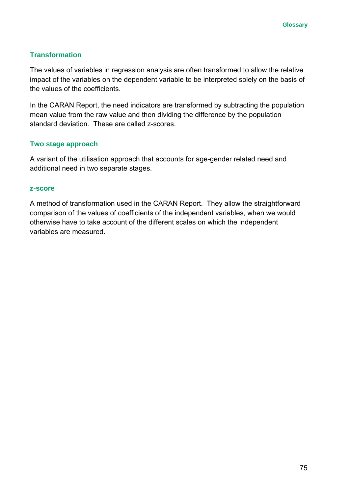# **Transformation**

The values of variables in regression analysis are often transformed to allow the relative impact of the variables on the dependent variable to be interpreted solely on the basis of the values of the coefficients.

In the CARAN Report, the need indicators are transformed by subtracting the population mean value from the raw value and then dividing the difference by the population standard deviation. These are called z-scores.

# **Two stage approach**

A variant of the utilisation approach that accounts for age-gender related need and additional need in two separate stages.

### **z-score**

A method of transformation used in the CARAN Report. They allow the straightforward comparison of the values of coefficients of the independent variables, when we would otherwise have to take account of the different scales on which the independent variables are measured.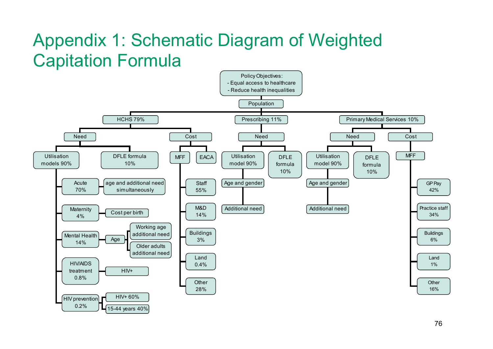# Appendix 1: Schematic Diagram of Weighted Capitation Formula

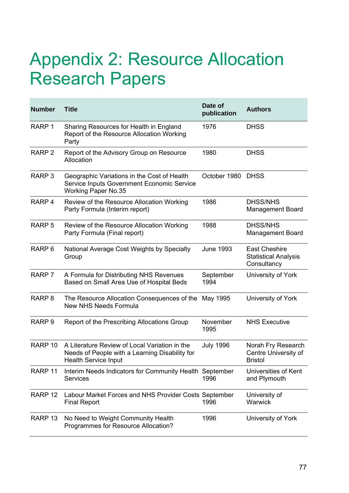# Appendix 2: Resource Allocation Research Papers

| <b>Number</b>      | <b>Title</b>                                                                                                                   | Date of<br>publication | <b>Authors</b>                                                     |
|--------------------|--------------------------------------------------------------------------------------------------------------------------------|------------------------|--------------------------------------------------------------------|
| RARP <sub>1</sub>  | Sharing Resources for Health in England<br>Report of the Resource Allocation Working<br>Party                                  | 1976                   | <b>DHSS</b>                                                        |
| RARP <sub>2</sub>  | Report of the Advisory Group on Resource<br>Allocation                                                                         | 1980                   | <b>DHSS</b>                                                        |
| RARP <sub>3</sub>  | Geographic Variations in the Cost of Health<br>Service Inputs Government Economic Service<br><b>Working Paper No.35</b>        | October 1980           | <b>DHSS</b>                                                        |
| RARP <sub>4</sub>  | Review of the Resource Allocation Working<br>Party Formula (Interim report)                                                    | 1986                   | <b>DHSS/NHS</b><br><b>Management Board</b>                         |
| RARP <sub>5</sub>  | Review of the Resource Allocation Working<br>Party Formula (Final report)                                                      | 1988                   | <b>DHSS/NHS</b><br><b>Management Board</b>                         |
| RARP <sub>6</sub>  | National Average Cost Weights by Specialty<br>Group                                                                            | <b>June 1993</b>       | <b>East Cheshire</b><br><b>Statistical Analysis</b><br>Consultancy |
| RARP <sub>7</sub>  | A Formula for Distributing NHS Revenues<br>Based on Small Area Use of Hospital Beds                                            | September<br>1994      | University of York                                                 |
| RARP <sub>8</sub>  | The Resource Allocation Consequences of the<br><b>New NHS Needs Formula</b>                                                    | May 1995               | University of York                                                 |
| RARP <sub>9</sub>  | Report of the Prescribing Allocations Group                                                                                    | November<br>1995       | <b>NHS Executive</b>                                               |
| RARP <sub>10</sub> | A Literature Review of Local Variation in the<br>Needs of People with a Learning Disability for<br><b>Health Service Input</b> | <b>July 1996</b>       | Norah Fry Research<br>Centre University of<br><b>Bristol</b>       |
| RARP <sub>11</sub> | Interim Needs Indicators for Community Health September<br>Services                                                            | 1996                   | Universities of Kent<br>and Plymouth                               |
| RARP <sub>12</sub> | Labour Market Forces and NHS Provider Costs September<br><b>Final Report</b>                                                   | 1996                   | University of<br>Warwick                                           |
| RARP <sub>13</sub> | No Need to Weight Community Health<br>Programmes for Resource Allocation?                                                      | 1996                   | University of York                                                 |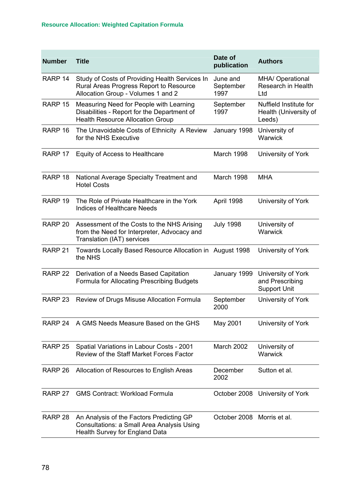| <b>Number</b>      | <b>Title</b>                                                                                                                      | Date of<br>publication        | <b>Authors</b>                                               |
|--------------------|-----------------------------------------------------------------------------------------------------------------------------------|-------------------------------|--------------------------------------------------------------|
| RARP 14            | Study of Costs of Providing Health Services In<br>Rural Areas Progress Report to Resource<br>Allocation Group - Volumes 1 and 2   | June and<br>September<br>1997 | <b>MHA/ Operational</b><br>Research in Health<br>Ltd         |
| RARP 15            | Measuring Need for People with Learning<br>Disabilities - Report for the Department of<br><b>Health Resource Allocation Group</b> | September<br>1997             | Nuffield Institute for<br>Health (University of<br>Leeds)    |
| RARP <sub>16</sub> | The Unavoidable Costs of Ethnicity A Review<br>for the NHS Executive                                                              | January 1998                  | University of<br>Warwick                                     |
| RARP 17            | Equity of Access to Healthcare                                                                                                    | March 1998                    | University of York                                           |
| RARP <sub>18</sub> | National Average Specialty Treatment and<br><b>Hotel Costs</b>                                                                    | March 1998                    | <b>MHA</b>                                                   |
| RARP <sub>19</sub> | The Role of Private Healthcare in the York<br><b>Indices of Healthcare Needs</b>                                                  | April 1998                    | University of York                                           |
| RARP <sub>20</sub> | Assessment of the Costs to the NHS Arising<br>from the Need for Interpreter, Advocacy and<br>Translation (IAT) services           | <b>July 1998</b>              | University of<br>Warwick                                     |
| RARP 21            | Towards Locally Based Resource Allocation in August 1998<br>the NHS                                                               |                               | University of York                                           |
| RARP <sub>22</sub> | Derivation of a Needs Based Capitation<br>Formula for Allocating Prescribing Budgets                                              | January 1999                  | University of York<br>and Prescribing<br><b>Support Unit</b> |
| RARP <sub>23</sub> | Review of Drugs Misuse Allocation Formula                                                                                         | September<br>2000             | University of York                                           |
| RARP 24            | A GMS Needs Measure Based on the GHS                                                                                              | May 2001                      | University of York                                           |
| RARP <sub>25</sub> | Spatial Variations in Labour Costs - 2001<br>Review of the Staff Market Forces Factor                                             | March 2002                    | University of<br>Warwick                                     |
| RARP <sub>26</sub> | Allocation of Resources to English Areas                                                                                          | December<br>2002              | Sutton et al.                                                |
| RARP 27            | <b>GMS Contract: Workload Formula</b>                                                                                             | October 2008                  | University of York                                           |
| RARP <sub>28</sub> | An Analysis of the Factors Predicting GP<br><b>Consultations: a Small Area Analysis Using</b><br>Health Survey for England Data   | October 2008 Morris et al.    |                                                              |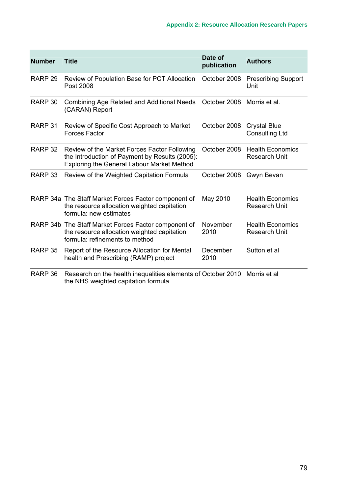| <b>Number</b>      | <b>Title</b>                                                                                                                                        | Date of<br>publication | <b>Authors</b>                                  |  |  |
|--------------------|-----------------------------------------------------------------------------------------------------------------------------------------------------|------------------------|-------------------------------------------------|--|--|
| RARP <sub>29</sub> | Review of Population Base for PCT Allocation<br>Post 2008                                                                                           | October 2008           | <b>Prescribing Support</b><br>Unit              |  |  |
| RARP 30            | Combining Age Related and Additional Needs<br>(CARAN) Report                                                                                        | October 2008           | Morris et al.                                   |  |  |
| RARP 31            | Review of Specific Cost Approach to Market<br><b>Forces Factor</b>                                                                                  | October 2008           | <b>Crystal Blue</b><br><b>Consulting Ltd</b>    |  |  |
| RARP <sub>32</sub> | Review of the Market Forces Factor Following<br>the Introduction of Payment by Results (2005):<br><b>Exploring the General Labour Market Method</b> | October 2008           | <b>Health Economics</b><br><b>Research Unit</b> |  |  |
| RARP <sub>33</sub> | Review of the Weighted Capitation Formula                                                                                                           | October 2008           | Gwyn Bevan                                      |  |  |
|                    | RARP 34a The Staff Market Forces Factor component of<br>the resource allocation weighted capitation<br>formula: new estimates                       | May 2010               | <b>Health Economics</b><br><b>Research Unit</b> |  |  |
|                    | RARP 34b The Staff Market Forces Factor component of<br>the resource allocation weighted capitation<br>formula: refinements to method               | November<br>2010       | <b>Health Economics</b><br><b>Research Unit</b> |  |  |
| RARP 35            | Report of the Resource Allocation for Mental<br>health and Prescribing (RAMP) project                                                               | December<br>2010       | Sutton et al                                    |  |  |
| RARP 36            | Research on the health inequalities elements of October 2010<br>the NHS weighted capitation formula                                                 |                        | Morris et al                                    |  |  |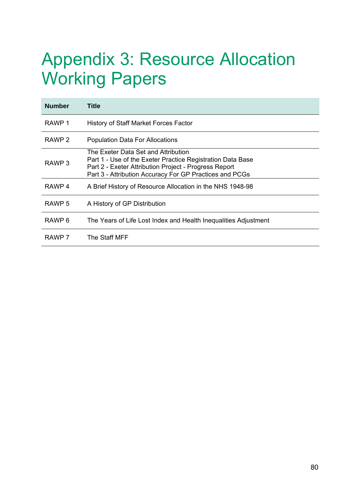# Appendix 3: Resource Allocation Working Papers

| <b>Number</b>     | Title                                                                                                                                                                                                                 |
|-------------------|-----------------------------------------------------------------------------------------------------------------------------------------------------------------------------------------------------------------------|
| RAWP 1            | History of Staff Market Forces Factor                                                                                                                                                                                 |
| RAWP <sub>2</sub> | <b>Population Data For Allocations</b>                                                                                                                                                                                |
| RAWP <sub>3</sub> | The Exeter Data Set and Attribution<br>Part 1 - Use of the Exeter Practice Registration Data Base<br>Part 2 - Exeter Attribution Project - Progress Report<br>Part 3 - Attribution Accuracy For GP Practices and PCGs |
| RAWP 4            | A Brief History of Resource Allocation in the NHS 1948-98                                                                                                                                                             |
| RAWP 5            | A History of GP Distribution                                                                                                                                                                                          |
| RAWP <sub>6</sub> | The Years of Life Lost Index and Health Inequalities Adjustment                                                                                                                                                       |
| RAWP 7            | The Staff MFF                                                                                                                                                                                                         |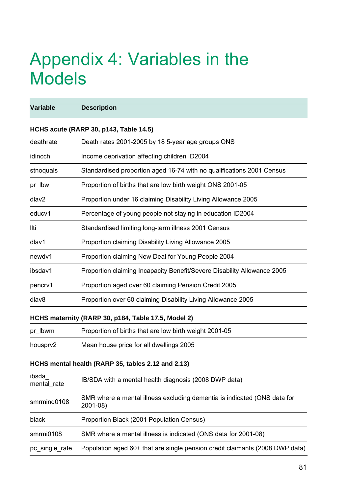# Appendix 4: Variables in the Models

| <b>Variable</b>      | <b>Description</b>                                                                   |
|----------------------|--------------------------------------------------------------------------------------|
|                      | HCHS acute (RARP 30, p143, Table 14.5)                                               |
| deathrate            | Death rates 2001-2005 by 18 5-year age groups ONS                                    |
| idincch              | Income deprivation affecting children ID2004                                         |
| stnoquals            | Standardised proportion aged 16-74 with no qualifications 2001 Census                |
| pr_lbw               | Proportion of births that are low birth weight ONS 2001-05                           |
| dlav2                | Proportion under 16 claiming Disability Living Allowance 2005                        |
| educv1               | Percentage of young people not staying in education ID2004                           |
| llti                 | Standardised limiting long-term illness 2001 Census                                  |
| dlav1                | Proportion claiming Disability Living Allowance 2005                                 |
| newdv1               | Proportion claiming New Deal for Young People 2004                                   |
| ibsdav1              | Proportion claiming Incapacity Benefit/Severe Disability Allowance 2005              |
| pencrv1              | Proportion aged over 60 claiming Pension Credit 2005                                 |
| dlav8                | Proportion over 60 claiming Disability Living Allowance 2005                         |
|                      | HCHS maternity (RARP 30, p184, Table 17.5, Model 2)                                  |
| pr_lbwm              | Proportion of births that are low birth weight 2001-05                               |
| housprv2             | Mean house price for all dwellings 2005                                              |
|                      | HCHS mental health (RARP 35, tables 2.12 and 2.13)                                   |
| ibsda<br>mental_rate | IB/SDA with a mental health diagnosis (2008 DWP data)                                |
| smrmind0108          | SMR where a mental illness excluding dementia is indicated (ONS data for<br>2001-08) |
| black                | Proportion Black (2001 Population Census)                                            |
| smrmi0108            | SMR where a mental illness is indicated (ONS data for 2001-08)                       |
| pc_single_rate       | Population aged 60+ that are single pension credit claimants (2008 DWP data)         |
|                      |                                                                                      |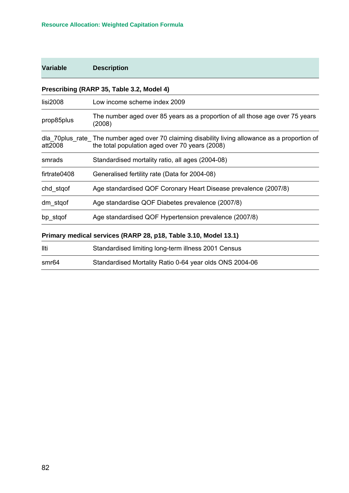# **Variable Description**

# **Prescribing (RARP 35, Table 3.2, Model 4)**

| lisi2008     | Low income scheme index 2009                                                                                                                       |
|--------------|----------------------------------------------------------------------------------------------------------------------------------------------------|
| prop85plus   | The number aged over 85 years as a proportion of all those age over 75 years<br>(2008)                                                             |
| att2008      | dla 70 plus rate The number aged over 70 claiming disability living allowance as a proportion of<br>the total population aged over 70 years (2008) |
| smrads       | Standardised mortality ratio, all ages (2004-08)                                                                                                   |
| firtrate0408 | Generalised fertility rate (Data for 2004-08)                                                                                                      |
| chd_stqof    | Age standardised QOF Coronary Heart Disease prevalence (2007/8)                                                                                    |
| dm_stqof     | Age standardise QOF Diabetes prevalence (2007/8)                                                                                                   |
| bp stgof     | Age standardised QOF Hypertension prevalence (2007/8)                                                                                              |
|              |                                                                                                                                                    |

# **Primary medical services (RARP 28, p18, Table 3.10, Model 13.1)**

| llti  | Standardised limiting long-term illness 2001 Census     |
|-------|---------------------------------------------------------|
| smr64 | Standardised Mortality Ratio 0-64 year olds ONS 2004-06 |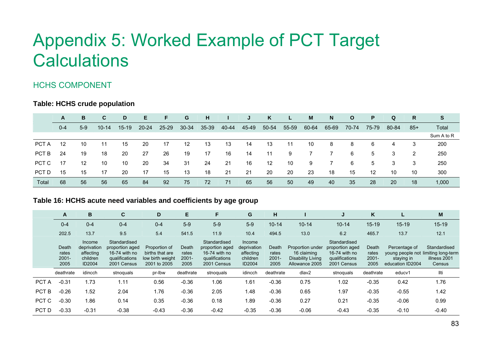# Appendix 5: Worked Example of PCT Target **Calculations**

# HCHS COMPONENT

## **Table: HCHS crude population**

|       | A       | B.    | C         | D       | E.        | F.        | G         | H     |       | J     | K     | L.    | M     | N     | $\mathbf{o}$    | P.    | Q     | R     | S.         |
|-------|---------|-------|-----------|---------|-----------|-----------|-----------|-------|-------|-------|-------|-------|-------|-------|-----------------|-------|-------|-------|------------|
|       | $0 - 4$ | $5-9$ | $10 - 14$ | $15-19$ | $20 - 24$ | $25 - 29$ | $30 - 34$ | 35-39 | 40-44 | 45-49 | 50-54 | 55-59 | 60-64 | 65-69 | 70-74           | 75-79 | 80-84 | $85+$ | Total      |
|       |         |       |           |         |           |           |           |       |       |       |       |       |       |       |                 |       |       |       | Sum A to R |
| PCT A | 12      | 10    | 11        | 15      | 20        | 17        | 12        | 13    | 13    | 14    | 13    | 11    | 10    | 8     | 8               | 6     | 4     |       | 200        |
| PCT B | 24      | 19    | 18        | 20      | 27        | 26        | 19        | 17    | 16    | 14    | 11    | 9     |       |       | 6               | 5     | 3     | 2     | 250        |
| PCT C | 17      | 12    | 10        | 10      | 20        | 34        | -31       | 24    | 21    | 16    | 12    | 10    | 9     |       | 6               | 5     | 3     | 3     | 250        |
| PCT D | 15      | 15    | 17        | 20      | 17        | 15        | 13        | 18    | 21    | 21    | 20    | 20    | 23    | 18    | 15              | 12    | 10    | 10    | 300        |
| Total | 68      | 56    | 56        | 65      | 84        | 92        | 75        | 72    | 71    | 65    | 56    | 50    | 49    | 40    | 35 <sup>°</sup> | 28    | 20    | 18    | 1,000      |

## **Table 16: HCHS acute need variables and coefficie nts by age group**

<span id="page-88-0"></span>

|       | A                                  | В                                                        | C                                                                                 | Е<br>D                                                               |                                    | F                                                                                 | G                                                        | н                                  |                                                                        | J                                                                                 | K                                  |                                                                                        | M                                      |
|-------|------------------------------------|----------------------------------------------------------|-----------------------------------------------------------------------------------|----------------------------------------------------------------------|------------------------------------|-----------------------------------------------------------------------------------|----------------------------------------------------------|------------------------------------|------------------------------------------------------------------------|-----------------------------------------------------------------------------------|------------------------------------|----------------------------------------------------------------------------------------|----------------------------------------|
|       | $0 - 4$                            | $0 - 4$                                                  | $0 - 4$                                                                           | $0 - 4$                                                              | $5-9$                              | $5-9$                                                                             | $5-9$                                                    | $10 - 14$                          | $10 - 14$                                                              | $10 - 14$                                                                         | $15 - 19$                          | $15 - 19$                                                                              | $15 - 19$                              |
|       | 202.5                              | 13.7                                                     | 9.5                                                                               | 5.4                                                                  | 541.5                              | 11.9                                                                              | 10.4                                                     | 494.5                              | 13.0                                                                   | 6.2                                                                               | 465.7                              | 13.7                                                                                   | 12.1                                   |
|       | Death<br>rates<br>$2001 -$<br>2005 | Income<br>deprivation<br>affecting<br>children<br>ID2004 | Standardised<br>proportion aged<br>16-74 with no<br>qualifications<br>2001 Census | Proportion of<br>births that are<br>low birth weight<br>2001 to 2005 | Death<br>rates<br>$2001 -$<br>2005 | Standardised<br>proportion aged<br>16-74 with no<br>qualifications<br>2001 Census | Income<br>deprivation<br>affecting<br>children<br>ID2004 | Death<br>rates<br>$2001 -$<br>2005 | Proportion under<br>16 claiming<br>Disability Living<br>Allowance 2005 | Standardised<br>proportion aged<br>16-74 with no<br>qualifications<br>2001 Census | Death<br>rates<br>$2001 -$<br>2005 | Percentage of<br>young people not limiting long-term<br>staving in<br>education ID2004 | Standardised<br>illness 2001<br>Census |
|       | deathrate                          | idincch                                                  | stnoquals                                                                         | pr-lbw                                                               | deathrate                          | stnoquals                                                                         | idincch                                                  | deathrate                          | dlav2                                                                  | stnoquals                                                                         | deathrate                          | educv1                                                                                 | llti                                   |
| PCT A | $-0.31$                            | 1.73                                                     | 1.11                                                                              | 0.56                                                                 | $-0.36$                            | 1.06                                                                              | .61                                                      | $-0.36$                            | 0.75                                                                   | 1.02                                                                              | $-0.35$                            | 0.42                                                                                   | 1.76                                   |
| PCT B | $-0.26$                            | .52                                                      | 2.04                                                                              | 1.76                                                                 | $-0.36$                            | 2.05                                                                              | .48                                                      | $-0.36$                            | 0.65                                                                   | 1.97                                                                              | $-0.35$                            | $-0.55$                                                                                | 1.42                                   |
| PCT C | $-0.30$                            | 1.86                                                     | 0.14                                                                              | 0.35                                                                 | $-0.36$                            | 0.18                                                                              | 1.89                                                     | $-0.36$                            | 0.27                                                                   | 0.21                                                                              | $-0.35$                            | $-0.06$                                                                                | 0.99                                   |
| PCT D | $-0.33$                            | $-0.31$                                                  | $-0.38$                                                                           | $-0.43$                                                              | $-0.36$                            | $-0.42$                                                                           | $-0.35$                                                  | $-0.36$                            | $-0.06$                                                                | $-0.43$                                                                           | $-0.35$                            | $-0.10$                                                                                | $-0.40$                                |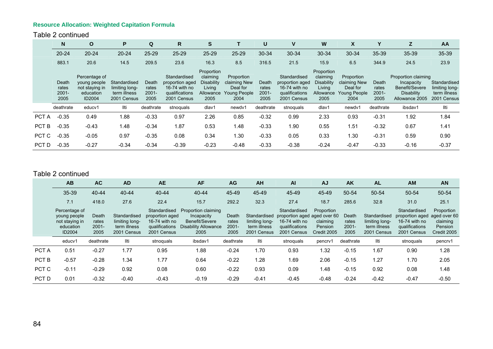#### Table 2 continued

|       | N                                  | $\mathbf{o}$                                                                  | Р                                                             | Q                                  | R                                                                                 | S                                                                          |                                                                       | U                               | ν                                                                                 | W                                                                   | X                                                                     |                                 | z                                                                                          | AA                                                            |
|-------|------------------------------------|-------------------------------------------------------------------------------|---------------------------------------------------------------|------------------------------------|-----------------------------------------------------------------------------------|----------------------------------------------------------------------------|-----------------------------------------------------------------------|---------------------------------|-----------------------------------------------------------------------------------|---------------------------------------------------------------------|-----------------------------------------------------------------------|---------------------------------|--------------------------------------------------------------------------------------------|---------------------------------------------------------------|
|       | $20 - 24$                          | $20 - 24$                                                                     | $20 - 24$                                                     | 25-29                              | $25 - 29$                                                                         | 25-29                                                                      | $25 - 29$                                                             | 30-34                           | 30-34                                                                             | 30-34                                                               | 30-34                                                                 | 35-39                           | 35-39                                                                                      | 35-39                                                         |
|       | 883.1                              | 20.6                                                                          | 14.5                                                          | 209.5                              | 23.6                                                                              | 16.3                                                                       | 8.5                                                                   | 316.5                           | 21.5                                                                              | 15.9                                                                | 6.5                                                                   | 344.9                           | 24.5                                                                                       | 23.9                                                          |
|       | Death<br>rates<br>$2001 -$<br>2005 | Percentage of<br>young people<br>not staying in<br>education<br><b>ID2004</b> | Standardised<br>limiting long-<br>term illness<br>2001 Census | Death<br>rates<br>$2001 -$<br>2005 | Standardised<br>proportion aged<br>16-74 with no<br>qualifications<br>2001 Census | Proportion<br>claiming<br><b>Disability</b><br>Living<br>Allowance<br>2005 | Proportion<br>claiming New<br>Deal for<br><b>Young People</b><br>2004 | Death<br>rates<br>2001-<br>2005 | Standardised<br>proportion aged<br>16-74 with no<br>qualifications<br>2001 Census | Proportion<br>claiming<br>Disability<br>Living<br>Allowance<br>2005 | Proportion<br>claiming New<br>Deal for<br><b>Young People</b><br>2004 | Death<br>rates<br>2001-<br>2005 | Proportion claiming<br>Incapacity<br>Benefit/Severe<br><b>Disability</b><br>Allowance 2005 | Standardised<br>limiting long-<br>term illness<br>2001 Census |
|       | deathrate                          | educv1                                                                        | llti                                                          | deathrate                          | stnoguals                                                                         | dlav1                                                                      | newdv1                                                                | deathrate                       | stnoquals                                                                         | dlav1                                                               | newdy1                                                                | deathrate                       | ibsdav1                                                                                    | llti                                                          |
| PCT A | $-0.35$                            | 0.49                                                                          | 1.88                                                          | $-0.33$                            | 0.97                                                                              | 2.26                                                                       | 0.85                                                                  | $-0.32$                         | 0.99                                                                              | 2.33                                                                | 0.93                                                                  | $-0.31$                         | 1.92                                                                                       | 1.84                                                          |
| PCT B | $-0.35$                            | $-0.43$                                                                       | 1.48                                                          | $-0.34$                            | 1.87                                                                              | 0.53                                                                       | 1.48                                                                  | $-0.33$                         | 1.90                                                                              | 0.55                                                                | 1.51                                                                  | $-0.32$                         | 0.67                                                                                       | 1.41                                                          |
| PCT C | $-0.35$                            | $-0.05$                                                                       | 0.97                                                          | $-0.35$                            | 0.08                                                                              | 0.34                                                                       | 1.30                                                                  | $-0.33$                         | 0.05                                                                              | 0.33                                                                | 1.30                                                                  | $-0.31$                         | 0.59                                                                                       | 0.90                                                          |
| PCT D | $-0.35$                            | $-0.27$                                                                       | $-0.34$                                                       | $-0.34$                            | $-0.39$                                                                           | $-0.23$                                                                    | $-0.48$                                                               | $-0.33$                         | $-0.38$                                                                           | $-0.24$                                                             | $-0.47$                                                               | $-0.33$                         | $-0.16$                                                                                    | $-0.37$                                                       |

#### Table 2 continued

|       | AB                                                                            | <b>AC</b>                          | <b>AD</b>                                                     | <b>AE</b>                                                                         | <b>AF</b>                                                                                  | <b>AG</b>                          | AH                                                            | <b>AI</b>                                                                                      | <b>AJ</b>                                        | <b>AK</b>                          | AL                                                            | <b>AM</b>                                                                         | <b>AN</b>                                                               |
|-------|-------------------------------------------------------------------------------|------------------------------------|---------------------------------------------------------------|-----------------------------------------------------------------------------------|--------------------------------------------------------------------------------------------|------------------------------------|---------------------------------------------------------------|------------------------------------------------------------------------------------------------|--------------------------------------------------|------------------------------------|---------------------------------------------------------------|-----------------------------------------------------------------------------------|-------------------------------------------------------------------------|
|       | $35 - 39$                                                                     | 40-44                              | $40 - 44$                                                     | $40 - 44$                                                                         | $40 - 44$                                                                                  | 45-49                              | 45-49                                                         | 45-49                                                                                          | 45-49                                            | 50-54                              | 50-54                                                         | 50-54                                                                             | 50-54                                                                   |
|       | 7.1                                                                           | 418.0                              | 27.6                                                          | 22.4                                                                              | 15.7                                                                                       | 292.2                              | 32.3                                                          | 27.4                                                                                           | 18.7                                             | 285.6                              | 32.8                                                          | 31.0                                                                              | 25.1                                                                    |
|       | Percentage of<br>young people<br>not staying in<br>education<br><b>ID2004</b> | Death<br>rates<br>$2001 -$<br>2005 | Standardised<br>limiting long-<br>term illness<br>2001 Census | Standardised<br>proportion aged<br>16-74 with no<br>qualifications<br>2001 Census | Proportion claiming<br>Incapacity<br>Benefit/Severe<br><b>Disability Allowance</b><br>2005 | Death<br>rates<br>$2001 -$<br>2005 | Standardised<br>limiting long-<br>term illness<br>2001 Census | Standardised<br>proportion aged aged over 60<br>16-74 with no<br>qualifications<br>2001 Census | Proportion<br>claiming<br>Pension<br>Credit 2005 | Death<br>rates<br>$2001 -$<br>2005 | Standardised<br>limiting long-<br>term illness<br>2001 Census | Standardised<br>proportion aged<br>16-74 with no<br>qualifications<br>2001 Census | Proportion<br>aged over 60<br>claiming<br><b>Pension</b><br>Credit 2005 |
|       | educv1                                                                        | deathrate                          | llti                                                          | stnoquals                                                                         | ibsdav1                                                                                    | deathrate                          | Ilti                                                          | stnoguals                                                                                      | pencry1                                          | deathrate                          | llti                                                          | stnoguals                                                                         | pencrv1                                                                 |
| PCT A | 0.51                                                                          | $-0.27$                            | 1.77                                                          | 0.95                                                                              | 1.88                                                                                       | $-0.24$                            | 1.70                                                          | 0.93                                                                                           | 1.32                                             | $-0.15$                            | 1.67                                                          | 0.90                                                                              | 1.28                                                                    |
| PCT B | $-0.57$                                                                       | $-0.28$                            | 1.34                                                          | 1.77                                                                              | 0.64                                                                                       | $-0.22$                            | 1.28                                                          | 1.69                                                                                           | 2.06                                             | $-0.15$                            | 1.27                                                          | 1.70                                                                              | 2.05                                                                    |
| PCT C | $-0.11$                                                                       | $-0.29$                            | 0.92                                                          | 0.08                                                                              | 0.60                                                                                       | $-0.22$                            | 0.93                                                          | 0.09                                                                                           | 1.48                                             | $-0.15$                            | 0.92                                                          | 0.08                                                                              | 1.48                                                                    |
| PCT D | 0.01                                                                          | $-0.32$                            | $-0.40$                                                       | $-0.43$                                                                           | $-0.19$                                                                                    | $-0.29$                            | $-0.41$                                                       | $-0.45$                                                                                        | $-0.48$                                          | $-0.24$                            | $-0.42$                                                       | $-0.47$                                                                           | $-0.50$                                                                 |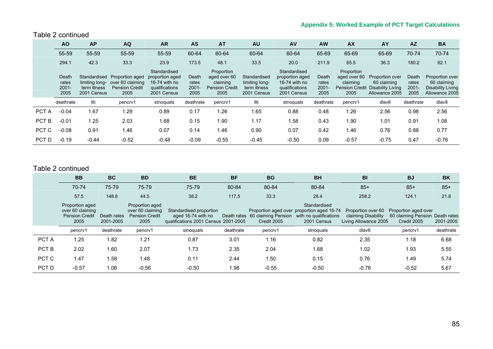#### Table 2 continued

|       | <b>AO</b>                          | <b>AP</b>                                                     | <b>AQ</b>                                                            | <b>AR</b>                                                                         | <b>AS</b>                          | <b>AT</b>                                                               | <b>AU</b>                                                     | <b>AV</b>                                                                         | <b>AW</b>                          | <b>AX</b>                                      | AY                                                                                   | <b>AZ</b>                          | <b>BA</b>                                                             |
|-------|------------------------------------|---------------------------------------------------------------|----------------------------------------------------------------------|-----------------------------------------------------------------------------------|------------------------------------|-------------------------------------------------------------------------|---------------------------------------------------------------|-----------------------------------------------------------------------------------|------------------------------------|------------------------------------------------|--------------------------------------------------------------------------------------|------------------------------------|-----------------------------------------------------------------------|
|       | 55-59                              | 55-59                                                         | 55-59                                                                | 55-59                                                                             | 60-64                              | 60-64                                                                   | 60-64                                                         | 60-64                                                                             | 65-69                              | 65-69                                          | 65-69                                                                                | 70-74                              | 70-74                                                                 |
|       | 294.1                              | 42.3                                                          | 33.3                                                                 | 23.9                                                                              | 173.5                              | 48.1                                                                    | 33.5                                                          | 20.0                                                                              | 211.9                              | 65.5                                           | 36.3                                                                                 | 180.2                              | 62.1                                                                  |
|       | Death<br>rates<br>$2001 -$<br>2005 | Standardised<br>limiting long-<br>term illness<br>2001 Census | Proportion aged<br>over 60 claiming<br><b>Pension Credit</b><br>2005 | Standardised<br>proportion aged<br>16-74 with no<br>qualifications<br>2001 Census | Death<br>rates<br>$2001 -$<br>2005 | Proportion<br>aged over 60<br>claiming<br><b>Pension Credit</b><br>2005 | Standardised<br>limiting long-<br>term illness<br>2001 Census | Standardised<br>proportion aged<br>16-74 with no<br>qualifications<br>2001 Census | Death<br>rates<br>$2001 -$<br>2005 | Proportion<br>aged over 60<br>claiming<br>2005 | Proportion over<br>60 claiming<br>Pension Credit Disability Living<br>Allowance 2005 | Death<br>rates<br>$2001 -$<br>2005 | Proportion over<br>60 claiming<br>Disability Living<br>Allowance 2005 |
|       | deathrate                          | llti                                                          | pencry1                                                              | stnoguals                                                                         | deathrate                          | pencry1                                                                 | llti                                                          | stnoquals                                                                         | deathrate                          | pencry1                                        | dlav8                                                                                | deathrate                          | dlav8                                                                 |
| PCT A | $-0.04$                            | 1.67                                                          | 1.29                                                                 | 0.89                                                                              | 0.17                               | 1.26                                                                    | .65                                                           | 0.88                                                                              | 0.48                               | 1.26                                           | 2.56                                                                                 | 0.98                               | 2.56                                                                  |
| PCT B | $-0.01$                            | 1.25                                                          | 2.03                                                                 | 1.68                                                                              | 0.15                               | 1.90                                                                    | 1.17                                                          | 1.58                                                                              | 0.43                               | 1.90                                           | 1.01                                                                                 | 0.91                               | 1.08                                                                  |
| PCT C | $-0.08$                            | 0.91                                                          | 1.46                                                                 | 0.07                                                                              | 0.14                               | 1.46                                                                    | 0.90                                                          | 0.07                                                                              | 0.42                               | 1.46                                           | 0.76                                                                                 | 0.88                               | 0.77                                                                  |
| PCT D | $-0.19$                            | $-0.44$                                                       | $-0.52$                                                              | $-0.48$                                                                           | $-0.09$                            | $-0.55$                                                                 | $-0.45$                                                       | $-0.50$                                                                           | 0.09                               | $-0.57$                                        | $-0.75$                                                                              | 0.47                               | $-0.76$                                                               |

#### Table 2 continued

|       | <b>BB</b>                                                            | <b>BC</b>                | <b>BD</b>                                                            | <b>BE</b>                                                                             | <b>BF</b>   | <b>BG</b>                          | <b>BH</b>                                                                                           | <b>BI</b>                                                          | <b>BJ</b>                                                  | <b>BK</b>                |
|-------|----------------------------------------------------------------------|--------------------------|----------------------------------------------------------------------|---------------------------------------------------------------------------------------|-------------|------------------------------------|-----------------------------------------------------------------------------------------------------|--------------------------------------------------------------------|------------------------------------------------------------|--------------------------|
|       | 70-74                                                                | 75-79                    | 75-79                                                                | 75-79                                                                                 | 80-84       | 80-84                              | 80-84                                                                                               | $85+$                                                              | $85+$                                                      | $85+$                    |
|       | 57.5                                                                 | 148.8                    | 44.5                                                                 | 38.2                                                                                  | 117.5       | 33.3                               | 28.4                                                                                                | 258.2                                                              | 124.1                                                      | 21.8                     |
|       | Proportion aged<br>over 60 claiming<br><b>Pension Credit</b><br>2005 | Death rates<br>2001-2005 | Proportion aged<br>over 60 claiming<br><b>Pension Credit</b><br>2005 | Standardised proportion<br>aged 16-74 with no<br>qualifications 2001 Census 2001-2005 | Death rates | 60 claiming Pension<br>Credit 2005 | Standardised<br>Proportion aged over proportion aged 16-74<br>with no qualifications<br>2001 Census | Proportion over 60<br>claiming Disability<br>Living Allowance 2005 | Proportion aged over<br>60 claiming Pension<br>Credit 2005 | Death rates<br>2001-2005 |
|       | pencry1                                                              | deathrate                | pencrv1                                                              | stnoguals                                                                             | deathrate   | pencry1                            | stnoquals                                                                                           | dlav8                                                              | pencry1                                                    | deathrate                |
| PCT A | 1.25                                                                 | 1.82                     | 1.21                                                                 | 0.87                                                                                  | 3.01        | 1.16                               | 0.82                                                                                                | 2.35                                                               | 1.18                                                       | 6.68                     |
| PCT B | 2.02                                                                 | 1.60                     | 2.07                                                                 | 1.73                                                                                  | 2.35        | 2.04                               | 1.68                                                                                                | 1.02                                                               | 1.93                                                       | 5.55                     |
| PCT C | 1.47                                                                 | 1.58                     | 1.48                                                                 | 0.11                                                                                  | 2.44        | 1.50                               | 0.15                                                                                                | 0.76                                                               | 1.49                                                       | 5.74                     |
| PCT D | $-0.57$                                                              | 1.06                     | $-0.56$                                                              | $-0.50$                                                                               | 1.98        | $-0.55$                            | $-0.50$                                                                                             | $-0.76$                                                            | $-0.52$                                                    | 5.67                     |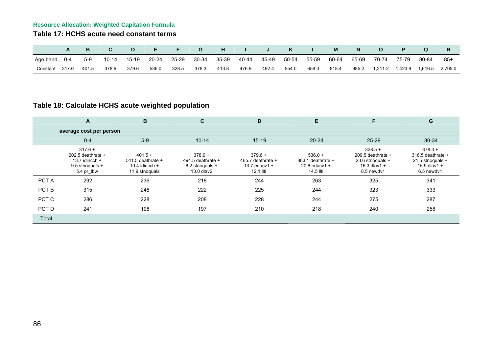### **Table 17: HCHS acute need constant terms**

|          |         |       |       |         | E         | F.    | G     | H     |       |       | K     |       |       |       |         |         |         |         |
|----------|---------|-------|-------|---------|-----------|-------|-------|-------|-------|-------|-------|-------|-------|-------|---------|---------|---------|---------|
| Age band | $0 - 4$ | $5-9$ | 10-14 | $15-19$ | $20 - 24$ | 25-29 | 30-34 | 35-39 | 40-44 | 45-49 | 50-54 | 55-59 | 60-64 | 65-69 | 70-74   | 75-79   | 80-84   | 85+     |
| Constant | 317.6   | 401.5 | 378.9 | 379.6   | 536.0     | 328.5 | 378.3 | 413.8 | 476.9 | 492.4 | 554.0 | 658.0 | 818.4 | 985.2 | 1.211.2 | 1,423.9 | 1,616.5 | 2.705.0 |

# **Table 18: Calculate HCHS acute weighted population**

|       | A                                                                                     | B                                                                        | C                                                                 | D                                                                  | Е                                                                  | F                                                                                  | G                                                                                  |
|-------|---------------------------------------------------------------------------------------|--------------------------------------------------------------------------|-------------------------------------------------------------------|--------------------------------------------------------------------|--------------------------------------------------------------------|------------------------------------------------------------------------------------|------------------------------------------------------------------------------------|
|       | average cost per person                                                               |                                                                          |                                                                   |                                                                    |                                                                    |                                                                                    |                                                                                    |
|       | $0 - 4$                                                                               | $5-9$                                                                    | $10 - 14$                                                         | $15 - 19$                                                          | $20 - 24$                                                          | 25-29                                                                              | 30-34                                                                              |
|       | $317.6 +$<br>202.5 deathrate $+$<br>13.7 idincch $+$<br>9.5 stnoquals +<br>5.4 pr lbw | $401.5 +$<br>$541.5$ deathrate $+$<br>10.4 idincch $+$<br>11.9 stnoquals | $378.9 +$<br>494.5 deathrate $+$<br>6.2 stnoguals +<br>13.0 dlav2 | $379.6 +$<br>465.7 deathrate $+$<br>13.7 educ $v$ 1 +<br>12.1 Ilti | $536.0 +$<br>$883.1$ deathrate $+$<br>$20.6$ educv1 +<br>14.5 llti | $328.5 +$<br>209.5 deathrate $+$<br>23.6 stnoguals +<br>16.3 dlav1 +<br>8.5 newdy1 | $378.3 +$<br>316.5 deathrate $+$<br>21.5 stnoguals +<br>15.9 dlav1 +<br>6.5 newdy1 |
| PCT A | 292                                                                                   | 236                                                                      | 218                                                               | 244                                                                | 263                                                                | 325                                                                                | 341                                                                                |
| PCT B | 315                                                                                   | 248                                                                      | 222                                                               | 225                                                                | 244                                                                | 323                                                                                | 333                                                                                |
| PCT C | 286                                                                                   | 228                                                                      | 208                                                               | 228                                                                | 244                                                                | 275                                                                                | 287                                                                                |
| PCT D | 241                                                                                   | 198                                                                      | 197                                                               | 210                                                                | 218                                                                | 240                                                                                | 258                                                                                |
| Total |                                                                                       |                                                                          |                                                                   |                                                                    |                                                                    |                                                                                    |                                                                                    |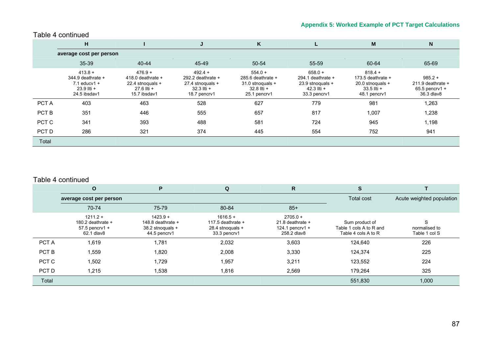|       | н                                                                                   |                                                                                     | J                                                                                   | K                                                                                   |                                                                                       | M                                                                                     | ${\sf N}$                                                          |
|-------|-------------------------------------------------------------------------------------|-------------------------------------------------------------------------------------|-------------------------------------------------------------------------------------|-------------------------------------------------------------------------------------|---------------------------------------------------------------------------------------|---------------------------------------------------------------------------------------|--------------------------------------------------------------------|
|       | average cost per person                                                             |                                                                                     |                                                                                     |                                                                                     |                                                                                       |                                                                                       |                                                                    |
|       | 35-39                                                                               | $40 - 44$                                                                           | 45-49                                                                               | 50-54                                                                               | 55-59                                                                                 | 60-64                                                                                 | 65-69                                                              |
|       | $413.8 +$<br>$344.9$ deathrate $+$<br>$7.1$ educv1 +<br>23.9 llti +<br>24.5 ibsdav1 | $476.9 +$<br>418.0 deathrate $+$<br>22.4 stnoguals +<br>27.6 llti +<br>15.7 ibsdav1 | $492.4 +$<br>292.2 deathrate $+$<br>27.4 stnoguals +<br>32.3 Ilti +<br>18.7 pencrv1 | $554.0 +$<br>285.6 deathrate $+$<br>31.0 stnoquals +<br>32.8 llti +<br>25.1 pencrv1 | $658.0 +$<br>294.1 deathrate $+$<br>23.9 stnoquals +<br>$42.3$ IIti +<br>33.3 pencrv1 | $818.4 +$<br>173.5 deathrate $+$<br>20.0 stnoguals +<br>$33.5$ IIti +<br>48.1 pencry1 | $985.2 +$<br>211.9 deathrate $+$<br>$65.5$ pencrv1 +<br>36.3 dlav8 |
| PCT A | 403                                                                                 | 463                                                                                 | 528                                                                                 | 627                                                                                 | 779                                                                                   | 981                                                                                   | 1,263                                                              |
| PCT B | 351                                                                                 | 446                                                                                 | 555                                                                                 | 657                                                                                 | 817                                                                                   | 1,007                                                                                 | 1,238                                                              |
| PCT C | 341                                                                                 | 393                                                                                 | 488                                                                                 | 581                                                                                 | 724                                                                                   | 945                                                                                   | 1,198                                                              |
| PCT D | 286                                                                                 | 321                                                                                 | 374                                                                                 | 445                                                                                 | 554                                                                                   | 752                                                                                   | 941                                                                |
| Total |                                                                                     |                                                                                     |                                                                                     |                                                                                     |                                                                                       |                                                                                       |                                                                    |

### Table 4 continued

#### Table 4 continued

|       | $\mathbf{o}$                                                        | P                                                                   | Q                                                                     | R                                                                  |                                                                  |                                     |
|-------|---------------------------------------------------------------------|---------------------------------------------------------------------|-----------------------------------------------------------------------|--------------------------------------------------------------------|------------------------------------------------------------------|-------------------------------------|
|       | average cost per person                                             |                                                                     |                                                                       |                                                                    | Total cost                                                       | Acute weighted population           |
|       | 70-74                                                               | 75-79                                                               | 80-84                                                                 | $85+$                                                              |                                                                  |                                     |
|       | $1211.2 +$<br>180.2 deathrate $+$<br>$57.5$ pencrv1 +<br>62.1 dlav8 | $1423.9 +$<br>148.8 deathrate +<br>38.2 stnoguals +<br>44.5 pencry1 | $1616.5 +$<br>117.5 deathrate $+$<br>28.4 stnoguals +<br>33.3 pencrv1 | $2705.0 +$<br>21.8 deathrate $+$<br>124.1 pencrv1 +<br>258.2 dlav8 | Sum product of<br>Table 1 cols A to R and<br>Table 4 cols A to R | S<br>normalised to<br>Table 1 col S |
| PCT A | 1,619                                                               | 1,781                                                               | 2,032                                                                 | 3,603                                                              | 124,640                                                          | 226                                 |
| PCT B | 1,559                                                               | 1,820                                                               | 2.008                                                                 | 3,330                                                              | 124,374                                                          | 225                                 |
| PCT C | 1,502                                                               | 1,729                                                               | 1,957                                                                 | 3,211                                                              | 123,552                                                          | 224                                 |
| PCT D | 1,215                                                               | .538                                                                | 1,816                                                                 | 2,569                                                              | 179,264                                                          | 325                                 |
| Total |                                                                     |                                                                     |                                                                       |                                                                    | 551,830                                                          | 1,000                               |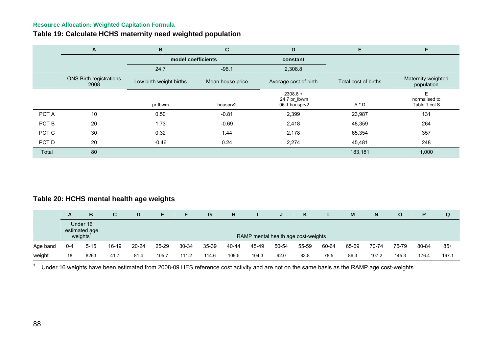# **Table 19: Calculate HCHS maternity need weighted population**

|       | A                                      | B                       | C                | D                                            | E                    | F                                   |
|-------|----------------------------------------|-------------------------|------------------|----------------------------------------------|----------------------|-------------------------------------|
|       |                                        | model coefficients      |                  | constant                                     |                      |                                     |
|       |                                        | 24.7                    | $-96.1$          | 2,308.8                                      |                      |                                     |
|       | <b>ONS Birth registrations</b><br>2008 | Low birth weight births | Mean house price | Average cost of birth                        | Total cost of births | Maternity weighted<br>population    |
|       |                                        | pr-Ibwm                 | housprv2         | $2308.8 +$<br>24.7 pr_lbwm<br>-96.1 housprv2 | $A * D$              | F<br>normalised to<br>Table 1 col S |
| PCT A | 10                                     | 0.50                    | $-0.81$          | 2,399                                        | 23,987               | 131                                 |
| PCT B | 20                                     | 1.73                    | $-0.69$          | 2,418                                        | 48,359               | 264                                 |
| PCT C | 30                                     | 0.32                    | 1.44             | 2,178                                        | 65,354               | 357                                 |
| PCT D | 20                                     | $-0.46$                 | 0.24             | 2,274                                        | 45,481               | 248                                 |
| Total | 80                                     |                         |                  |                                              | 183,181              | 1,000                               |

# **Table 20: HCHS mental health age weights**

|                                                   | A       | B        | C     | D     | Е.    |       | G     | н     |       | J                                   | K     |       | M     | N     | O     | Р     | Q     |
|---------------------------------------------------|---------|----------|-------|-------|-------|-------|-------|-------|-------|-------------------------------------|-------|-------|-------|-------|-------|-------|-------|
| Under 16<br>estimated age<br>weights <sup>1</sup> |         |          |       |       |       |       |       |       |       | RAMP mental health age cost-weights |       |       |       |       |       |       |       |
| Age band                                          | $0 - 4$ | $5 - 15$ | 16-19 | 20-24 | 25-29 | 30-34 | 35-39 | 40-44 | 45-49 | 50-54                               | 55-59 | 60-64 | 65-69 | 70-74 | 75-79 | 80-84 | $85+$ |
| weight                                            | 18      | 8263     | 41.7  | 81.4  | 105.7 | 111.2 | 114.6 | 109.5 | 104.3 | 92.0                                | 83.8  | 78.5  | 86.3  | 107.2 | 145.3 | 176.4 | 167.1 |

1Under 16 weights have been estimated from 2008-09 HES reference cost activity and are not on the same basis as the RAMP age cost-weights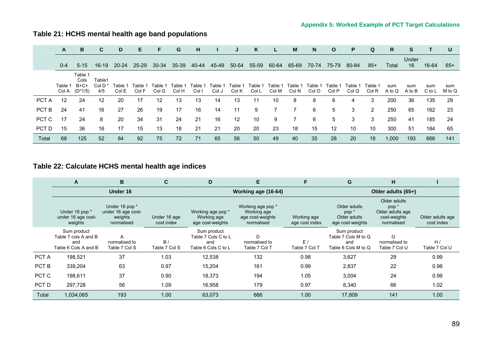# **Table 21: HCHS mental health age band populations**

|       | A                | B                                  | C.                                  | D                | E              | F.               | G                | н               |                  | J                           | K                | L.               | M                | N                | $\mathbf{o}$      | P              | Q                | R.            | S             | т.            | U             |
|-------|------------------|------------------------------------|-------------------------------------|------------------|----------------|------------------|------------------|-----------------|------------------|-----------------------------|------------------|------------------|------------------|------------------|-------------------|----------------|------------------|---------------|---------------|---------------|---------------|
|       | $0 - 4$          | $5 - 15$                           | 16-19                               | 20-24            | 25-29          | 30-34            | 35-39            | 40-44           | 45-49            | 50-54                       | 55-59            | 60-64            | 65-69            | 70-74            | 75-79             | 80-84          | $85+$            | Total         | Under<br>16   | 16-64         | -65+          |
|       | Table 1<br>Col A | Table 1<br>Cols<br>B+C+<br>(D*1/5) | Table1<br>Col D <sup>1</sup><br>4/5 | Гаble ́<br>Col E | Table<br>Col F | Table 1<br>Col G | Table 1<br>Col H | Table∹<br>Col I | Table 1<br>Col J | Table <sup>.</sup><br>Col K | Table 1<br>Col L | Table 1<br>Col M | Table 1<br>Col N | Table 1<br>Col O | Table :<br>Col P  | Table<br>Col Q | Table 1<br>Col R | sum<br>A to Q | sum<br>A to B | sum<br>C to L | sum<br>M to Q |
| PCT A | 12               | 24                                 | 12                                  | 20               | 17             | 12               | 13               | 13              | 14               | 13                          | 11               | 10               | 8                | 8                | 6                 | 4              | 3                | 200           | 36            | 135           | 29            |
| PCT B | 24               | 41                                 | 16                                  | 27               | 26             | 19               | 17               | 16              | 14               | 11                          | 9                |                  |                  | 6                | 5                 | 3              | 2                | 250           | 65            | 162           | -23           |
| PCT C | 17               | 24                                 | 8                                   | 20               | 34             | 31               | 24               | 21              | 16               | $12 \overline{ }$           | 10               | 9                |                  | 6                | 5                 | 3              | 3                | 250           | 41            | 185           | 24            |
| PCT D | 15               | 36                                 | 16                                  | 17               | 15             | 13               | 18               | 21              | 21               | 20                          | 20               | 23               | 18               | 15               | $12 \overline{ }$ | 10             | 10               | 300           | 51            | 184           | 65            |
| Total | 68               | 125                                | 52                                  | 84               | 92             | 75               | 72               | 71              | 65               | 56                          | 50               | 49               | 40               | 35               | 28                | 20             | 18               | 1,000         | 193           | 666           | 141           |

# **Table 22: Calculate HCHS mental health age indices**

|       | A                                                                  | B                                                             | C                          | D                                                                | Е                                                                  |                               | G                                                                    | н                                                                                  |                                |
|-------|--------------------------------------------------------------------|---------------------------------------------------------------|----------------------------|------------------------------------------------------------------|--------------------------------------------------------------------|-------------------------------|----------------------------------------------------------------------|------------------------------------------------------------------------------------|--------------------------------|
|       |                                                                    | Under 16                                                      |                            |                                                                  | Working age (16-64)                                                |                               |                                                                      | Older adults (65+)                                                                 |                                |
|       | Under 16 pop *<br>under 16 age cost-<br>weights                    | Under 16 pop *<br>under 16 age cost-<br>weights<br>normalised | Under 16 age<br>cost index | Working age pop *<br>Working age<br>age cost-weights             | Working age pop *<br>Working age<br>age cost-weights<br>normalised | Working age<br>age cost index | Older adults<br>pop <sup>*</sup><br>Older adults<br>age cost-weights | Older adults<br>pop <sup>*</sup><br>Older adults age<br>cost-weights<br>normalised | Older adults age<br>cost index |
|       | Sum product<br>Table 7 cols A and B<br>and<br>Table 6 Cols A and B | A<br>normalised to<br>Table 7 Col S                           | B/<br>Table 7 Col S        | Sum product<br>Table 7 Cols C to L<br>and<br>Table 6 Cols C to L | D<br>normalised to<br>Table 7 Col T                                | E/<br>Table 7 Col T           | Sum product<br>Table 7 Cols M to Q<br>and<br>Table 6 Cols M to Q     | G<br>normalised to<br>Table 7 Col U                                                | H/<br>Table 7 Col U            |
| PCT A | 198,521                                                            | 37                                                            | 1.03                       | 12,538                                                           | 132                                                                | 0.98                          | 3,627                                                                | 29                                                                                 | 0.99                           |
| PCT B | 339,204                                                            | 63                                                            | 0.97                       | 15,204                                                           | 161                                                                | 0.99                          | 2,837                                                                | 22                                                                                 | 0.98                           |
| PCT C | 198.611                                                            | 37                                                            | 0.90                       | 18,373                                                           | 194                                                                | 1.05                          | 3,004                                                                | 24                                                                                 | 0.99                           |
| PCT D | 297,728                                                            | 56                                                            | 1.09                       | 16,958                                                           | 179                                                                | 0.97                          | 8,340                                                                | 66                                                                                 | 1.02                           |
| Total | 1,034,065                                                          | 193                                                           | 1.00                       | 63,073                                                           | 666                                                                | 1.00                          | 17,809                                                               | 141                                                                                | 1.00                           |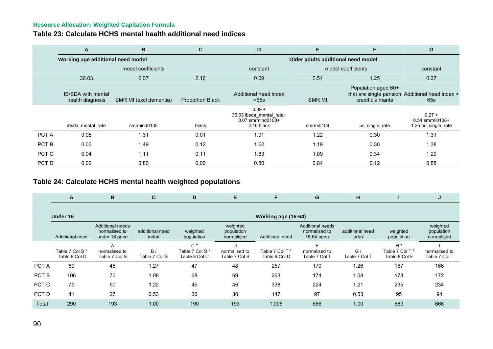### **Table 23: Calculate HCHS mental health additional need indices**

|       | A                                             | В                      | C                       | D                                                                       | Е                                  | F                                       | G                                                        |
|-------|-----------------------------------------------|------------------------|-------------------------|-------------------------------------------------------------------------|------------------------------------|-----------------------------------------|----------------------------------------------------------|
|       | Working age additional need model             |                        |                         |                                                                         | Older adults additional need model |                                         |                                                          |
|       |                                               | model coefficients     |                         | constant                                                                |                                    | model coefficients                      | constant                                                 |
|       | 36.03                                         | 0.07                   | 2.16                    | 0.09                                                                    | 0.54                               | 1.25                                    | 0.27                                                     |
|       | <b>IB/SDA with mental</b><br>health diagnosis | SMR MI (excl dementia) | <b>Proportion Black</b> | Additional need index<br>< 65s                                          | <b>SMR MI</b>                      | Population aged 60+<br>credit claimants | that are single pension Additional need index ><br>65s   |
|       | ibsda mental rate                             | smrmind0108            | black                   | $0.09 +$<br>36.03 ibsda_mental_rate+<br>0.07 smrmind0108+<br>2.16 black | smrmi0108                          | pc_single_rate                          | $0.27 +$<br>$0.54$ smrmi $0108 +$<br>1.25 pc_single_rate |
| PCT A | 0.05                                          | 1.31                   | 0.01                    | 1.91                                                                    | 1.22                               | 0.30                                    | 1.31                                                     |
| PCT B | 0.03                                          | 1.49                   | 0.12                    | 1.62                                                                    | 1.19                               | 0.36                                    | 1.38                                                     |
| PCT C | 0.04                                          | 1.11                   | 0.11                    | 1.83                                                                    | 1.09                               | 0.34                                    | 1.29                                                     |
| PCT D | 0.02                                          | 0.80                   | 0.00                    | 0.80                                                                    | 0.84                               | 0.12                                    | 0.88                                                     |

# **Table 24: Calculate HCHS mental health weighted populations**

|       | A                               | В                                                         | C                        | D                                         | E                                    | F                                | G                                                      | н                        |                                           |                                      |
|-------|---------------------------------|-----------------------------------------------------------|--------------------------|-------------------------------------------|--------------------------------------|----------------------------------|--------------------------------------------------------|--------------------------|-------------------------------------------|--------------------------------------|
|       | Under 16                        |                                                           |                          |                                           |                                      | Working age (16-64)              |                                                        |                          |                                           |                                      |
|       | Additional need                 | <b>Additional needs</b><br>normalised to<br>under 16 popn | additional need<br>index | weighted<br>population                    | weighted<br>population<br>normalised | Additional need                  | <b>Additional needs</b><br>normalised to<br>16-64 popn | additional need<br>index | weighted<br>population                    | weighted<br>population<br>normalised |
|       | Table 7 Col S*<br>Table 9 Col D | A<br>normalised to<br>Table 7 Col S                       | B/<br>Table 7 Col S      | $C^*$<br>Table 7 Col S *<br>Table 8 Col C | normalised to<br>Table 7 Col S       | Table 7 Col T *<br>Table 9 Col D | normalised to<br>Table 7 Col T                         | G/<br>Table 7 Col T      | $H^*$<br>Table 7 Col T *<br>Table 8 Col F | normalised to<br>Table 7 Col T       |
| PCT A | 69                              | 46                                                        | 1.27                     | 47                                        | 48                                   | 257                              | 170                                                    | 1.26                     | 167                                       | 166                                  |
| PCT B | 106                             | 70                                                        | 1.08                     | 68                                        | 69                                   | 263                              | 174                                                    | 1.08                     | 173                                       | 172                                  |
| PCT C | 75                              | 50                                                        | 1.22                     | 45                                        | 46                                   | 338                              | 224                                                    | 1.21                     | 235                                       | 234                                  |
| PCT D | 41                              | 27                                                        | 0.53                     | 30                                        | 30                                   | 147                              | 97                                                     | 0.53                     | 95                                        | 94                                   |
| Total | 290                             | 193                                                       | 1.00                     | 190                                       | 193                                  | 1,006                            | 666                                                    | 1.00                     | 669                                       | 666                                  |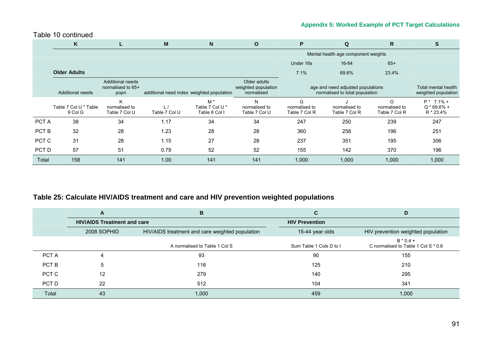#### Table 10 continued

|                  | K                                                                                                              | ш                                   | M             | N                                                                                                                        | O                                   | P                                   | Q                                   | R.                                         | S                                          |
|------------------|----------------------------------------------------------------------------------------------------------------|-------------------------------------|---------------|--------------------------------------------------------------------------------------------------------------------------|-------------------------------------|-------------------------------------|-------------------------------------|--------------------------------------------|--------------------------------------------|
|                  |                                                                                                                |                                     |               |                                                                                                                          |                                     |                                     | Mental health age component weights |                                            |                                            |
|                  |                                                                                                                |                                     |               |                                                                                                                          |                                     | Under 16s                           | 16-64                               | $65+$                                      |                                            |
|                  | <b>Older Adults</b>                                                                                            |                                     |               |                                                                                                                          |                                     | 7.1%                                | 69.6%                               | 23.4%                                      |                                            |
|                  | Additional needs<br>normalised to 65+<br>Additional needs<br>additional need index weighted population<br>popn |                                     |               | Older adults<br>weighted population<br>age and need adjusted populations<br>normalised to total population<br>normalised |                                     |                                     |                                     | Total mental health<br>weighted population |                                            |
|                  | Table 7 Col U * Table<br>9 Col G                                                                               | K<br>normalised to<br>Table 7 Col U | Table 7 Col U | $M^*$<br>Table 7 Col U*<br>Table 8 Col I                                                                                 | N<br>normalised to<br>Table 7 Col U | G<br>normalised to<br>Table 7 Col R | normalised to<br>Table 7 Col R      | $\Omega$<br>normalised to<br>Table 7 Col R | $P^*$ 7.1% +<br>$Q * 69.6% +$<br>R * 23.4% |
| PCT A            | 38                                                                                                             | 34                                  | 1.17          | 34                                                                                                                       | 34                                  | 247                                 | 250                                 | 239                                        | 247                                        |
| PCT <sub>B</sub> | 32                                                                                                             | 28                                  | 1.23          | 28                                                                                                                       | 28                                  | 360                                 | 258                                 | 196                                        | 251                                        |
| PCT C            | 31                                                                                                             | 28                                  | 1.15          | 27                                                                                                                       | 28                                  | 237                                 | 351                                 | 195                                        | 306                                        |
| PCT D            | 57                                                                                                             | 51                                  | 0.79          | 52                                                                                                                       | 52                                  | 155                                 | 142                                 | 370                                        | 196                                        |
| Total            | 158                                                                                                            | 141                                 | 1.00          | 141                                                                                                                      | 141                                 | 1,000                               | 1,000                               | 1,000                                      | 1,000                                      |

# **Table 25: Calculate HIV/AIDS treatment and care and HIV prevention weighted populations**

|       | A                                  | B                                               |                         | D                                                  |
|-------|------------------------------------|-------------------------------------------------|-------------------------|----------------------------------------------------|
|       | <b>HIV/AIDS Treatment and care</b> |                                                 | <b>HIV Prevention</b>   |                                                    |
|       | 2008 SOPHID                        | HIV/AIDS treatment and care weighted population | 15-44 year olds         | HIV prevention weighted population                 |
|       |                                    | A normalised to Table 1 Col S                   | Sum Table 1 Cols D to I | $B * 0.4 +$<br>C normalised to Table 1 Col S * 0.6 |
| PCT A | Δ                                  | 93                                              | 90                      | 155                                                |
| PCT B | 5                                  | 116                                             | 125                     | 210                                                |
| PCT C | 12                                 | 279                                             | 140                     | 295                                                |
| PCT D | 22                                 | 512                                             | 104                     | 341                                                |
| Total | 43                                 | 1,000                                           | 459                     | 1,000                                              |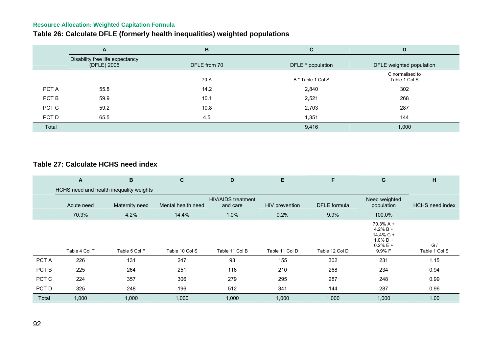# **Table 26: Calculate DFLE (formerly health inequalities) weighted populations**

|       | A                                              | B            | C                 | D                                |
|-------|------------------------------------------------|--------------|-------------------|----------------------------------|
|       | Disability free life expectancy<br>(DFLE) 2005 | DFLE from 70 | DFLE * population | DFLE weighted population         |
|       |                                                | 70-A         | B * Table 1 Col S | C normalised to<br>Table 1 Col S |
| PCT A | 55.8                                           | 14.2         | 2,840             | 302                              |
| PCT B | 59.9                                           | 10.1         | 2,521             | 268                              |
| PCT C | 59.2                                           | 10.8         | 2,703             | 287                              |
| PCT D | 65.5                                           | 4.5          | 1,351             | 144                              |
| Total |                                                |              | 9,416             | 1,000                            |

# **Table 27: Calculate HCHS need index**

|       | $\mathsf{A}$  | B                                       | C                  | D                                     | E              | F                   | G                                                                                | н                      |
|-------|---------------|-----------------------------------------|--------------------|---------------------------------------|----------------|---------------------|----------------------------------------------------------------------------------|------------------------|
|       |               | HCHS need and health inequality weights |                    |                                       |                |                     |                                                                                  |                        |
|       | Acute need    | Maternity need                          | Mental health need | <b>HIV/AIDS</b> treatment<br>and care | HIV prevention | <b>DFLE</b> formula | Need weighted<br>population                                                      | <b>HCHS</b> need index |
|       | 70.3%         | 4.2%                                    | 14.4%              | 1.0%                                  | 0.2%           | 9.9%                | 100.0%                                                                           |                        |
|       | Table 4 Col T | Table 5 Col F                           | Table 10 Col S     | Table 11 Col B                        | Table 11 Col D | Table 12 Col D      | $70.3% A +$<br>$4.2% B +$<br>$14.4\%$ C +<br>$1.0\%$ D +<br>$0.2% E +$<br>9.9% F | G/<br>Table 1 Col S    |
| PCT A | 226           | 131                                     | 247                | 93                                    | 155            | 302                 | 231                                                                              | 1.15                   |
| PCT B | 225           | 264                                     | 251                | 116                                   | 210            | 268                 | 234                                                                              | 0.94                   |
| PCT C | 224           | 357                                     | 306                | 279                                   | 295            | 287                 | 248                                                                              | 0.99                   |
| PCT D | 325           | 248                                     | 196                | 512                                   | 341            | 144                 | 287                                                                              | 0.96                   |
| Total | 1,000         | 1,000                                   | 1,000              | 1,000                                 | 1,000          | 1,000               | 1,000                                                                            | 1.00                   |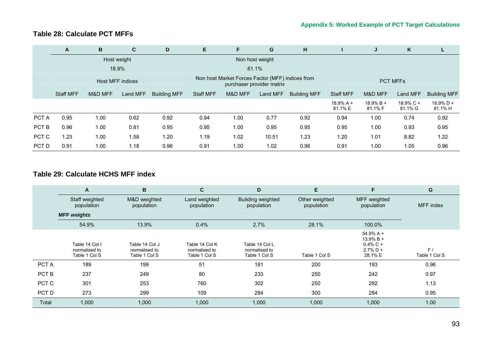## **Table 28: Calculate PCT MFFs**

|       | A                | B       | C                       | D                   | E                | F                                                | G                         | н                   |                        | J                       | K                    |                         |  |
|-------|------------------|---------|-------------------------|---------------------|------------------|--------------------------------------------------|---------------------------|---------------------|------------------------|-------------------------|----------------------|-------------------------|--|
|       |                  |         | Host weight             |                     |                  |                                                  | Non host weight           |                     |                        |                         |                      |                         |  |
|       |                  |         | 18.9%                   |                     |                  |                                                  | 81.1%                     |                     |                        |                         |                      |                         |  |
|       |                  |         | <b>Host MFF indices</b> |                     |                  | Non host Market Forces Factor (MFF) indices from | purchaser provider matrix |                     | <b>PCT MFFs</b>        |                         |                      |                         |  |
|       | <b>Staff MFF</b> | M&D MFF | Land MFF                | <b>Building MFF</b> | <b>Staff MFF</b> | M&D MFF                                          | Land MFF                  | <b>Building MFF</b> | <b>Staff MFF</b>       | M&D MFF                 | Land MFF             | <b>Building MFF</b>     |  |
|       |                  |         |                         |                     |                  |                                                  |                           |                     | $18.9% A +$<br>81.1% E | $18.9\%$ B +<br>81.1% F | 18.9% C +<br>81.1% G | $18.9\%$ D +<br>81.1% H |  |
| PCT A | 0.95             | 1.00    | 0.62                    | 0.92                | 0.94             | 1.00                                             | 0.77                      | 0.92                | 0.94                   | 1.00                    | 0.74                 | 0.92                    |  |
| PCT B | 0.96             | 1.00    | 0.81                    | 0.95                | 0.95             | 1.00                                             | 0.95                      | 0.95                | 0.95                   | 1.00                    | 0.93                 | 0.95                    |  |
| PCT C | 1.23             | 1.00    | 1.58                    | 1.20                | 1.19             | 1.02                                             | 10.51                     | 1.23                | 1.20                   | 1.01                    | 8.82                 | 1.22                    |  |
| PCT D | 0.91             | 1.00    | 1.18                    | 0.96                | 0.91             | 1.00                                             | 1.02                      | 0.96                | 0.91                   | 1.00                    | 1.05                 | 0.96                    |  |

### **Table 29: Calculate HCHS MFF index**

|       | A                                                | B                                                |                                                  | D                                                | Е                            | F                                                                    | G                   |
|-------|--------------------------------------------------|--------------------------------------------------|--------------------------------------------------|--------------------------------------------------|------------------------------|----------------------------------------------------------------------|---------------------|
|       | Staff weighted<br>population                     | M&D weighted<br>population                       | Land weighted<br>population                      | Building weighted<br>population                  | Other weighted<br>population | MFF weighted<br>population                                           | MFF index           |
|       | <b>MFF weights</b>                               |                                                  |                                                  |                                                  |                              |                                                                      |                     |
|       | 54.9%                                            | 13.9%                                            | 0.4%                                             | 2.7%                                             | 28.1%                        | 100.0%                                                               |                     |
|       | Table 14 Col I<br>normalised to<br>Table 1 Col S | Table 14 Col J<br>normalised to<br>Table 1 Col S | Table 14 Col K<br>normalised to<br>Table 1 Col S | Table 14 Col L<br>normalised to<br>Table 1 Col S | Table 1 Col S                | $54.9% A +$<br>$13.9\%$ B +<br>$0.4\%$ C +<br>$2.7\%$ D +<br>28.1% E | F/<br>Table 1 Col S |
| PCT A | 189                                              | 199                                              | 51                                               | 181                                              | 200                          | 193                                                                  | 0.96                |
| PCT B | 237                                              | 249                                              | 80                                               | 233                                              | 250                          | 242                                                                  | 0.97                |
| PCT C | 301                                              | 253                                              | 760                                              | 302                                              | 250                          | 282                                                                  | 1.13                |
| PCT D | 273                                              | 299                                              | 109                                              | 284                                              | 300                          | 284                                                                  | 0.95                |
| Total | 1.000                                            | 1,000                                            | 1,000                                            | 1,000                                            | 1,000                        | 1,000                                                                | 1.00                |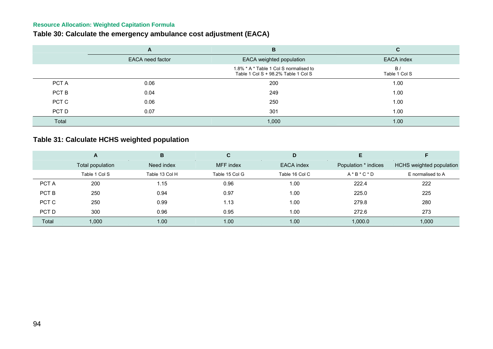# **Table 30: Calculate the emergency ambulance cost adjustment (EACA)**

|       | A                | B                                                                             | C                   |
|-------|------------------|-------------------------------------------------------------------------------|---------------------|
|       | EACA need factor | EACA weighted population                                                      | EACA index          |
|       |                  | 1.8% * A * Table 1 Col S normalised to<br>Table 1 Col S + 98.2% Table 1 Col S | B/<br>Table 1 Col S |
| PCT A | 0.06             | 200                                                                           | 1.00                |
| PCT B | 0.04             | 249                                                                           | 1.00                |
| PCT C | 0.06             | 250                                                                           | 1.00                |
| PCT D | 0.07             | 301                                                                           | 1.00                |
| Total |                  | 1,000                                                                         | 1.00                |

# **Table 31: Calculate HCHS weighted population**

|       | A                | B              | С              | D              |                      |                          |
|-------|------------------|----------------|----------------|----------------|----------------------|--------------------------|
|       | Total population | Need index     | MFF index      | EACA index     | Population * indices | HCHS weighted population |
|       | Table 1 Col S    | Table 13 Col H | Table 15 Col G | Table 16 Col C | $A * B * C * D$      | E normalised to A        |
| PCT A | 200              | 1.15           | 0.96           | 1.00           | 222.4                | 222                      |
| PCT B | 250              | 0.94           | 0.97           | 1.00           | 225.0                | 225                      |
| PCT C | 250              | 0.99           | 1.13           | 1.00           | 279.8                | 280                      |
| PCT D | 300              | 0.96           | 0.95           | 1.00           | 272.6                | 273                      |
| Total | 1,000            | 1.00           | 1.00           | 1.00           | 1,000.0              | 1,000                    |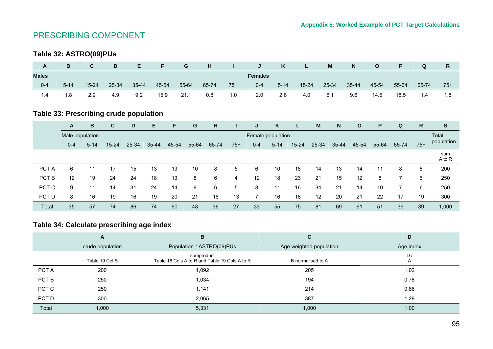# PRESCRIBING COMPONENT

# **Table 32: ASTRO(09)PUs**

| A            | B        | C         | D     | E.        |       | G     | H     |       | .J.            | K        | L.        | M     | N     | O     | P.    |       | R     |
|--------------|----------|-----------|-------|-----------|-------|-------|-------|-------|----------------|----------|-----------|-------|-------|-------|-------|-------|-------|
| <b>Males</b> |          |           |       |           |       |       |       |       | <b>Females</b> |          |           |       |       |       |       |       |       |
| $0 - 4$      | $5 - 14$ | $15 - 24$ | 25-34 | $35 - 44$ | 45-54 | 55-64 | 65-74 | $75+$ | $0 - 4$        | $5 - 14$ | $15 - 24$ | 25-34 | 35-44 | 45-54 | 55-64 | 65-74 | $75+$ |
| 1.4          | 1.8      | 2.9       | 4.9   | 9.2       | 15.9  | 21.1  | 0.8   | 1.0   | 2.0            | 2.8      | 4.0       | 6.1   | 9.6   | 14.5  | 18.5  | 1.4   | 1.8   |

# **Table 33: Prescribing crude population**

|       | A               | В        | C         | D     | Е         | F     | G     | н     |       | J                 | K        | L         | M     | <sub>N</sub> | $\mathbf{o}$ | P     | Q     | R.    | S             |
|-------|-----------------|----------|-----------|-------|-----------|-------|-------|-------|-------|-------------------|----------|-----------|-------|--------------|--------------|-------|-------|-------|---------------|
|       | Male population |          |           |       |           |       |       |       |       | Female population |          |           |       |              |              |       |       |       | Total         |
|       | $0 - 4$         | $5 - 14$ | $15 - 24$ | 25-34 | $35 - 44$ | 45-54 | 55-64 | 65-74 | $75+$ | $0 - 4$           | $5 - 14$ | $15 - 24$ | 25-34 | 35-44        | 45-54        | 55-64 | 65-74 | $75+$ | population    |
|       |                 |          |           |       |           |       |       |       |       |                   |          |           |       |              |              |       |       |       | sum<br>A to R |
| PCT A | 6               | 11       | 17        | 15    | 13        | 13    | 10    | 8     | 5     | 6                 | 10       | 18        | 14    | 13           | 14           | 11    | 8     | 8     | 200           |
| PCT B | 12              | 19       | 24        | 24    | 18        | 13    | 8     | 6     | 4     | 12                | 18       | 23        | 21    | 15           | 12           | 8     |       | 6     | 250           |
| PCT C | 9               | 11       | 14        | 31    | 24        | 14    | 9     | 6     | 5     | 8                 | 11       | 16        | 34    | 21           | 14           | 10    |       | 6     | 250           |
| PCT D | 8               | 16       | 19        | 16    | 19        | 20    | 21    | 16    | 13    |                   | 16       | 18        | 12    | 20           | 21           | 22    | 17    | 19    | 300           |
| Total | 35              | 57       | 74        | 86    | 74        | 60    | 48    | 36    | 27    | 33                | 55       | 75        | 81    | 69           | 61           | 51    | 39    | 39    | 1,000         |

# **Table 34: Calculate prescribing age index**

|       | A                | B                                                           | C                       | D         |
|-------|------------------|-------------------------------------------------------------|-------------------------|-----------|
|       | crude population | Population * ASTRO(09)PUs                                   | Age weighted population | Age index |
|       | Table 19 Col S   | sumproduct<br>Table 18 Cols A to R and Table 19 Cols A to R | B normalised to A       | D/<br>A   |
| PCT A | 200              | 1,092                                                       | 205                     | 1.02      |
| PCT B | 250              | 1,034                                                       | 194                     | 0.78      |
| PCT C | 250              | 1,141                                                       | 214                     | 0.86      |
| PCT D | 300              | 2,065                                                       | 387                     | 1.29      |
| Total | 1,000            | 5,331                                                       | 1,000                   | 1.00      |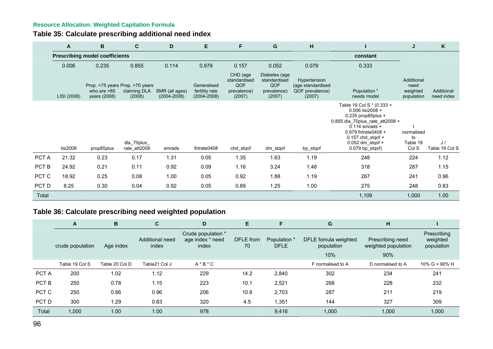**Table 35: Calculate prescribing additional need index** 

|       | A           | В                                     | $\mathbf{C}$                                              | D                                 | E                                                | F                                                        | G                                                             | н                                                              |                                                                                                                                                                                                                        | J                                            | K                        |
|-------|-------------|---------------------------------------|-----------------------------------------------------------|-----------------------------------|--------------------------------------------------|----------------------------------------------------------|---------------------------------------------------------------|----------------------------------------------------------------|------------------------------------------------------------------------------------------------------------------------------------------------------------------------------------------------------------------------|----------------------------------------------|--------------------------|
|       |             | <b>Prescribing model coefficients</b> |                                                           |                                   |                                                  |                                                          |                                                               |                                                                | constant                                                                                                                                                                                                               |                                              |                          |
|       | 0.006       | 0.235                                 | 0.855                                                     | 0.114                             | 0.979                                            | 0.157                                                    | 0.052                                                         | 0.079                                                          | 0.333                                                                                                                                                                                                                  |                                              |                          |
|       | LISI (2008) | who are $>85$<br>years (2008)         | Prop. >75 years Prop. >70 years<br>claiming DLA<br>(2008) | SMR (all ages)<br>$(2004 - 2008)$ | Generalised<br>fertility rate<br>$(2004 - 2008)$ | CHD (age<br>standardised<br>QOF<br>prevalence)<br>(2007) | Diabetes (age<br>standardised<br>QOF<br>prevalence)<br>(2007) | Hypertension<br>(age standardised<br>QOF prevalence)<br>(2007) | Population *<br>needs model                                                                                                                                                                                            | Additional<br>need<br>weighted<br>population | Additional<br>need index |
|       | lisi2008    | prop85plus                            | dla_70plus_<br>rate_att2008                               | smrads                            | firtrate0408                                     | chd stgof                                                | dm_stqof                                                      | bp_stqof                                                       | Table 19 Col S * (0.333 +<br>0.006 lisi2008 +<br>$0.235$ prop85plus +<br>0.855 dla 70plus rate att2008 +<br>$0.114$ smrads +<br>0.979 firtrate0408 +<br>$0.157$ chd stgof +<br>$0.052$ dm stgof +<br>$0.079$ bp stgof) | normalised<br>to<br>Table 19<br>Col S        | J /<br>Table 19 Col S    |
| PCT A | 21.32       | 0.23                                  | 0.17                                                      | 1.31                              | 0.05                                             | 1.35                                                     | 1.63                                                          | 1.19                                                           | 248                                                                                                                                                                                                                    | 224                                          | 1.12                     |
| PCT B | 24.92       | 0.21                                  | 0.11                                                      | 0.92                              | 0.09                                             | 1.16                                                     | 3.24                                                          | 1.48                                                           | 318                                                                                                                                                                                                                    | 287                                          | 1.15                     |
| PCT C | 18.92       | 0.25                                  | 0.08                                                      | 1.00                              | 0.05                                             | 0.92                                                     | 1.88                                                          | 1.19                                                           | 267                                                                                                                                                                                                                    | 241                                          | 0.96                     |
| PCT D | 8.25        | 0.30                                  | 0.04                                                      | 0.92                              | 0.05                                             | 0.89                                                     | 1.25                                                          | 1.00                                                           | 275                                                                                                                                                                                                                    | 248                                          | 0.83                     |
| Total |             |                                       |                                                           |                                   |                                                  |                                                          |                                                               |                                                                | 1,109                                                                                                                                                                                                                  | 1,000                                        | 1.00                     |

# **Table 36: Calculate prescribing need weighted population**

|       | A                | B              | C.                       | D                                               | E               | F                                      | G                                  | н                                       |                                       |
|-------|------------------|----------------|--------------------------|-------------------------------------------------|-----------------|----------------------------------------|------------------------------------|-----------------------------------------|---------------------------------------|
|       | crude population | Age index      | Additional need<br>index | Crude population *<br>age index * need<br>index | DFLE from<br>70 | Population <sup>*</sup><br><b>DFLE</b> | DFLE fomula weighted<br>population | Prescribing need<br>weighted population | Prescribing<br>weighted<br>population |
|       |                  |                |                          |                                                 |                 |                                        | 10%                                | 90%                                     |                                       |
|       | Table 19 Col S   | Table 20 Col D | Table21 Col J            | $A * B * C$                                     |                 |                                        | F normalised to A                  | D normalised to A                       | $10\%$ G + 90% H                      |
| PCT A | 200              | 1.02           | 1.12                     | 229                                             | 14.2            | 2,840                                  | 302                                | 234                                     | 241                                   |
| PCT B | 250              | 0.78           | 1.15                     | 223                                             | 10.1            | 2,521                                  | 268                                | 228                                     | 232                                   |
| PCT C | 250              | 0.86           | 0.96                     | 206                                             | 10.8            | 2,703                                  | 287                                | 211                                     | 219                                   |
| PCT D | 300              | 1.29           | 0.83                     | 320                                             | 4.5             | 1,351                                  | 144                                | 327                                     | 309                                   |
| Total | 1,000            | 1.00           | 1.00                     | 978                                             |                 | 9,416                                  | 1,000                              | 1,000                                   | 1,000                                 |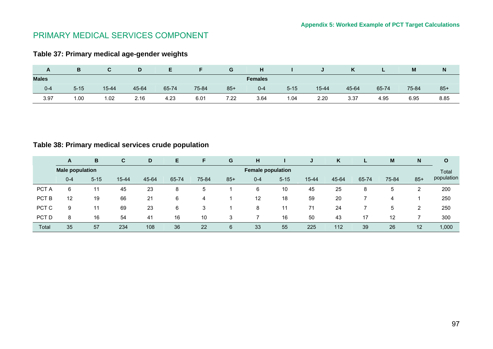# PRIMARY MEDICAL SERVICES COMPONENT

# **Table 37: Primary medical age-gender weights**

| $\mathbf{r}$ | в        | u         |       |       |       | G     | н              |          | $\cdot$ | Κ     | -     | M     | N     |
|--------------|----------|-----------|-------|-------|-------|-------|----------------|----------|---------|-------|-------|-------|-------|
| <b>Males</b> |          |           |       |       |       |       | <b>Females</b> |          |         |       |       |       |       |
| $0 - 4$      | $5 - 15$ | $15 - 44$ | 45-64 | 65-74 | 75-84 | $85+$ | $0 - 4$        | $5 - 15$ | 15-44   | 45-64 | 65-74 | 75-84 | $85+$ |
| 3.97         | 1.00     | 1.02      | 2.16  | 4.23  | 6.01  | 7.22  | 3.64           | 1.04     | 2.20    | 3.37  | 4.95  | 6.95  | 8.85  |

# **Table 38: Primary medical services crude population**

|       | A                      | B        | C         | D     | Е     | F     | G     | н                        |          | J         | K     | ъ.    | M     | N     | O          |
|-------|------------------------|----------|-----------|-------|-------|-------|-------|--------------------------|----------|-----------|-------|-------|-------|-------|------------|
|       | <b>Male population</b> |          |           |       |       |       |       | <b>Female population</b> |          |           |       |       |       |       | Total      |
|       | $0 - 4$                | $5 - 15$ | $15 - 44$ | 45-64 | 65-74 | 75-84 | $85+$ | $0 - 4$                  | $5 - 15$ | $15 - 44$ | 45-64 | 65-74 | 75-84 | $85+$ | population |
| PCT A | 6                      | 11       | 45        | 23    | 8     | 5     |       | 6                        | 10       | 45        | 25    | 8     | 5     | ົ     | 200        |
| PCT B | 12                     | 19       | 66        | 21    | 6     | 4     |       | 12                       | 18       | 59        | 20    |       | 4     |       | 250        |
| PCT C | 9                      | 11       | 69        | 23    | 6     | 3     |       | 8                        | 11       | 71        | 24    |       | 5     | 2     | 250        |
| PCT D | 8                      | 16       | 54        | 41    | 16    | 10    | 3     |                          | 16       | 50        | 43    | 17    | 12    |       | 300        |
| Total | 35                     | 57       | 234       | 108   | 36    | 22    | 6     | 33                       | 55       | 225       | 112   | 39    | 26    | 12    | 1,000      |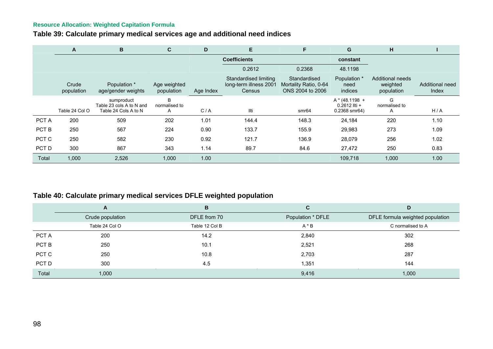# **Table 39: Calculate primary medical services age and additional need indices**

|       | A                   | B                                                              | C                          | D         | E                                                         | F                                                         | G                                                         | н                                          |                          |
|-------|---------------------|----------------------------------------------------------------|----------------------------|-----------|-----------------------------------------------------------|-----------------------------------------------------------|-----------------------------------------------------------|--------------------------------------------|--------------------------|
|       |                     |                                                                |                            |           | <b>Coefficients</b>                                       |                                                           | constant                                                  |                                            |                          |
|       |                     |                                                                |                            |           | 0.2612                                                    | 0.2368                                                    | 48.1198                                                   |                                            |                          |
|       | Crude<br>population | Population *<br>age/gender weights                             | Age weighted<br>population | Age Index | Standardised limiting<br>long-term illness 2001<br>Census | Standardised<br>Mortality Ratio, 0-64<br>ONS 2004 to 2006 | Population *<br>need<br>indices                           | Additional needs<br>weighted<br>population | Additional need<br>Index |
|       | Table 24 Col O      | sumproduct<br>Table 23 cols A to N and<br>Table 24 Cols A to N | B<br>normalised to<br>A    | C/A       | Ilti                                                      | smr64                                                     | $A * (48.1198 +$<br>$0.2612$ llti +<br>$0.2368$ smr $64)$ | G<br>normalised to<br>A                    | H/A                      |
| PCT A | 200                 | 509                                                            | 202                        | 1.01      | 144.4                                                     | 148.3                                                     | 24,184                                                    | 220                                        | 1.10                     |
| PCT B | 250                 | 567                                                            | 224                        | 0.90      | 133.7                                                     | 155.9                                                     | 29,983                                                    | 273                                        | 1.09                     |
| PCT C | 250                 | 582                                                            | 230                        | 0.92      | 121.7                                                     | 136.9                                                     | 28,079                                                    | 256                                        | 1.02                     |
| PCT D | 300                 | 867                                                            | 343                        | 1.14      | 89.7                                                      | 84.6                                                      | 27,472                                                    | 250                                        | 0.83                     |
| Total | 1,000               | 2,526                                                          | 1,000                      | 1.00      |                                                           |                                                           | 109,718                                                   | 1,000                                      | 1.00                     |

# **Table 40: Calculate primary medical services DFLE weighted population**

|       | A                | B              | C                 | D                                |
|-------|------------------|----------------|-------------------|----------------------------------|
|       | Crude population | DFLE from 70   | Population * DFLE | DFLE formula weighted population |
|       | Table 24 Col O   | Table 12 Col B | $A * B$           | C normalised to A                |
| PCT A | 200              | 14.2           | 2,840             | 302                              |
| PCT B | 250              | 10.1           | 2,521             | 268                              |
| PCT C | 250              | 10.8           | 2,703             | 287                              |
| PCT D | 300              | 4.5            | 1,351             | 144                              |
| Total | 1,000            |                | 9,416             | 1,000                            |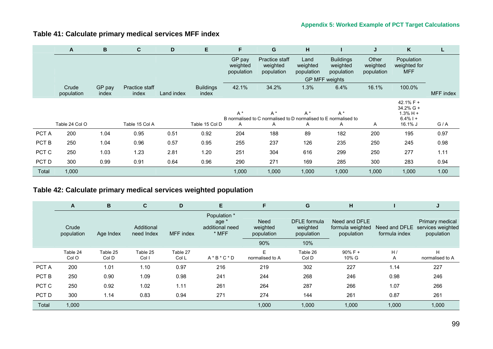# **Table 41: Calculate primary medical services MFF index**

|       | A                   | B               | C                       | D          | Е                         | F                                | G                                                                             | н                              |                                            | J                               | K                                                                   | ┗         |
|-------|---------------------|-----------------|-------------------------|------------|---------------------------|----------------------------------|-------------------------------------------------------------------------------|--------------------------------|--------------------------------------------|---------------------------------|---------------------------------------------------------------------|-----------|
|       |                     |                 |                         |            |                           | GP pay<br>weighted<br>population | Practice staff<br>weighted<br>population                                      | Land<br>weighted<br>population | <b>Buildings</b><br>weighted<br>population | Other<br>weighted<br>population | Population<br>weighted for<br><b>MFF</b>                            |           |
|       |                     |                 |                         |            |                           |                                  |                                                                               |                                | GP MFF weights                             |                                 |                                                                     |           |
|       | Crude<br>population | GP pay<br>index | Practice staff<br>index | Land index | <b>Buildings</b><br>index | 42.1%                            | 34.2%                                                                         | 1.3%                           | 6.4%                                       | 16.1%                           | 100.0%                                                              | MFF index |
|       | Table 24 Col O      |                 | Table 15 Col A          |            | Table 15 Col D            | $A^*$<br>A                       | $A^*$<br>B normalised to C normalised to D normalised to E normalised to<br>A | $A^*$<br>A                     | $A^*$<br>A                                 | A                               | 42.1% $F +$<br>$34.2\%$ G +<br>$1.3% H +$<br>$6.4\%$   +<br>16.1% J | G/A       |
| PCT A | 200                 | 1.04            | 0.95                    | 0.51       | 0.92                      | 204                              | 188                                                                           | 89                             | 182                                        | 200                             | 195                                                                 | 0.97      |
| PCT B | 250                 | 1.04            | 0.96                    | 0.57       | 0.95                      | 255                              | 237                                                                           | 126                            | 235                                        | 250                             | 245                                                                 | 0.98      |
| PCT C | 250                 | 1.03            | 1.23                    | 2.81       | 1.20                      | 251                              | 304                                                                           | 616                            | 299                                        | 250                             | 277                                                                 | 1.11      |
| PCT D | 300                 | 0.99            | 0.91                    | 0.64       | 0.96                      | 290                              | 271                                                                           | 169                            | 285                                        | 300                             | 283                                                                 | 0.94      |
| Total | 1,000               |                 |                         |            |                           | 1,000                            | 1,000                                                                         | 1,000                          | 1,000                                      | 1,000                           | 1,000                                                               | 1.00      |

# **Table 42: Calculate primary medical services weighted population**

|       | A                   | B                 | C                        | D                 | E                                                            | F                                     | G                                             | н                                               |               | J                                                                |
|-------|---------------------|-------------------|--------------------------|-------------------|--------------------------------------------------------------|---------------------------------------|-----------------------------------------------|-------------------------------------------------|---------------|------------------------------------------------------------------|
|       | Crude<br>population | Age Index         | Additional<br>need Index | MFF index         | Population *<br>age <sup>*</sup><br>additional need<br>* MFF | <b>Need</b><br>weighted<br>population | <b>DFLE</b> formula<br>weighted<br>population | Need and DFLE<br>formula weighted<br>population | formula index | Primary medical<br>Need and DFLE services weighted<br>population |
|       |                     |                   |                          |                   |                                                              | 90%                                   | 10%                                           |                                                 |               |                                                                  |
|       | Table 24<br>Col O   | Table 25<br>Col D | Table 25<br>Col I        | Table 27<br>Col L | $A * B * C * D$                                              | E<br>normalised to A                  | Table 26<br>Col D                             | $90\%$ F +<br>10% G                             | H/<br>Α       | H<br>normalised to A                                             |
| PCT A | 200                 | 1.01              | 1.10                     | 0.97              | 216                                                          | 219                                   | 302                                           | 227                                             | 1.14          | 227                                                              |
| PCT B | 250                 | 0.90              | 1.09                     | 0.98              | 241                                                          | 244                                   | 268                                           | 246                                             | 0.98          | 246                                                              |
| PCT C | 250                 | 0.92              | 1.02                     | 1.11              | 261                                                          | 264                                   | 287                                           | 266                                             | 1.07          | 266                                                              |
| PCT D | 300                 | 1.14              | 0.83                     | 0.94              | 271                                                          | 274                                   | 144                                           | 261                                             | 0.87          | 261                                                              |
| Total | 1,000               |                   |                          |                   |                                                              | 1,000                                 | 1,000                                         | 1,000                                           | 1,000         | 1,000                                                            |